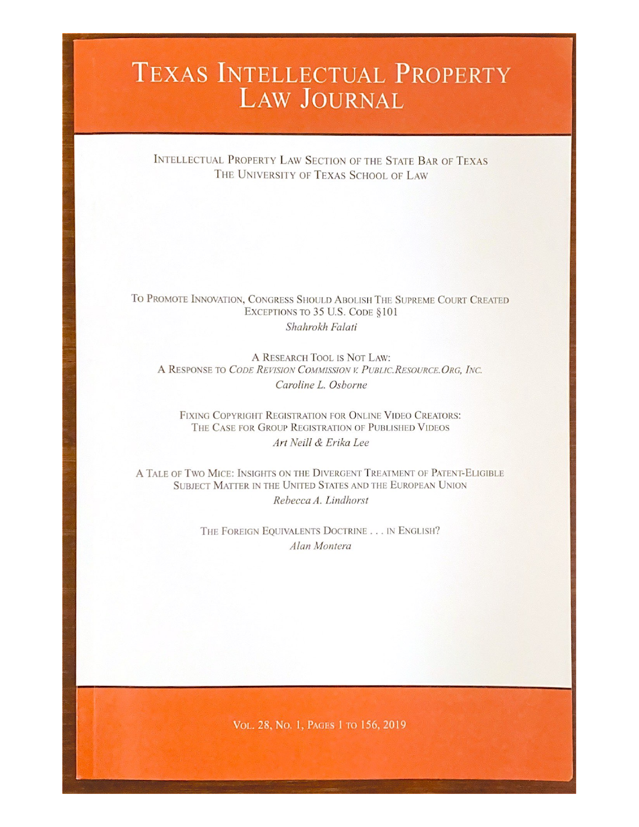# TEXAS INTELLECTUAL PROPERTY **LAW JOURNAL**

INTELLECTUAL PROPERTY LAW SECTION OF THE STATE BAR OF TEXAS THE UNIVERSITY OF TEXAS SCHOOL OF LAW

# TO PROMOTE INNOVATION, CONGRESS SHOULD ABOLISH THE SUPREME COURT CREATED EXCEPTIONS TO 35 U.S. CODE §101 Shahrokh Falati

A RESEARCH TOOL IS NOT LAW: A RESPONSE TO CODE REVISION COMMISSION V. PUBLIC, RESOURCE, ORG. INC. Caroline L. Osborne

FIXING COPYRIGHT REGISTRATION FOR ONLINE VIDEO CREATORS: THE CASE FOR GROUP REGISTRATION OF PUBLISHED VIDEOS Art Neill & Erika Lee

A TALE OF TWO MICE: INSIGHTS ON THE DIVERGENT TREATMENT OF PATENT-ELIGIBLE SUBJECT MATTER IN THE UNITED STATES AND THE EUROPEAN UNION Rebecca A. Lindhorst

> THE FOREIGN EQUIVALENTS DOCTRINE . . . IN ENGLISH? Alan Montera

> > VOL. 28, No. 1, PAGES 1 TO 156, 2019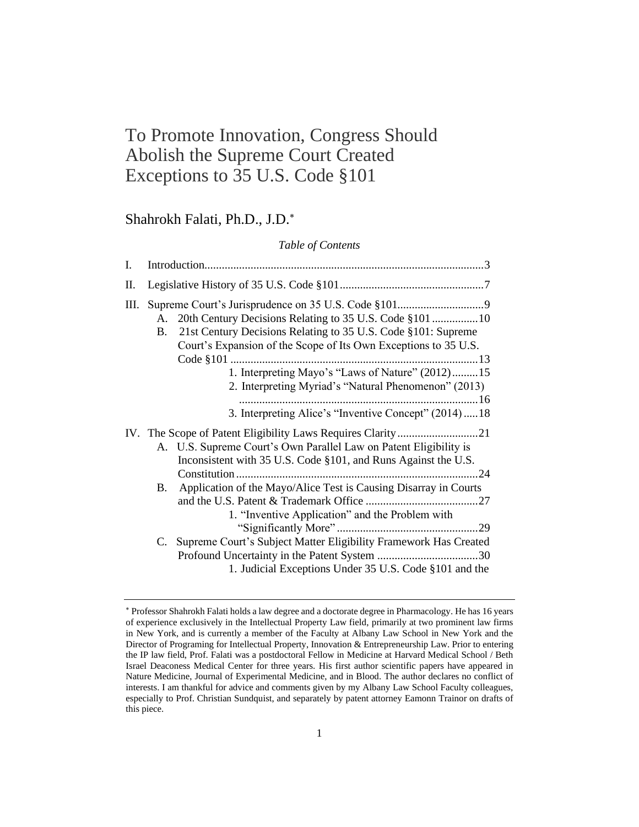# To Promote Innovation, Congress Should Abolish the Supreme Court Created Exceptions to 35 U.S. Code §101

# Shahrokh Falati, Ph.D., J.D.

#### *Table of Contents*

| I. |           |                                                                                                                                                                                                                                                                                                      |  |
|----|-----------|------------------------------------------------------------------------------------------------------------------------------------------------------------------------------------------------------------------------------------------------------------------------------------------------------|--|
| П. |           |                                                                                                                                                                                                                                                                                                      |  |
| Ш. | A.<br>B.  | 21st Century Decisions Relating to 35 U.S. Code §101: Supreme<br>Court's Expansion of the Scope of Its Own Exceptions to 35 U.S.<br>1. Interpreting Mayo's "Laws of Nature" (2012)15<br>2. Interpreting Myriad's "Natural Phenomenon" (2013)<br>3. Interpreting Alice's "Inventive Concept" (2014)18 |  |
|    | <b>B.</b> | A. U.S. Supreme Court's Own Parallel Law on Patent Eligibility is<br>Inconsistent with 35 U.S. Code §101, and Runs Against the U.S.<br>Application of the Mayo/Alice Test is Causing Disarray in Courts<br>1. "Inventive Application" and the Problem with                                           |  |
|    | C.        | Supreme Court's Subject Matter Eligibility Framework Has Created<br>1. Judicial Exceptions Under 35 U.S. Code §101 and the                                                                                                                                                                           |  |

Professor Shahrokh Falati holds a law degree and a doctorate degree in Pharmacology. He has 16 years of experience exclusively in the Intellectual Property Law field, primarily at two prominent law firms in New York, and is currently a member of the Faculty at Albany Law School in New York and the Director of Programing for Intellectual Property, Innovation & Entrepreneurship Law. Prior to entering the IP law field, Prof. Falati was a postdoctoral Fellow in Medicine at Harvard Medical School / Beth Israel Deaconess Medical Center for three years. His first author scientific papers have appeared in Nature Medicine, Journal of Experimental Medicine, and in Blood. The author declares no conflict of interests. I am thankful for advice and comments given by my Albany Law School Faculty colleagues, especially to Prof. Christian Sundquist, and separately by patent attorney Eamonn Trainor on drafts of this piece.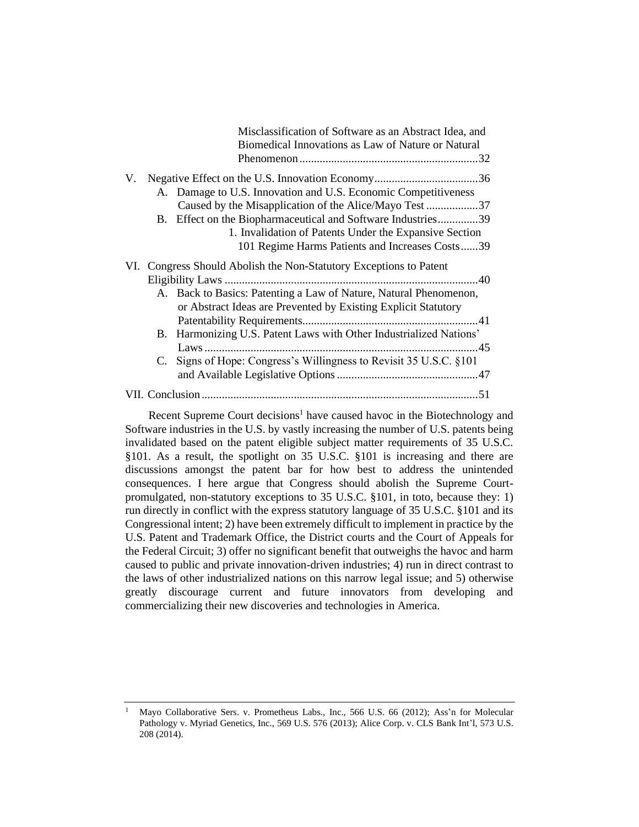|    |          | Misclassification of Software as an Abstract Idea, and<br>Biomedical Innovations as Law of Nature or Natural                                                                                                                                                                                                                                            |  |  |
|----|----------|---------------------------------------------------------------------------------------------------------------------------------------------------------------------------------------------------------------------------------------------------------------------------------------------------------------------------------------------------------|--|--|
| V. |          | A. Damage to U.S. Innovation and U.S. Economic Competitiveness<br>Caused by the Misapplication of the Alice/Mayo Test 37<br>B. Effect on the Biopharmaceutical and Software Industries39<br>1. Invalidation of Patents Under the Expansive Section<br>101 Regime Harms Patients and Increases Costs39                                                   |  |  |
|    | B.<br>C. | VI. Congress Should Abolish the Non-Statutory Exceptions to Patent<br>A. Back to Basics: Patenting a Law of Nature, Natural Phenomenon,<br>or Abstract Ideas are Prevented by Existing Explicit Statutory<br>Harmonizing U.S. Patent Laws with Other Industrialized Nations'<br>Laws<br>Signs of Hope: Congress's Willingness to Revisit 35 U.S.C. §101 |  |  |
|    |          |                                                                                                                                                                                                                                                                                                                                                         |  |  |

Recent Supreme Court decisions<sup>1</sup> have caused havoc in the Biotechnology and Software industries in the U.S. by vastly increasing the number of U.S. patents being invalidated based on the patent eligible subject matter requirements of 35 U.S.C. §101. As a result, the spotlight on 35 U.S.C. §101 is increasing and there are discussions amongst the patent bar for how best to address the unintended consequences. I here argue that Congress should abolish the Supreme Courtpromulgated, non-statutory exceptions to 35 U.S.C. §101, in toto, because they: 1) run directly in conflict with the express statutory language of 35 U.S.C. §101 and its Congressional intent; 2) have been extremely difficult to implement in practice by the U.S. Patent and Trademark Office, the District courts and the Court of Appeals for the Federal Circuit; 3) offer no significant benefit that outweighs the havoc and harm caused to public and private innovation-driven industries; 4) run in direct contrast to the laws of other industrialized nations on this narrow legal issue; and 5) otherwise greatly discourage current and future innovators from developing and commercializing their new discoveries and technologies in America.

<sup>&</sup>lt;sup>1</sup> Mayo Collaborative Sers. v. Prometheus Labs., Inc., 566 U.S. 66 (2012); Ass'n for Molecular Pathology v. Myriad Genetics, Inc., 569 U.S. 576 (2013); Alice Corp. v. CLS Bank Int'l, 573 U.S. 208 (2014).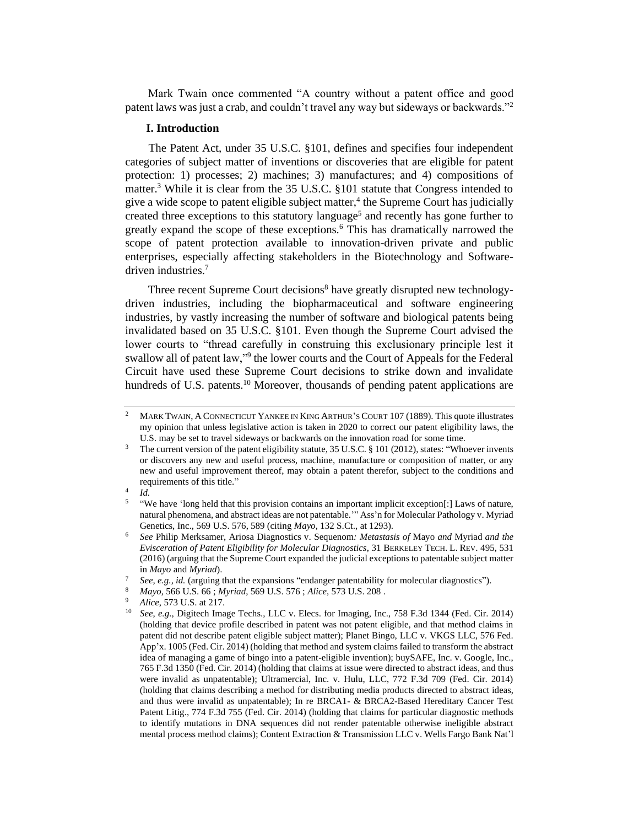Mark Twain once commented "A country without a patent office and good patent laws was just a crab, and couldn't travel any way but sideways or backwards."<sup>2</sup>

#### **I. Introduction**

The Patent Act, under 35 U.S.C. §101, defines and specifies four independent categories of subject matter of inventions or discoveries that are eligible for patent protection: 1) processes; 2) machines; 3) manufactures; and 4) compositions of matter.<sup>3</sup> While it is clear from the 35 U.S.C. §101 statute that Congress intended to give a wide scope to patent eligible subject matter,<sup>4</sup> the Supreme Court has judicially created three exceptions to this statutory language<sup>5</sup> and recently has gone further to greatly expand the scope of these exceptions.<sup>6</sup> This has dramatically narrowed the scope of patent protection available to innovation-driven private and public enterprises, especially affecting stakeholders in the Biotechnology and Softwaredriven industries.<sup>7</sup>

Three recent Supreme Court decisions<sup>8</sup> have greatly disrupted new technologydriven industries, including the biopharmaceutical and software engineering industries, by vastly increasing the number of software and biological patents being invalidated based on 35 U.S.C. §101. Even though the Supreme Court advised the lower courts to "thread carefully in construing this exclusionary principle lest it swallow all of patent law,"<sup>9</sup> the lower courts and the Court of Appeals for the Federal Circuit have used these Supreme Court decisions to strike down and invalidate hundreds of U.S. patents.<sup>10</sup> Moreover, thousands of pending patent applications are

4 *Id.*

<sup>&</sup>lt;sup>2</sup> MARK TWAIN, A CONNECTICUT YANKEE IN KING ARTHUR'S COURT 107 (1889). This quote illustrates my opinion that unless legislative action is taken in 2020 to correct our patent eligibility laws, the U.S. may be set to travel sideways or backwards on the innovation road for some time.

<sup>&</sup>lt;sup>3</sup> The current version of the patent eligibility statute, 35 U.S.C. § 101 (2012), states: "Whoever invents or discovers any new and useful process, machine, manufacture or composition of matter, or any new and useful improvement thereof, may obtain a patent therefor, subject to the conditions and requirements of this title."

<sup>5</sup> "We have 'long held that this provision contains an important implicit exception[:] Laws of nature, natural phenomena, and abstract ideas are not patentable.'" Ass'n for Molecular Pathology v. Myriad Genetics, Inc., 569 U.S. 576, 589 (citing *Mayo*, 132 S.Ct., at 1293).

<sup>6</sup> *See* Philip Merksamer, Ariosa Diagnostics v. Sequenom*: Metastasis of* Mayo *and* Myriad *and the Evisceration of Patent Eligibility for Molecular Diagnostics*, 31 BERKELEY TECH. L. REV. 495, 531 (2016) (arguing that the Supreme Court expanded the judicial exceptions to patentable subject matter in *Mayo* and *Myriad*).

See, e.g., id. (arguing that the expansions "endanger patentability for molecular diagnostics").

<sup>8</sup> *Mayo*, 566 U.S. 66 ; *Myriad*, 569 U.S. 576 ; *Alice*, 573 U.S. 208 .

<sup>&</sup>lt;sup>9</sup> *Alice*, 573 U.S. at 217.

<sup>10</sup> *See*, *e.g.,* Digitech Image Techs., LLC v. Elecs. for Imaging, Inc., 758 F.3d 1344 (Fed. Cir. 2014) (holding that device profile described in patent was not patent eligible, and that method claims in patent did not describe patent eligible subject matter); Planet Bingo, LLC v. VKGS LLC, 576 Fed. App'x. 1005 (Fed. Cir. 2014) (holding that method and system claims failed to transform the abstract idea of managing a game of bingo into a patent-eligible invention); buySAFE, Inc. v. Google, Inc., 765 F.3d 1350 (Fed. Cir. 2014) (holding that claims at issue were directed to abstract ideas, and thus were invalid as unpatentable); Ultramercial, Inc. v. Hulu, LLC, 772 F.3d 709 (Fed. Cir. 2014) (holding that claims describing a method for distributing media products directed to abstract ideas, and thus were invalid as unpatentable); In re BRCA1- & BRCA2-Based Hereditary Cancer Test Patent Litig., 774 F.3d 755 (Fed. Cir. 2014) (holding that claims for particular diagnostic methods to identify mutations in DNA sequences did not render patentable otherwise ineligible abstract mental process method claims); Content Extraction & Transmission LLC v. Wells Fargo Bank Nat'l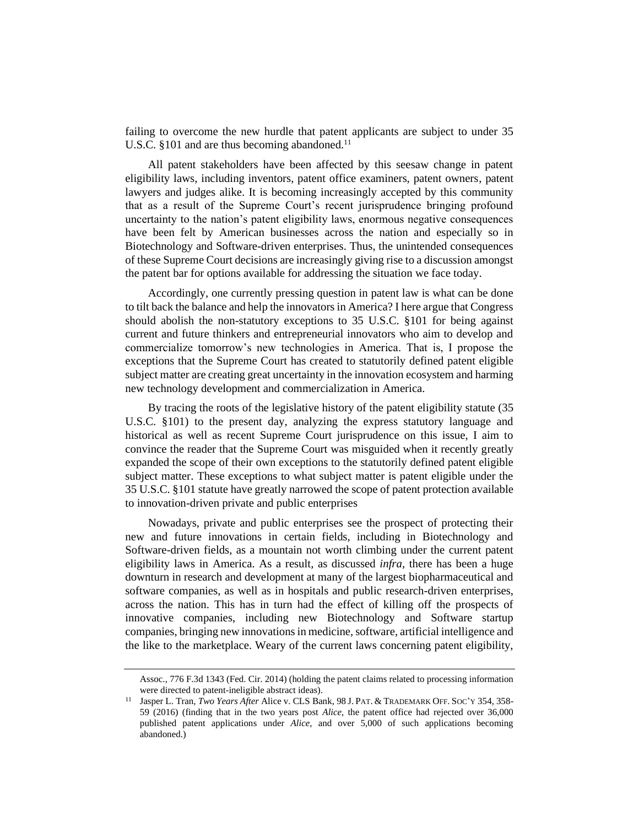failing to overcome the new hurdle that patent applicants are subject to under 35 U.S.C. §101 and are thus becoming abandoned. $^{11}$ 

All patent stakeholders have been affected by this seesaw change in patent eligibility laws, including inventors, patent office examiners, patent owners, patent lawyers and judges alike. It is becoming increasingly accepted by this community that as a result of the Supreme Court's recent jurisprudence bringing profound uncertainty to the nation's patent eligibility laws, enormous negative consequences have been felt by American businesses across the nation and especially so in Biotechnology and Software-driven enterprises. Thus, the unintended consequences of these Supreme Court decisions are increasingly giving rise to a discussion amongst the patent bar for options available for addressing the situation we face today.

Accordingly, one currently pressing question in patent law is what can be done to tilt back the balance and help the innovators in America? I here argue that Congress should abolish the non-statutory exceptions to 35 U.S.C. §101 for being against current and future thinkers and entrepreneurial innovators who aim to develop and commercialize tomorrow's new technologies in America. That is, I propose the exceptions that the Supreme Court has created to statutorily defined patent eligible subject matter are creating great uncertainty in the innovation ecosystem and harming new technology development and commercialization in America.

By tracing the roots of the legislative history of the patent eligibility statute (35 U.S.C. §101) to the present day, analyzing the express statutory language and historical as well as recent Supreme Court jurisprudence on this issue, I aim to convince the reader that the Supreme Court was misguided when it recently greatly expanded the scope of their own exceptions to the statutorily defined patent eligible subject matter. These exceptions to what subject matter is patent eligible under the 35 U.S.C. §101 statute have greatly narrowed the scope of patent protection available to innovation-driven private and public enterprises

Nowadays, private and public enterprises see the prospect of protecting their new and future innovations in certain fields, including in Biotechnology and Software-driven fields, as a mountain not worth climbing under the current patent eligibility laws in America. As a result, as discussed *infra*, there has been a huge downturn in research and development at many of the largest biopharmaceutical and software companies, as well as in hospitals and public research-driven enterprises, across the nation. This has in turn had the effect of killing off the prospects of innovative companies, including new Biotechnology and Software startup companies, bringing new innovations in medicine, software, artificial intelligence and the like to the marketplace. Weary of the current laws concerning patent eligibility,

Assoc., 776 F.3d 1343 (Fed. Cir. 2014) (holding the patent claims related to processing information were directed to patent-ineligible abstract ideas).

<sup>11</sup> Jasper L. Tran, *Two Years After* Alice v. CLS Bank, 98 J. PAT. & TRADEMARK OFF. SOC'Y 354, 358- 59 (2016) (finding that in the two years post *Alice*, the patent office had rejected over 36,000 published patent applications under *Alice*, and over 5,000 of such applications becoming abandoned.)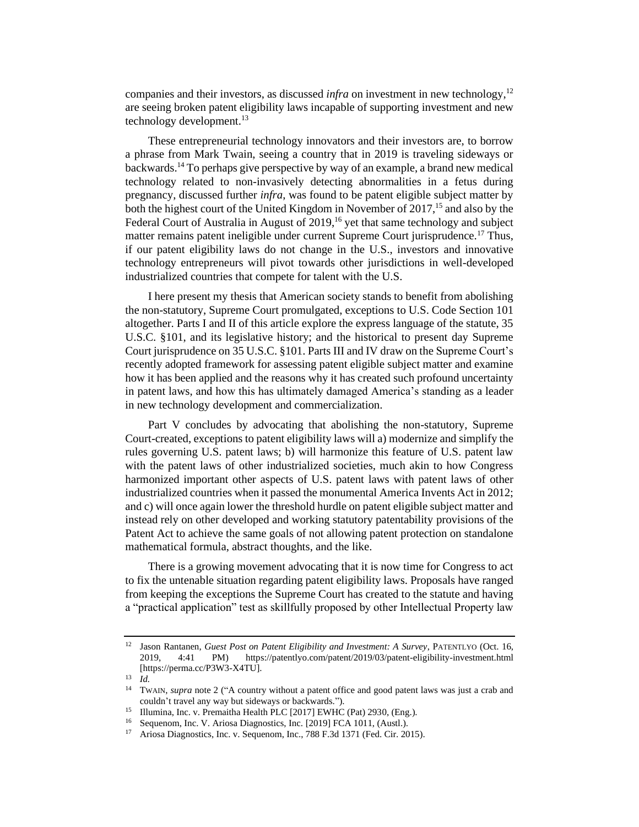companies and their investors, as discussed *infra* on investment in new technology,<sup>12</sup> are seeing broken patent eligibility laws incapable of supporting investment and new technology development.<sup>13</sup>

These entrepreneurial technology innovators and their investors are, to borrow a phrase from Mark Twain, seeing a country that in 2019 is traveling sideways or backwards.<sup>14</sup> To perhaps give perspective by way of an example, a brand new medical technology related to non-invasively detecting abnormalities in a fetus during pregnancy, discussed further *infra*, was found to be patent eligible subject matter by both the highest court of the United Kingdom in November of 2017,<sup>15</sup> and also by the Federal Court of Australia in August of 2019,<sup>16</sup> yet that same technology and subject matter remains patent ineligible under current Supreme Court jurisprudence.<sup>17</sup> Thus, if our patent eligibility laws do not change in the U.S., investors and innovative technology entrepreneurs will pivot towards other jurisdictions in well-developed industrialized countries that compete for talent with the U.S.

I here present my thesis that American society stands to benefit from abolishing the non-statutory, Supreme Court promulgated, exceptions to U.S. Code Section 101 altogether. Parts I and II of this article explore the express language of the statute, 35 U.S.C. §101, and its legislative history; and the historical to present day Supreme Court jurisprudence on 35 U.S.C. §101. Parts III and IV draw on the Supreme Court's recently adopted framework for assessing patent eligible subject matter and examine how it has been applied and the reasons why it has created such profound uncertainty in patent laws, and how this has ultimately damaged America's standing as a leader in new technology development and commercialization.

Part V concludes by advocating that abolishing the non-statutory, Supreme Court-created, exceptions to patent eligibility laws will a) modernize and simplify the rules governing U.S. patent laws; b) will harmonize this feature of U.S. patent law with the patent laws of other industrialized societies, much akin to how Congress harmonized important other aspects of U.S. patent laws with patent laws of other industrialized countries when it passed the monumental America Invents Act in 2012; and c) will once again lower the threshold hurdle on patent eligible subject matter and instead rely on other developed and working statutory patentability provisions of the Patent Act to achieve the same goals of not allowing patent protection on standalone mathematical formula, abstract thoughts, and the like.

There is a growing movement advocating that it is now time for Congress to act to fix the untenable situation regarding patent eligibility laws. Proposals have ranged from keeping the exceptions the Supreme Court has created to the statute and having a "practical application" test as skillfully proposed by other Intellectual Property law

<sup>12</sup> Jason Rantanen, *Guest Post on Patent Eligibility and Investment: A Survey*, PATENTLYO (Oct. 16, 2019, 4:41 PM) https://patentlyo.com/patent/2019/03/patent-eligibility-investment.html [https://perma.cc/P3W3-X4TU].

 $\frac{13}{14}$  *Id.* 

<sup>14</sup> TWAIN, *supra* note 2 ("A country without a patent office and good patent laws was just a crab and couldn't travel any way but sideways or backwards.").

<sup>&</sup>lt;sup>15</sup> Illumina, Inc. v. Premaitha Health PLC [2017] EWHC (Pat) 2930, (Eng.).<br><sup>16</sup> Sequenom Inc. V. Ariosa Diagnostics, Inc. [2010] ECA 1011 (Aust).

Sequenom, Inc. V. Ariosa Diagnostics, Inc. [2019] FCA 1011, (Austl.).

<sup>17</sup> Ariosa Diagnostics, Inc. v. Sequenom, Inc., 788 F.3d 1371 (Fed. Cir. 2015).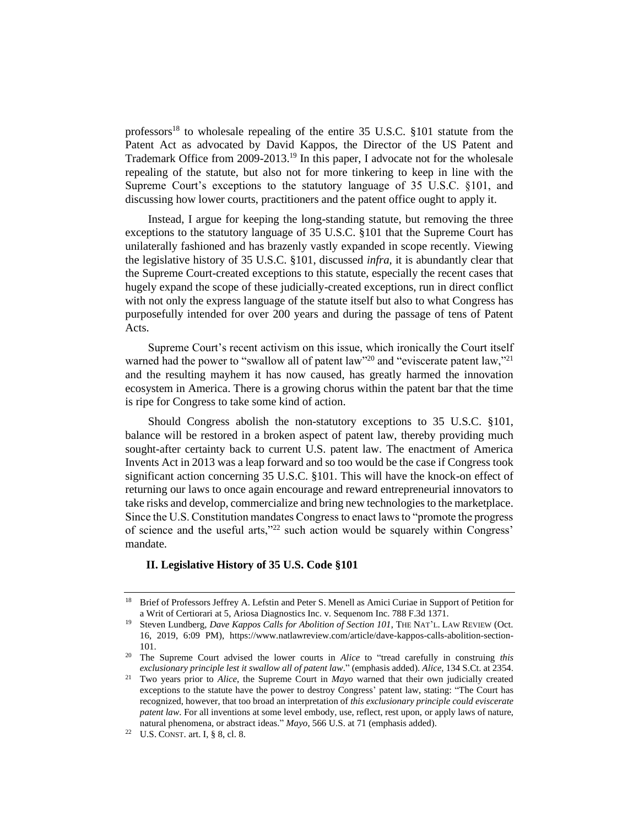professors<sup>18</sup> to wholesale repealing of the entire  $35 \text{ U.S.C. } $101 \text{ statute from the}$ Patent Act as advocated by David Kappos, the Director of the US Patent and Trademark Office from 2009-2013.<sup>19</sup> In this paper, I advocate not for the wholesale repealing of the statute, but also not for more tinkering to keep in line with the Supreme Court's exceptions to the statutory language of 35 U.S.C. §101, and discussing how lower courts, practitioners and the patent office ought to apply it.

Instead, I argue for keeping the long-standing statute, but removing the three exceptions to the statutory language of 35 U.S.C. §101 that the Supreme Court has unilaterally fashioned and has brazenly vastly expanded in scope recently. Viewing the legislative history of 35 U.S.C. §101, discussed *infra*, it is abundantly clear that the Supreme Court-created exceptions to this statute, especially the recent cases that hugely expand the scope of these judicially-created exceptions, run in direct conflict with not only the express language of the statute itself but also to what Congress has purposefully intended for over 200 years and during the passage of tens of Patent Acts.

Supreme Court's recent activism on this issue, which ironically the Court itself warned had the power to "swallow all of patent law"<sup>20</sup> and "eviscerate patent law,"<sup>21</sup> and the resulting mayhem it has now caused, has greatly harmed the innovation ecosystem in America. There is a growing chorus within the patent bar that the time is ripe for Congress to take some kind of action.

Should Congress abolish the non-statutory exceptions to 35 U.S.C. §101, balance will be restored in a broken aspect of patent law, thereby providing much sought-after certainty back to current U.S. patent law. The enactment of America Invents Act in 2013 was a leap forward and so too would be the case if Congress took significant action concerning 35 U.S.C. §101. This will have the knock-on effect of returning our laws to once again encourage and reward entrepreneurial innovators to take risks and develop, commercialize and bring new technologies to the marketplace. Since the U.S. Constitution mandates Congress to enact laws to "promote the progress of science and the useful arts,"<sup>22</sup> such action would be squarely within Congress' mandate.

# **II. Legislative History of 35 U.S. Code §101**

<sup>&</sup>lt;sup>18</sup> Brief of Professors Jeffrey A. Lefstin and Peter S. Menell as Amici Curiae in Support of Petition for a Writ of Certiorari at 5, Ariosa Diagnostics Inc. v. Sequenom Inc. 788 F.3d 1371.

<sup>19</sup> Steven Lundberg, *Dave Kappos Calls for Abolition of Section 101*, THE NAT'L. LAW REVIEW (Oct. 16, 2019, 6:09 PM), [https://www.natlawreview.com/article/dave-kappos-calls-abolition-section-](https://www.natlawreview.com/article/dave-kappos-calls-abolition-section-101)[101.](https://www.natlawreview.com/article/dave-kappos-calls-abolition-section-101) 

<sup>20</sup> The Supreme Court advised the lower courts in *Alice* to "tread carefully in construing *this exclusionary principle lest it swallow all of patent law*." (emphasis added). *Alice,* 134 S.Ct. at 2354.

<sup>21</sup> Two years prior to *Alice*, the Supreme Court in *Mayo* warned that their own judicially created exceptions to the statute have the power to destroy Congress' patent law, stating: "The Court has recognized, however, that too broad an interpretation of *this exclusionary principle could eviscerate patent law*. For all inventions at some level embody, use, reflect, rest upon, or apply laws of nature, natural phenomena, or abstract ideas." *Mayo*, 566 U.S. at 71 (emphasis added).

<sup>22</sup> U.S. CONST. art. I, § 8, cl. 8.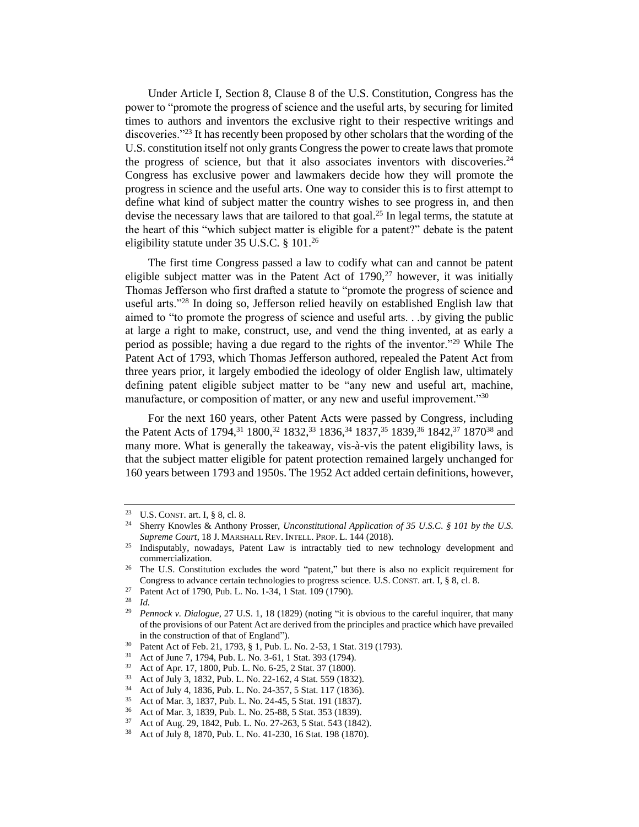Under Article I, Section 8, Clause 8 of the U.S. Constitution, Congress has the power to "promote the progress of science and the useful arts, by securing for limited times to authors and inventors the exclusive right to their respective writings and discoveries."<sup>23</sup> It has recently been proposed by other scholars that the wording of the U.S. constitution itself not only grants Congress the power to create laws that promote the progress of science, but that it also associates inventors with discoveries.<sup>24</sup> Congress has exclusive power and lawmakers decide how they will promote the progress in science and the useful arts. One way to consider this is to first attempt to define what kind of subject matter the country wishes to see progress in, and then devise the necessary laws that are tailored to that goal.<sup>25</sup> In legal terms, the statute at the heart of this "which subject matter is eligible for a patent?" debate is the patent eligibility statute under 35 U.S.C. § 101.<sup>26</sup>

The first time Congress passed a law to codify what can and cannot be patent eligible subject matter was in the Patent Act of  $1790$ ,<sup>27</sup> however, it was initially Thomas Jefferson who first drafted a statute to "promote the progress of science and useful arts."<sup>28</sup> In doing so, Jefferson relied heavily on established English law that aimed to "to promote the progress of science and useful arts. . .by giving the public at large a right to make, construct, use, and vend the thing invented, at as early a period as possible; having a due regard to the rights of the inventor."<sup>29</sup> While The Patent Act of 1793, which Thomas Jefferson authored, repealed the Patent Act from three years prior, it largely embodied the ideology of older English law, ultimately defining patent eligible subject matter to be "any new and useful art, machine, manufacture, or composition of matter, or any new and useful improvement.<sup>"30</sup>

For the next 160 years, other Patent Acts were passed by Congress, including the Patent Acts of 1794,<sup>31</sup> 1800,<sup>32</sup> 1832,<sup>33</sup> 1836,<sup>34</sup> 1837,<sup>35</sup> 1839,<sup>36</sup> 1842,<sup>37</sup> 1870<sup>38</sup> and many more. What is generally the takeaway, vis-à-vis the patent eligibility laws, is that the subject matter eligible for patent protection remained largely unchanged for 160 years between 1793 and 1950s. The 1952 Act added certain definitions, however,

<sup>&</sup>lt;sup>23</sup> U.S. CONST. art. I, § 8, cl. 8.<br><sup>24</sup> Sherry Knowles & Anthony

<sup>24</sup> Sherry Knowles & Anthony Prosser, *Unconstitutional Application of 35 U.S.C. § 101 by the U.S. Supreme Court*, 18 J. MARSHALL REV. INTELL. PROP. L. 144 (2018).

<sup>&</sup>lt;sup>25</sup> Indisputably, nowadays, Patent Law is intractably tied to new technology development and commercialization.

<sup>&</sup>lt;sup>26</sup> The U.S. Constitution excludes the word "patent," but there is also no explicit requirement for Congress to advance certain technologies to progress science. U.S. CONST. art. I, § 8, cl. 8.

<sup>&</sup>lt;sup>27</sup> Patent Act of 1790, Pub. L. No. 1-34, 1 Stat. 109 (1790).

*Id.* 

<sup>29</sup> *Pennock v. Dialogue*, 27 U.S. 1, 18 (1829) (noting "it is obvious to the careful inquirer, that many of the provisions of our Patent Act are derived from the principles and practice which have prevailed in the construction of that of England").

<sup>&</sup>lt;sup>30</sup> Patent Act of Feb. 21, 1793, § 1, Pub. L. No. 2-53, 1 Stat. 319 (1793).<br><sup>31</sup> Act of June 7, 1794, Pub. J. No. 3-61, 1 Stat. 393 (1794)

<sup>&</sup>lt;sup>31</sup> Act of June 7, 1794, Pub. L. No. 3-61, 1 Stat. 393 (1794).<br><sup>32</sup> Act of Apr. 17, 1800, Pub. J. No. 6, 25, 2 Stat. 37 (1800).

<sup>&</sup>lt;sup>32</sup> Act of Apr. 17, 1800, Pub. L. No. 6-25, 2 Stat. 37 (1800).<br><sup>33</sup> Act of July 3, 1832, Pub. J. No. 22, 162, 4 Stat. 550 (1833)

<sup>33</sup> Act of July 3, 1832, Pub. L. No. 22-162, 4 Stat. 559 (1832).<br>34 Act of July 4, 1836, Pub. J. No. 24, 357, 5 Stat. 117 (1836).

<sup>&</sup>lt;sup>34</sup> Act of July 4, 1836, Pub. L. No. 24-357, 5 Stat. 117 (1836).<br><sup>35</sup> Act of Mar, 3, 1837, Pub. J. No. 24.45, 5 Stat. 101 (1837).

<sup>&</sup>lt;sup>35</sup> Act of Mar. 3, 1837, Pub. L. No. 24-45, 5 Stat. 191 (1837).<br><sup>36</sup> Act of Mar. 3, 1830, Pub. J. No. 25, 88, 5 Stat. 353 (1830).

<sup>&</sup>lt;sup>36</sup> Act of Mar. 3, 1839, Pub. L. No. 25-88, 5 Stat. 353 (1839).<br><sup>37</sup> Act of Aug. 20, 1842, Pub. J. No. 27, 263, 5 Stat. 543 (184)

<sup>37</sup> Act of Aug. 29, 1842, Pub. L. No. 27-263, 5 Stat. 543 (1842).

<sup>38</sup> Act of July 8, 1870, Pub. L. No. 41-230, 16 Stat. 198 (1870).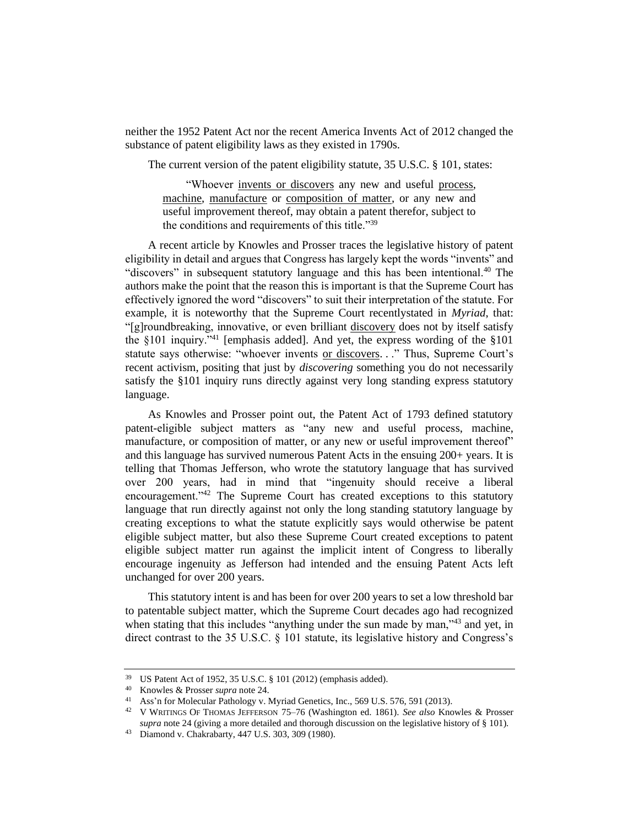neither the 1952 Patent Act nor the recent America Invents Act of 2012 changed the substance of patent eligibility laws as they existed in 1790s.

The current version of the patent eligibility statute, 35 U.S.C. § 101, states:

"Whoever invents or discovers any new and useful process, machine, manufacture or composition of matter, or any new and useful improvement thereof, may obtain a patent therefor, subject to the conditions and requirements of this title."<sup>39</sup>

A recent article by Knowles and Prosser traces the legislative history of patent eligibility in detail and argues that Congress has largely kept the words "invents" and "discovers" in subsequent statutory language and this has been intentional.<sup>40</sup> The authors make the point that the reason this is important is that the Supreme Court has effectively ignored the word "discovers" to suit their interpretation of the statute. For example, it is noteworthy that the Supreme Court recentlystated in *Myriad*, that: "[g]roundbreaking, innovative, or even brilliant discovery does not by itself satisfy the  $§101$  inquiry.<sup>241</sup> [emphasis added]. And yet, the express wording of the  $§101$ statute says otherwise: "whoever invents or discovers..." Thus, Supreme Court's recent activism, positing that just by *discovering* something you do not necessarily satisfy the §101 inquiry runs directly against very long standing express statutory language.

As Knowles and Prosser point out, the Patent Act of 1793 defined statutory patent-eligible subject matters as "any new and useful process, machine, manufacture, or composition of matter, or any new or useful improvement thereof" and this language has survived numerous Patent Acts in the ensuing 200+ years. It is telling that Thomas Jefferson, who wrote the statutory language that has survived over 200 years, had in mind that "ingenuity should receive a liberal encouragement."<sup>42</sup> The Supreme Court has created exceptions to this statutory language that run directly against not only the long standing statutory language by creating exceptions to what the statute explicitly says would otherwise be patent eligible subject matter, but also these Supreme Court created exceptions to patent eligible subject matter run against the implicit intent of Congress to liberally encourage ingenuity as Jefferson had intended and the ensuing Patent Acts left unchanged for over 200 years.

This statutory intent is and has been for over 200 years to set a low threshold bar to patentable subject matter, which the Supreme Court decades ago had recognized when stating that this includes "anything under the sun made by man,"<sup>43</sup> and yet, in direct contrast to the 35 U.S.C. § 101 statute, its legislative history and Congress's

<sup>&</sup>lt;sup>39</sup> US Patent Act of 1952, 35 U.S.C. § 101 (2012) (emphasis added).<br><sup>40</sup> Knowles & Prosser sunga pote 24

<sup>40</sup> Knowles & Prosser *supra* note 24.

Ass'n for Molecular Pathology v. Myriad Genetics, Inc., 569 U.S. 576, 591 (2013).

<sup>42</sup> V WRITINGS OF THOMAS JEFFERSON 75–76 (Washington ed. 1861). *See also* Knowles & Prosser *supra* note 24 (giving a more detailed and thorough discussion on the legislative history of § 101).

<sup>43</sup> Diamond v. Chakrabarty, 447 U.S. 303, 309 (1980).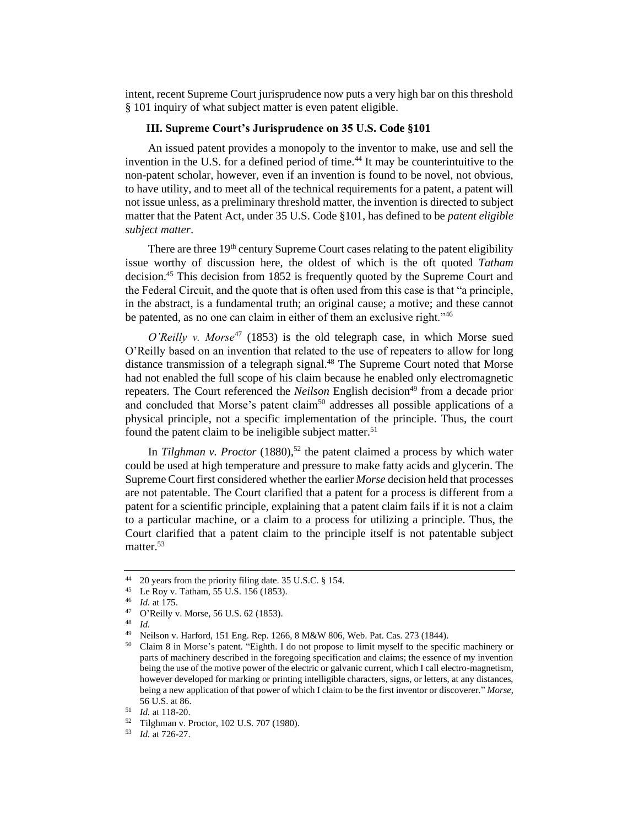intent, recent Supreme Court jurisprudence now puts a very high bar on this threshold § 101 inquiry of what subject matter is even patent eligible.

## **III. Supreme Court's Jurisprudence on 35 U.S. Code §101**

An issued patent provides a monopoly to the inventor to make, use and sell the invention in the U.S. for a defined period of time.<sup>44</sup> It may be counterintuitive to the non-patent scholar, however, even if an invention is found to be novel, not obvious, to have utility, and to meet all of the technical requirements for a patent, a patent will not issue unless, as a preliminary threshold matter, the invention is directed to subject matter that the Patent Act, under 35 U.S. Code §101, has defined to be *patent eligible subject matter*.

There are three  $19<sup>th</sup>$  century Supreme Court cases relating to the patent eligibility issue worthy of discussion here, the oldest of which is the oft quoted *Tatham*  decision.<sup>45</sup> This decision from 1852 is frequently quoted by the Supreme Court and the Federal Circuit, and the quote that is often used from this case is that "a principle, in the abstract, is a fundamental truth; an original cause; a motive; and these cannot be patented, as no one can claim in either of them an exclusive right."<sup>46</sup>

*O'Reilly v. Morse*<sup>47</sup> (1853) is the old telegraph case, in which Morse sued O'Reilly based on an invention that related to the use of repeaters to allow for long distance transmission of a telegraph signal.<sup>48</sup> The Supreme Court noted that Morse had not enabled the full scope of his claim because he enabled only electromagnetic repeaters. The Court referenced the *Neilson* English decision<sup>49</sup> from a decade prior and concluded that Morse's patent claim<sup>50</sup> addresses all possible applications of a physical principle, not a specific implementation of the principle. Thus, the court found the patent claim to be ineligible subject matter.<sup>51</sup>

In *Tilghman v. Proctor* (1880),<sup>52</sup> the patent claimed a process by which water could be used at high temperature and pressure to make fatty acids and glycerin. The Supreme Court first considered whether the earlier *Morse* decision held that processes are not patentable. The Court clarified that a patent for a process is different from a patent for a scientific principle, explaining that a patent claim fails if it is not a claim to a particular machine, or a claim to a process for utilizing a principle. Thus, the Court clarified that a patent claim to the principle itself is not patentable subject matter.<sup>53</sup>

<sup>&</sup>lt;sup>44</sup> 20 years from the priority filing date. 35 U.S.C. § 154.<br><sup>45</sup> Le Roy y Tatham 55 U.S. 156 (1853)

<sup>&</sup>lt;sup>45</sup> Le Roy v. Tatham, 55 U.S. 156 (1853).

 $^{46}$  *Id.* at 175.<br><sup>47</sup>  $\Omega$ <sup>Reilly</sup>

 $^{47}$  O'Reilly v. Morse, 56 U.S. 62 (1853).

 $\frac{48}{49}$  *Id.* 

Neilson v. Harford, 151 Eng. Rep. 1266, 8 M&W 806, Web. Pat. Cas. 273 (1844).

<sup>50</sup> Claim 8 in Morse's patent. "Eighth. I do not propose to limit myself to the specific machinery or parts of machinery described in the foregoing specification and claims; the essence of my invention being the use of the motive power of the electric or galvanic current, which I call electro-magnetism, however developed for marking or printing intelligible characters, signs, or letters, at any distances, being a new application of that power of which I claim to be the first inventor or discoverer." *Morse*, 56 U.S. at 86.

<sup>51</sup> *Id.* at 118-20.

<sup>52</sup> Tilghman v. Proctor, 102 U.S. 707 (1980).

<sup>53</sup> *Id.* at 726-27.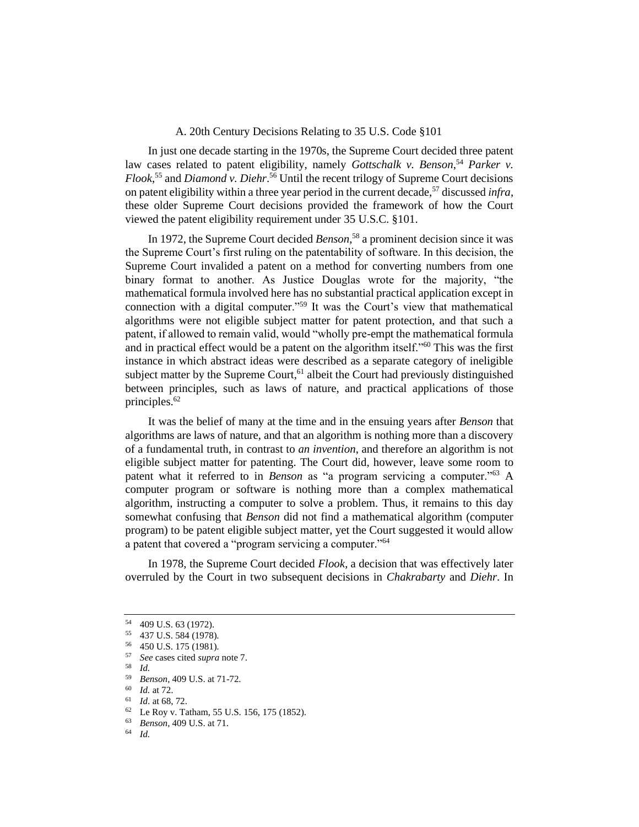## A. 20th Century Decisions Relating to 35 U.S. Code §101

In just one decade starting in the 1970s, the Supreme Court decided three patent law cases related to patent eligibility, namely *Gottschalk v. Benson*,<sup>54</sup> Parker v. *Flook*, <sup>55</sup> and *Diamond v. Diehr*. <sup>56</sup> Until the recent trilogy of Supreme Court decisions on patent eligibility within a three year period in the current decade,<sup>57</sup> discussed *infra*, these older Supreme Court decisions provided the framework of how the Court viewed the patent eligibility requirement under 35 U.S.C. §101.

In 1972, the Supreme Court decided *Benson*, <sup>58</sup> a prominent decision since it was the Supreme Court's first ruling on the patentability of software. In this decision, the Supreme Court invalided a patent on a method for converting numbers from one binary format to another. As Justice Douglas wrote for the majority, "the mathematical formula involved here has no substantial practical application except in connection with a digital computer."<sup>59</sup> It was the Court's view that mathematical algorithms were not eligible subject matter for patent protection, and that such a patent, if allowed to remain valid, would "wholly pre-empt the mathematical formula and in practical effect would be a patent on the algorithm itself."<sup>60</sup> This was the first instance in which abstract ideas were described as a separate category of ineligible subject matter by the Supreme Court,<sup>61</sup> albeit the Court had previously distinguished between principles, such as laws of nature, and practical applications of those principles.<sup>62</sup>

It was the belief of many at the time and in the ensuing years after *Benson* that algorithms are laws of nature, and that an algorithm is nothing more than a discovery of a fundamental truth, in contrast to *an invention*, and therefore an algorithm is not eligible subject matter for patenting. The Court did, however, leave some room to patent what it referred to in *Benson* as "a program servicing a computer."<sup>63</sup> A computer program or software is nothing more than a complex mathematical algorithm, instructing a computer to solve a problem. Thus, it remains to this day somewhat confusing that *Benson* did not find a mathematical algorithm (computer program) to be patent eligible subject matter, yet the Court suggested it would allow a patent that covered a "program servicing a computer."<sup>64</sup>

In 1978, the Supreme Court decided *Flook*, a decision that was effectively later overruled by the Court in two subsequent decisions in *Chakrabarty* and *Diehr*. In

 $\frac{58}{59}$  *Id.* 

- $\frac{60}{61}$  *Id.* at 72.
- $\frac{61}{62}$  *Id.* at 68, 72.
- 62 Le Roy v. Tatham, 55 U.S. 156, 175 (1852).

<sup>&</sup>lt;sup>54</sup> 409 U.S. 63 (1972).<br><sup>55</sup> 437 U.S. 584 (1978)

<sup>55</sup> 437 U.S. 584 (1978).

 $^{56}$  450 U.S. 175 (1981).

<sup>57</sup> *See* cases cited *supra* note 7.

<sup>59</sup> *Benson*, 409 U.S. at 71-72.

<sup>63</sup> *Benson*, 409 U.S. at 71.

<sup>64</sup> *Id.*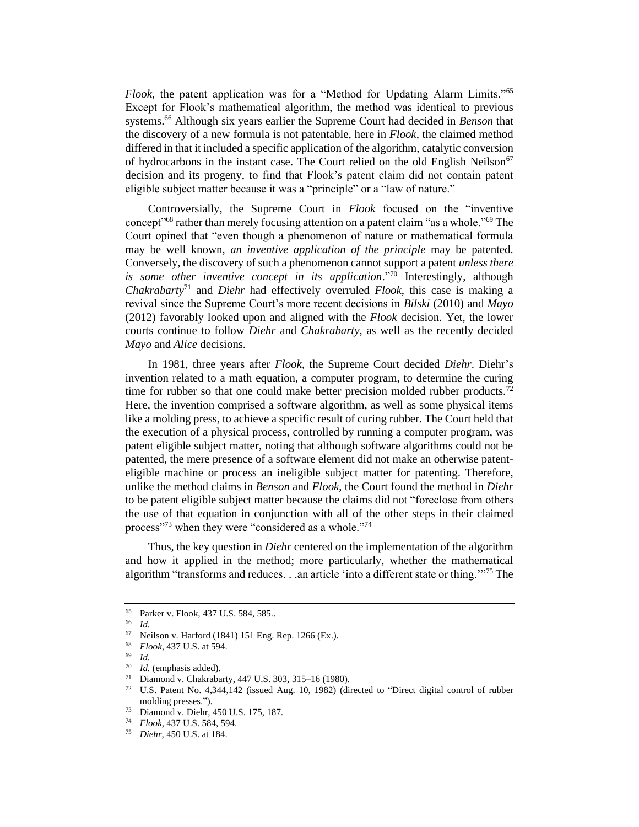*Flook*, the patent application was for a "Method for Updating Alarm Limits."<sup>65</sup> Except for Flook's mathematical algorithm, the method was identical to previous systems.<sup>66</sup> Although six years earlier the Supreme Court had decided in *Benson* that the discovery of a new formula is not patentable, here in *Flook*, the claimed method differed in that it included a specific application of the algorithm, catalytic conversion of hydrocarbons in the instant case. The Court relied on the old English Neilson<sup>67</sup> decision and its progeny, to find that Flook's patent claim did not contain patent eligible subject matter because it was a "principle" or a "law of nature."

Controversially, the Supreme Court in *Flook* focused on the "inventive concept<sup>"68</sup> rather than merely focusing attention on a patent claim "as a whole."<sup>69</sup> The Court opined that "even though a phenomenon of nature or mathematical formula may be well known, *an inventive application of the principle* may be patented. Conversely, the discovery of such a phenomenon cannot support a patent *unless there is some other inventive concept in its application*."<sup>70</sup> Interestingly, although *Chakrabarty*<sup>71</sup> and *Diehr* had effectively overruled *Flook*, this case is making a revival since the Supreme Court's more recent decisions in *Bilski* (2010) and *Mayo* (2012) favorably looked upon and aligned with the *Flook* decision. Yet, the lower courts continue to follow *Diehr* and *Chakrabarty*, as well as the recently decided *Mayo* and *Alice* decisions.

In 1981, three years after *Flook*, the Supreme Court decided *Diehr*. Diehr's invention related to a math equation, a computer program, to determine the curing time for rubber so that one could make better precision molded rubber products.<sup>72</sup> Here, the invention comprised a software algorithm, as well as some physical items like a molding press, to achieve a specific result of curing rubber. The Court held that the execution of a physical process, controlled by running a computer program, was patent eligible subject matter, noting that although software algorithms could not be patented, the mere presence of a software element did not make an otherwise patenteligible machine or process an ineligible subject matter for patenting. Therefore, unlike the method claims in *Benson* and *Flook*, the Court found the method in *Diehr* to be patent eligible subject matter because the claims did not "foreclose from others the use of that equation in conjunction with all of the other steps in their claimed process"<sup>73</sup> when they were "considered as a whole."<sup>74</sup>

Thus, the key question in *Diehr* centered on the implementation of the algorithm and how it applied in the method; more particularly, whether the mathematical algorithm "transforms and reduces. . .an article 'into a different state or thing.'"<sup>75</sup> The

<sup>65</sup> Parker v. Flook, 437 U.S. 584, 585..

 $\frac{66}{67}$  *Id.* 

Neilson v. Harford (1841) 151 Eng. Rep. 1266 (Ex.).

<sup>68</sup> *Flook*, 437 U.S. at 594.

 $\frac{69}{70}$  *Id.* 

 $^{70}$  *Id.* (emphasis added).<br> $^{71}$  Diamond v. Chakraba

<sup>&</sup>lt;sup>71</sup> Diamond v. Chakrabarty, 447 U.S. 303, 315–16 (1980).<br><sup>72</sup> U.S. Patent No. 4.344 142 (issued Aug. 10, 1982) (di

U.S. Patent No. 4,344,142 (issued Aug. 10, 1982) (directed to "Direct digital control of rubber molding presses.").

<sup>&</sup>lt;sup>73</sup> Diamond v. Diehr, 450 U.S. 175, 187.<br><sup>74</sup> Elook 437 U.S. 584, 594.

<sup>74</sup> *Flook*, 437 U.S. 584, 594.

<sup>75</sup> *Diehr*, 450 U.S. at 184.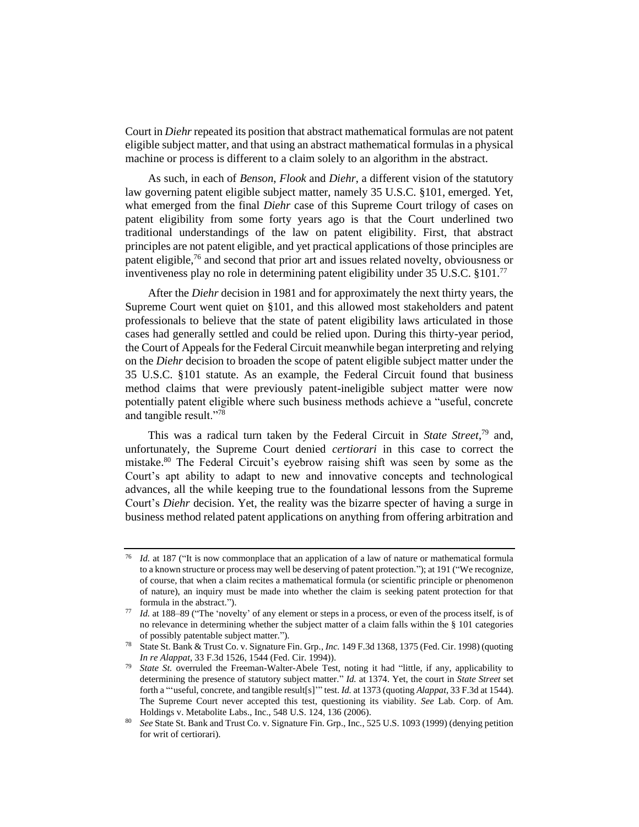Court in *Diehr* repeated its position that abstract mathematical formulas are not patent eligible subject matter, and that using an abstract mathematical formulas in a physical machine or process is different to a claim solely to an algorithm in the abstract.

As such, in each of *Benson*, *Flook* and *Diehr*, a different vision of the statutory law governing patent eligible subject matter, namely 35 U.S.C. §101, emerged. Yet, what emerged from the final *Diehr* case of this Supreme Court trilogy of cases on patent eligibility from some forty years ago is that the Court underlined two traditional understandings of the law on patent eligibility. First, that abstract principles are not patent eligible, and yet practical applications of those principles are patent eligible,<sup>76</sup> and second that prior art and issues related novelty, obviousness or inventiveness play no role in determining patent eligibility under 35 U.S.C. §101.<sup>77</sup>

After the *Diehr* decision in 1981 and for approximately the next thirty years, the Supreme Court went quiet on §101, and this allowed most stakeholders and patent professionals to believe that the state of patent eligibility laws articulated in those cases had generally settled and could be relied upon. During this thirty-year period, the Court of Appeals for the Federal Circuit meanwhile began interpreting and relying on the *Diehr* decision to broaden the scope of patent eligible subject matter under the 35 U.S.C. §101 statute. As an example, the Federal Circuit found that business method claims that were previously patent-ineligible subject matter were now potentially patent eligible where such business methods achieve a "useful, concrete and tangible result."<sup>78</sup>

This was a radical turn taken by the Federal Circuit in *State Street*, <sup>79</sup> and, unfortunately, the Supreme Court denied *certiorari* in this case to correct the mistake.<sup>80</sup> The Federal Circuit's eyebrow raising shift was seen by some as the Court's apt ability to adapt to new and innovative concepts and technological advances, all the while keeping true to the foundational lessons from the Supreme Court's *Diehr* decision. Yet, the reality was the bizarre specter of having a surge in business method related patent applications on anything from offering arbitration and

*Id.* at 187 ("It is now commonplace that an application of a law of nature or mathematical formula to a known structure or process may well be deserving of patent protection."); at 191 ("We recognize, of course, that when a claim recites a mathematical formula (or scientific principle or phenomenon of nature), an inquiry must be made into whether the claim is seeking patent protection for that formula in the abstract.").

*Id.* at 188–89 ("The 'novelty' of any element or steps in a process, or even of the process itself, is of no relevance in determining whether the subject matter of a claim falls within the § 101 categories of possibly patentable subject matter.").

<sup>78</sup> State St. Bank & Trust Co. v. Signature Fin. Grp*., Inc.* 149 F.3d 1368, 1375 (Fed. Cir. 1998) (quoting *In re Alappat*, 33 F.3d 1526, 1544 (Fed. Cir. 1994)).

*State St.* overruled the Freeman-Walter-Abele Test, noting it had "little, if any, applicability to determining the presence of statutory subject matter." *Id.* at 1374. Yet, the court in *State Street* set forth a "'useful, concrete, and tangible result[s]'" test. *Id.* at 1373 (quoting *Alappat*, 33 F.3d at 1544). The Supreme Court never accepted this test, questioning its viability. *See* Lab. Corp. of Am. Holdings v. Metabolite Labs., Inc., 548 U.S. 124, 136 (2006).

<sup>80</sup> *See* State St. Bank and Trust Co. v. Signature Fin. Grp., Inc*.*, 525 U.S. 1093 (1999) (denying petition for writ of certiorari).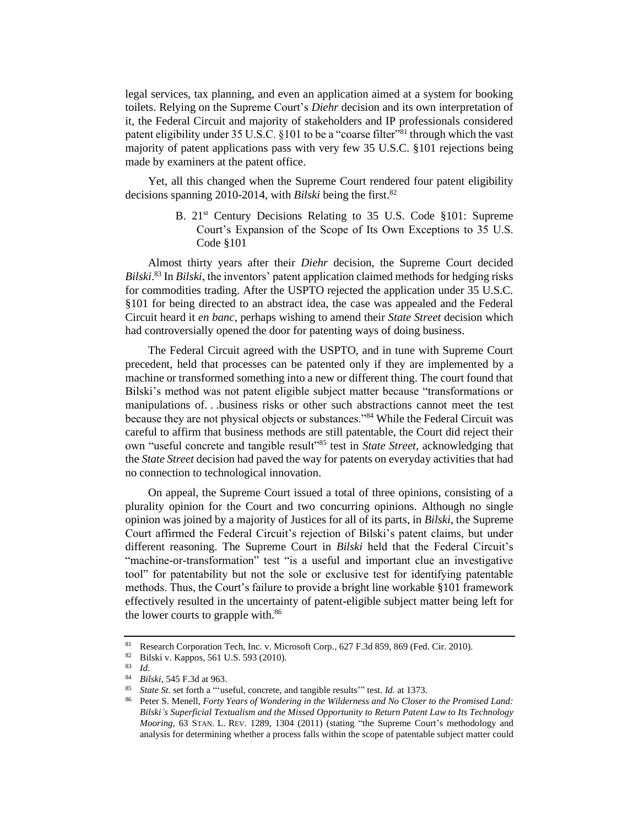legal services, tax planning, and even an application aimed at a system for booking toilets. Relying on the Supreme Court's *Diehr* decision and its own interpretation of it, the Federal Circuit and majority of stakeholders and IP professionals considered patent eligibility under 35 U.S.C. §101 to be a "coarse filter"<sup>81</sup> through which the vast majority of patent applications pass with very few 35 U.S.C. §101 rejections being made by examiners at the patent office.

Yet, all this changed when the Supreme Court rendered four patent eligibility decisions spanning 2010-2014, with *Bilski* being the first.<sup>82</sup>

> B. 21<sup>st</sup> Century Decisions Relating to 35 U.S. Code §101: Supreme Court's Expansion of the Scope of Its Own Exceptions to 35 U.S. Code §101

Almost thirty years after their *Diehr* decision, the Supreme Court decided *Bilski*. <sup>83</sup> In *Bilski*, the inventors' patent application claimed methods for hedging risks for commodities trading. After the USPTO rejected the application under 35 U.S.C. §101 for being directed to an abstract idea, the case was appealed and the Federal Circuit heard it *en banc*, perhaps wishing to amend their *State Street* decision which had controversially opened the door for patenting ways of doing business.

The Federal Circuit agreed with the USPTO, and in tune with Supreme Court precedent, held that processes can be patented only if they are implemented by a machine or transformed something into a new or different thing. The court found that Bilski's method was not patent eligible subject matter because "transformations or manipulations of. . .business risks or other such abstractions cannot meet the test because they are not physical objects or substances."<sup>84</sup> While the Federal Circuit was careful to affirm that business methods are still patentable, the Court did reject their own "useful concrete and tangible result"<sup>85</sup> test in *State Street*, acknowledging that the *State Street* decision had paved the way for patents on everyday activities that had no connection to technological innovation.

On appeal, the Supreme Court issued a total of three opinions, consisting of a plurality opinion for the Court and two concurring opinions. Although no single opinion was joined by a majority of Justices for all of its parts, in *Bilski*, the Supreme Court affirmed the Federal Circuit's rejection of Bilski's patent claims, but under different reasoning. The Supreme Court in *Bilski* held that the Federal Circuit's "machine-or-transformation" test "is a useful and important clue an investigative tool" for patentability but not the sole or exclusive test for identifying patentable methods. Thus, the Court's failure to provide a bright line workable §101 framework effectively resulted in the uncertainty of patent-eligible subject matter being left for the lower courts to grapple with.<sup>86</sup>

<sup>81</sup> Research Corporation Tech, Inc. v. Microsoft Corp., 627 F.3d 859, 869 (Fed. Cir. 2010).<br><sup>82</sup> Rilski v Kannos 561 U.S. 593 (2010)

 $rac{82}{16}$  Bilski v. Kappos, 561 U.S. 593 (2010).

 $\frac{83}{84}$  *Id.* 

<sup>84</sup> *Bilski*, 545 F.3d at 963.

<sup>85</sup> *State St.* set forth a "'useful, concrete, and tangible results'" test. *Id.* at 1373.

<sup>86</sup> Peter S. Menell, *Forty Years of Wondering in the Wilderness and No Closer to the Promised Land: Bilski's Superficial Textualism and the Missed Opportunity to Return Patent Law to Its Technology Mooring*, 63 STAN. L. REV. 1289, 1304 (2011) (stating "the Supreme Court's methodology and analysis for determining whether a process falls within the scope of patentable subject matter could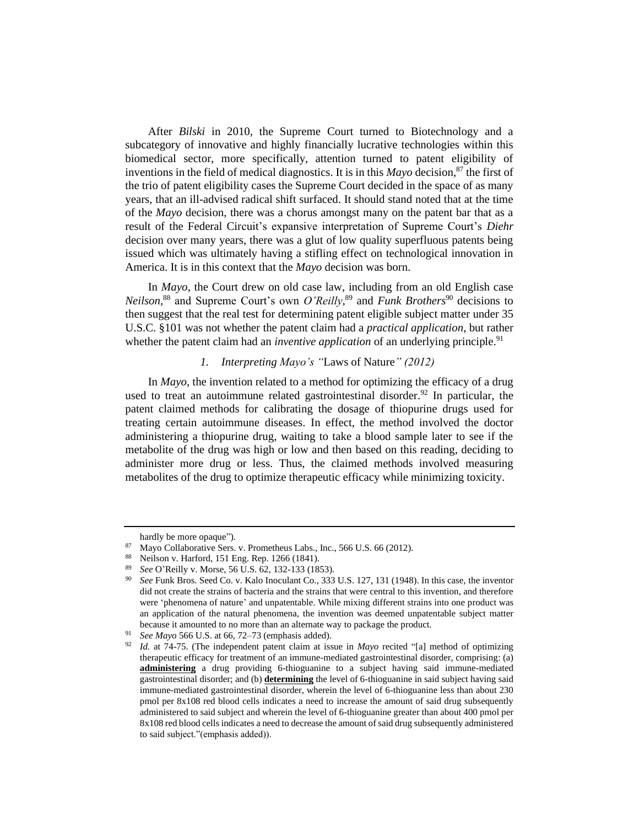After *Bilski* in 2010, the Supreme Court turned to Biotechnology and a subcategory of innovative and highly financially lucrative technologies within this biomedical sector, more specifically, attention turned to patent eligibility of inventions in the field of medical diagnostics. It is in this *Mayo* decision,<sup>87</sup> the first of the trio of patent eligibility cases the Supreme Court decided in the space of as many years, that an ill-advised radical shift surfaced. It should stand noted that at the time of the *Mayo* decision, there was a chorus amongst many on the patent bar that as a result of the Federal Circuit's expansive interpretation of Supreme Court's *Diehr* decision over many years, there was a glut of low quality superfluous patents being issued which was ultimately having a stifling effect on technological innovation in America. It is in this context that the *Mayo* decision was born.

In *Mayo*, the Court drew on old case law, including from an old English case *Neilson*,<sup>88</sup> and Supreme Court's own *O'Reilly*,<sup>89</sup> and *Funk Brothers*<sup>90</sup> decisions to then suggest that the real test for determining patent eligible subject matter under 35 U.S.C. §101 was not whether the patent claim had a *practical application*, but rather whether the patent claim had an *inventive application* of an underlying principle.<sup>91</sup>

# *1. Interpreting Mayo's "*Laws of Nature*" (2012)*

In *Mayo*, the invention related to a method for optimizing the efficacy of a drug used to treat an autoimmune related gastrointestinal disorder.<sup>92</sup> In particular, the patent claimed methods for calibrating the dosage of thiopurine drugs used for treating certain autoimmune diseases. In effect, the method involved the doctor administering a thiopurine drug, waiting to take a blood sample later to see if the metabolite of the drug was high or low and then based on this reading, deciding to administer more drug or less. Thus, the claimed methods involved measuring metabolites of the drug to optimize therapeutic efficacy while minimizing toxicity.

hardly be more opaque").

<sup>87</sup> Mayo Collaborative Sers. v. Prometheus Labs., Inc., 566 U.S. 66 (2012).

Neilson v. Harford, 151 Eng. Rep. 1266 (1841).

<sup>89</sup> *See* O'Reilly v. Morse, 56 U.S. 62, 132-133 (1853).

<sup>90</sup> *See* Funk Bros. Seed Co. v. Kalo Inoculant Co., 333 U.S. 127, 131 (1948). In this case, the inventor did not create the strains of bacteria and the strains that were central to this invention, and therefore were 'phenomena of nature' and unpatentable. While mixing different strains into one product was an application of the natural phenomena, the invention was deemed unpatentable subject matter because it amounted to no more than an alternate way to package the product.

See Mayo 566 U.S. at 66, 72–73 (emphasis added).

<sup>92</sup> *Id.* at 74-75. (The independent patent claim at issue in *Mayo* recited "[a] method of optimizing therapeutic efficacy for treatment of an immune-mediated gastrointestinal disorder, comprising: (a) **administering** a drug providing 6-thioguanine to a subject having said immune-mediated gastrointestinal disorder; and (b) **determining** the level of 6-thioguanine in said subject having said immune-mediated gastrointestinal disorder, wherein the level of 6-thioguanine less than about 230 pmol per 8x108 red blood cells indicates a need to increase the amount of said drug subsequently administered to said subject and wherein the level of 6-thioguanine greater than about 400 pmol per 8x108 red blood cells indicates a need to decrease the amount of said drug subsequently administered to said subject."(emphasis added)).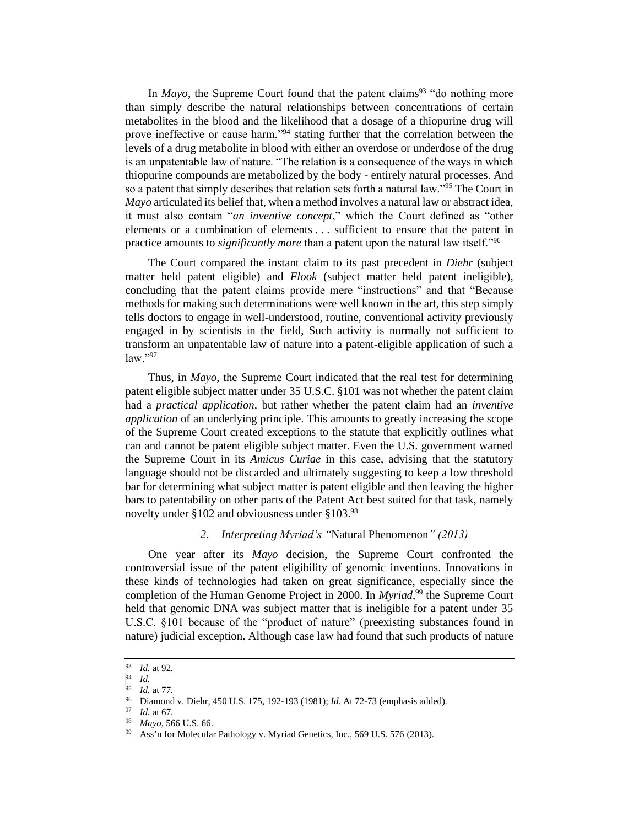In  $Mayo$ , the Supreme Court found that the patent claims<sup>93</sup> "do nothing more than simply describe the natural relationships between concentrations of certain metabolites in the blood and the likelihood that a dosage of a thiopurine drug will prove ineffective or cause harm,"<sup>94</sup> stating further that the correlation between the levels of a drug metabolite in blood with either an overdose or underdose of the drug is an unpatentable law of nature. "The relation is a consequence of the ways in which thiopurine compounds are metabolized by the body - entirely natural processes. And so a patent that simply describes that relation sets forth a natural law."<sup>95</sup> The Court in *Mayo* articulated its belief that, when a method involves a natural law or abstract idea, it must also contain "*an inventive concept*," which the Court defined as "other elements or a combination of elements . . . sufficient to ensure that the patent in practice amounts to *significantly more* than a patent upon the natural law itself."<sup>96</sup>

The Court compared the instant claim to its past precedent in *Diehr* (subject matter held patent eligible) and *Flook* (subject matter held patent ineligible), concluding that the patent claims provide mere "instructions" and that "Because methods for making such determinations were well known in the art, this step simply tells doctors to engage in well-understood, routine, conventional activity previously engaged in by scientists in the field, Such activity is normally not sufficient to transform an unpatentable law of nature into a patent-eligible application of such a law."<sup>97</sup>

Thus, in *Mayo*, the Supreme Court indicated that the real test for determining patent eligible subject matter under 35 U.S.C. §101 was not whether the patent claim had a *practical application*, but rather whether the patent claim had an *inventive application* of an underlying principle. This amounts to greatly increasing the scope of the Supreme Court created exceptions to the statute that explicitly outlines what can and cannot be patent eligible subject matter. Even the U.S. government warned the Supreme Court in its *Amicus Curiae* in this case, advising that the statutory language should not be discarded and ultimately suggesting to keep a low threshold bar for determining what subject matter is patent eligible and then leaving the higher bars to patentability on other parts of the Patent Act best suited for that task, namely novelty under §102 and obviousness under §103.98

## *2. Interpreting Myriad's "*Natural Phenomenon*" (2013)*

One year after its *Mayo* decision, the Supreme Court confronted the controversial issue of the patent eligibility of genomic inventions. Innovations in these kinds of technologies had taken on great significance, especially since the completion of the Human Genome Project in 2000. In *Myriad*, <sup>99</sup> the Supreme Court held that genomic DNA was subject matter that is ineligible for a patent under 35 U.S.C. §101 because of the "product of nature" (preexisting substances found in nature) judicial exception. Although case law had found that such products of nature

<sup>93</sup> *Id.* at 92*.*

 $^{94}_{95}$  *Id.* 

<sup>95</sup> *Id.* at 77*.*

<sup>96</sup> Diamond v. Diehr*,* 450 U.S. 175, 192-193 (1981); *Id.* At 72-73 (emphasis added)*.* 

<sup>97</sup> *Id.* at 67*.*

<sup>98</sup> *Mayo*, 566 U.S. 66.

<sup>&</sup>lt;sup>99</sup> Ass'n for Molecular Pathology v. Myriad Genetics, Inc., 569 U.S. 576 (2013).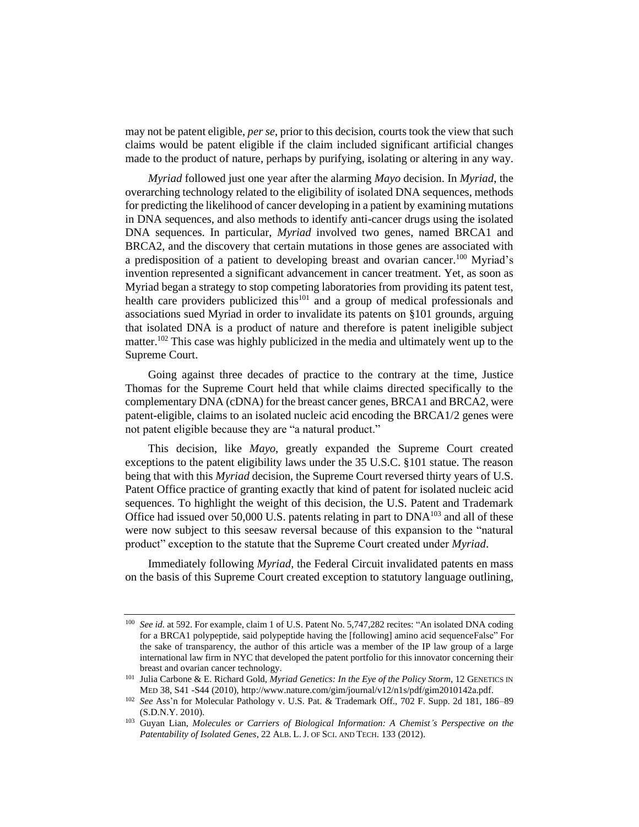may not be patent eligible, *per se*, prior to this decision, courts took the view that such claims would be patent eligible if the claim included significant artificial changes made to the product of nature, perhaps by purifying, isolating or altering in any way.

*Myriad* followed just one year after the alarming *Mayo* decision. In *Myriad*, the overarching technology related to the eligibility of isolated DNA sequences, methods for predicting the likelihood of cancer developing in a patient by examining mutations in DNA sequences, and also methods to identify anti-cancer drugs using the isolated DNA sequences. In particular, *Myriad* involved two genes, named BRCA1 and BRCA2, and the discovery that certain mutations in those genes are associated with a predisposition of a patient to developing breast and ovarian cancer.<sup>100</sup> Myriad's invention represented a significant advancement in cancer treatment. Yet, as soon as Myriad began a strategy to stop competing laboratories from providing its patent test, health care providers publicized this<sup>101</sup> and a group of medical professionals and associations sued Myriad in order to invalidate its patents on §101 grounds, arguing that isolated DNA is a product of nature and therefore is patent ineligible subject matter.<sup>102</sup> This case was highly publicized in the media and ultimately went up to the Supreme Court.

Going against three decades of practice to the contrary at the time, Justice Thomas for the Supreme Court held that while claims directed specifically to the complementary DNA (cDNA) for the breast cancer genes, BRCA1 and BRCA2, were patent-eligible, claims to an isolated nucleic acid encoding the BRCA1/2 genes were not patent eligible because they are "a natural product."

This decision, like *Mayo*, greatly expanded the Supreme Court created exceptions to the patent eligibility laws under the 35 U.S.C. §101 statue. The reason being that with this *Myriad* decision, the Supreme Court reversed thirty years of U.S. Patent Office practice of granting exactly that kind of patent for isolated nucleic acid sequences. To highlight the weight of this decision, the U.S. Patent and Trademark Office had issued over  $50,000$  U.S. patents relating in part to  $DNA^{103}$  and all of these were now subject to this seesaw reversal because of this expansion to the "natural product" exception to the statute that the Supreme Court created under *Myriad*.

Immediately following *Myriad*, the Federal Circuit invalidated patents en mass on the basis of this Supreme Court created exception to statutory language outlining,

<sup>&</sup>lt;sup>100</sup> *See id.* at 592. For example, claim 1 of U.S. Patent No. 5,747,282 recites: "An isolated DNA coding for a BRCA1 polypeptide, said polypeptide having the [following] amino acid sequenceFalse" For the sake of transparency, the author of this article was a member of the IP law group of a large international law firm in NYC that developed the patent portfolio for this innovator concerning their breast and ovarian cancer technology.

<sup>101</sup> Julia Carbone & E. Richard Gold, *Myriad Genetics: In the Eye of the Policy Storm*, 12 GENETICS IN MED 38, S41 -S44 (2010), http://www.nature.com/gim/journal/v12/n1s/pdf/gim2010142a.pdf.

<sup>102</sup> *See* Ass'n for Molecular Pathology v. U.S. Pat. & Trademark Off., 702 F. Supp. 2d 181, 186–89 (S.D.N.Y. 2010).

<sup>103</sup> Guyan Lian, *Molecules or Carriers of Biological Information: A Chemist's Perspective on the Patentability of Isolated Genes*, 22 ALB. L.J. OF SCI. AND TECH. 133 (2012).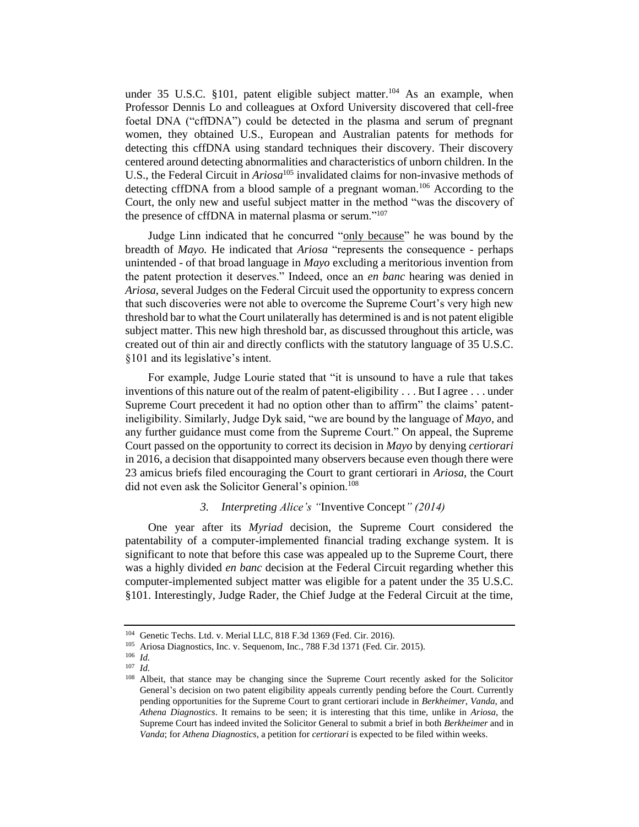under 35 U.S.C. §101, patent eligible subject matter.<sup>104</sup> As an example, when Professor Dennis Lo and colleagues at Oxford University discovered that cell-free foetal DNA ("cffDNA") could be detected in the plasma and serum of pregnant women, they obtained U.S., European and Australian patents for methods for detecting this cffDNA using standard techniques their discovery. Their discovery centered around detecting abnormalities and characteristics of unborn children. In the U.S., the Federal Circuit in *Ariosa*<sup>105</sup> invalidated claims for non-invasive methods of detecting cffDNA from a blood sample of a pregnant woman.<sup>106</sup> According to the Court, the only new and useful subject matter in the method "was the discovery of the presence of cffDNA in maternal plasma or serum."<sup>107</sup>

Judge Linn indicated that he concurred "only because" he was bound by the breadth of *Mayo.* He indicated that *Ariosa* "represents the consequence - perhaps unintended - of that broad language in *Mayo* excluding a meritorious invention from the patent protection it deserves." Indeed, once an *en banc* hearing was denied in *Ariosa*, several Judges on the Federal Circuit used the opportunity to express concern that such discoveries were not able to overcome the Supreme Court's very high new threshold bar to what the Court unilaterally has determined is and is not patent eligible subject matter. This new high threshold bar, as discussed throughout this article, was created out of thin air and directly conflicts with the statutory language of 35 U.S.C. §101 and its legislative's intent.

For example, Judge Lourie stated that "it is unsound to have a rule that takes inventions of this nature out of the realm of patent-eligibility . . . But I agree . . . under Supreme Court precedent it had no option other than to affirm" the claims' patentineligibility. Similarly, Judge Dyk said, "we are bound by the language of *Mayo*, and any further guidance must come from the Supreme Court." On appeal, the Supreme Court passed on the opportunity to correct its decision in *Mayo* by denying *certiorari* in 2016, a decision that disappointed many observers because even though there were 23 amicus briefs filed encouraging the Court to grant certiorari in *Ariosa*, the Court did not even ask the Solicitor General's opinion.<sup>108</sup>

# *3. Interpreting Alice's "*Inventive Concept*" (2014)*

One year after its *Myriad* decision, the Supreme Court considered the patentability of a computer-implemented financial trading exchange system. It is significant to note that before this case was appealed up to the Supreme Court, there was a highly divided *en banc* decision at the Federal Circuit regarding whether this computer-implemented subject matter was eligible for a patent under the 35 U.S.C. §101. Interestingly, Judge Rader, the Chief Judge at the Federal Circuit at the time,

<sup>&</sup>lt;sup>104</sup> Genetic Techs. Ltd. v. Merial LLC, 818 F.3d 1369 (Fed. Cir. 2016).<br><sup>105</sup> Ariosa Diagnostics Inc. v. Sequenom Inc. 788 F.3d 1371 (Fed. Cir.

<sup>105</sup> Ariosa Diagnostics, Inc. v. Sequenom, Inc*.*, 788 F.3d 1371 (Fed. Cir. 2015).

<sup>106</sup> *Id.*

<sup>107</sup> *Id.*

<sup>&</sup>lt;sup>108</sup> Albeit, that stance may be changing since the Supreme Court recently asked for the Solicitor General's decision on two patent eligibility appeals currently pending before the Court. Currently pending opportunities for the Supreme Court to grant certiorari include in *Berkheimer*, *Vanda*, and *Athena Diagnostics*. It remains to be seen; it is interesting that this time, unlike in *Ariosa*, the Supreme Court has indeed invited the Solicitor General to submit a brief in both *Berkheimer* and in *Vanda*; for *Athena Diagnostics*, a petition for *certiorari* is expected to be filed within weeks.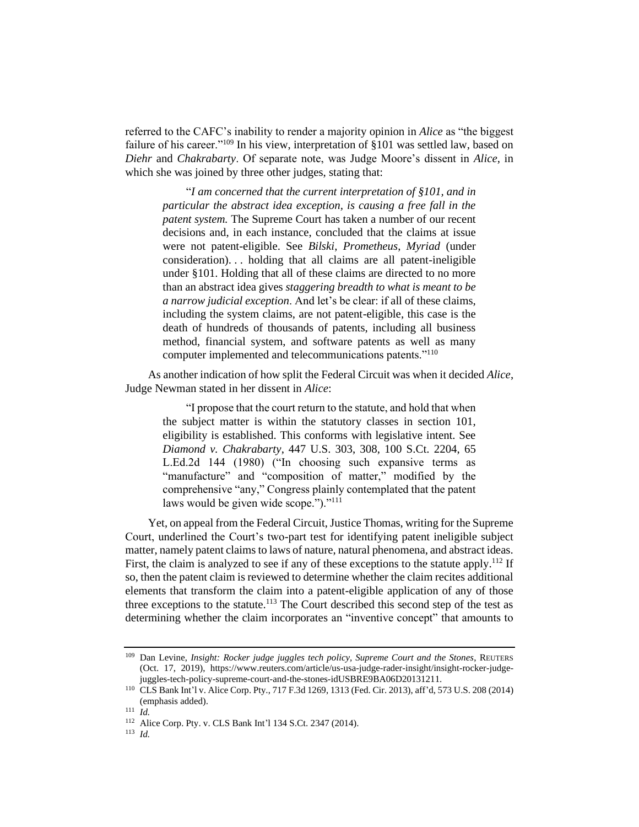referred to the CAFC's inability to render a majority opinion in *Alice* as "the biggest failure of his career."<sup>109</sup> In his view, interpretation of §101 was settled law, based on *Diehr* and *Chakrabarty*. Of separate note, was Judge Moore's dissent in *Alice*, in which she was joined by three other judges, stating that:

"*I am concerned that the current interpretation of §101, and in particular the abstract idea exception, is causing a free fall in the patent system.* The Supreme Court has taken a number of our recent decisions and, in each instance, concluded that the claims at issue were not patent-eligible. See *Bilski*, *Prometheus*, *Myriad* (under consideration). . . holding that all claims are all patent-ineligible under §101. Holding that all of these claims are directed to no more than an abstract idea gives *staggering breadth to what is meant to be a narrow judicial exception*. And let's be clear: if all of these claims, including the system claims, are not patent-eligible, this case is the death of hundreds of thousands of patents, including all business method, financial system, and software patents as well as many computer implemented and telecommunications patents."<sup>110</sup>

As another indication of how split the Federal Circuit was when it decided *Alice*, Judge Newman stated in her dissent in *Alice*:

"I propose that the court return to the statute, and hold that when the subject matter is within the statutory classes in section 101, eligibility is established. This conforms with legislative intent. See *Diamond v. Chakrabarty*, 447 U.S. 303, 308, 100 S.Ct. 2204, 65 L.Ed.2d 144 (1980) ("In choosing such expansive terms as "manufacture" and "composition of matter," modified by the comprehensive "any," Congress plainly contemplated that the patent laws would be given wide scope.")."<sup>111</sup>

Yet, on appeal from the Federal Circuit, Justice Thomas, writing for the Supreme Court, underlined the Court's two-part test for identifying patent ineligible subject matter, namely patent claims to laws of nature, natural phenomena, and abstract ideas. First, the claim is analyzed to see if any of these exceptions to the statute apply.<sup>112</sup> If so, then the patent claim is reviewed to determine whether the claim recites additional elements that transform the claim into a patent-eligible application of any of those three exceptions to the statute.<sup>113</sup> The Court described this second step of the test as determining whether the claim incorporates an "inventive concept" that amounts to

<sup>109</sup> Dan Levine, *Insight: Rocker judge juggles tech policy, Supreme Court and the Stones*, REUTERS (Oct. 17, 2019), https://www.reuters.com/article/us-usa-judge-rader-insight/insight-rocker-judgejuggles-tech-policy-supreme-court-and-the-stones-idUSBRE9BA06D20131211.

<sup>110</sup> CLS Bank Int'l v. Alice Corp. Pty., 717 F.3d 1269, 1313 (Fed. Cir. 2013), aff'd, 573 U.S. 208 (2014) (emphasis added).

<sup>111</sup> *Id.*

<sup>112</sup> Alice Corp. Pty. v. CLS Bank Int'l 134 S.Ct. 2347 (2014).

<sup>113</sup> *Id.*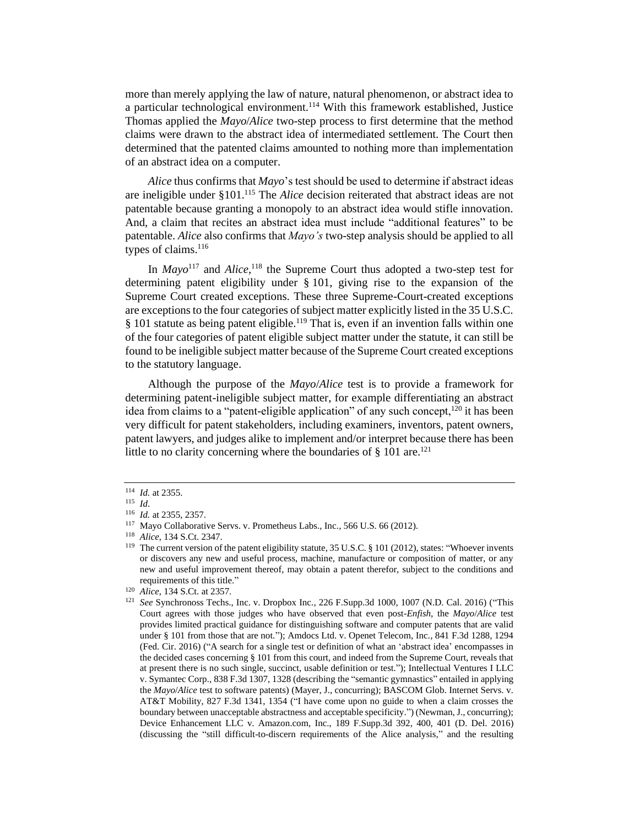more than merely applying the law of nature, natural phenomenon, or abstract idea to a particular technological environment.<sup>114</sup> With this framework established, Justice Thomas applied the *Mayo*/*Alice* two-step process to first determine that the method claims were drawn to the abstract idea of intermediated settlement. The Court then determined that the patented claims amounted to nothing more than implementation of an abstract idea on a computer.

*Alice* thus confirms that *Mayo*'s test should be used to determine if abstract ideas are ineligible under §101.<sup>115</sup> The *Alice* decision reiterated that abstract ideas are not patentable because granting a monopoly to an abstract idea would stifle innovation. And, a claim that recites an abstract idea must include "additional features" to be patentable. *Alice* also confirms that *Mayo's* two-step analysis should be applied to all types of claims.<sup>116</sup>

In *Mayo*<sup>117</sup> and *Alice*,<sup>118</sup> the Supreme Court thus adopted a two-step test for determining patent eligibility under §101, giving rise to the expansion of the Supreme Court created exceptions. These three Supreme-Court-created exceptions are exceptions to the four categories of subject matter explicitly listed in the 35 U.S.C.  $§$  101 statute as being patent eligible.<sup>119</sup> That is, even if an invention falls within one of the four categories of patent eligible subject matter under the statute, it can still be found to be ineligible subject matter because of the Supreme Court created exceptions to the statutory language.

Although the purpose of the *Mayo*/*Alice* test is to provide a framework for determining patent-ineligible subject matter, for example differentiating an abstract idea from claims to a "patent-eligible application" of any such concept,  $120$  it has been very difficult for patent stakeholders, including examiners, inventors, patent owners, patent lawyers, and judges alike to implement and/or interpret because there has been little to no clarity concerning where the boundaries of  $\S$  101 are.<sup>121</sup>

<sup>114</sup> *Id.* at 2355.

<sup>115</sup> *Id*.

<sup>116</sup> *Id.* at 2355, 2357.

<sup>117</sup> Mayo Collaborative Servs. v. Prometheus Labs., Inc*.*, 566 U.S. 66 (2012).

<sup>118</sup> *Alice*, 134 S.Ct. 2347.

<sup>&</sup>lt;sup>119</sup> The current version of the patent eligibility statute, 35 U.S.C. § 101 (2012), states: "Whoever invents or discovers any new and useful process, machine, manufacture or composition of matter, or any new and useful improvement thereof, may obtain a patent therefor, subject to the conditions and requirements of this title."

<sup>120</sup> *Alice*, 134 S.Ct. at 2357.

<sup>121</sup> *See* Synchronoss Techs., Inc. v. Dropbox Inc*.*, 226 F.Supp.3d 1000, 1007 (N.D. Cal. 2016) ("This Court agrees with those judges who have observed that even post-*Enfish*, the *Mayo*/*Alice* test provides limited practical guidance for distinguishing software and computer patents that are valid under § 101 from those that are not."); Amdocs Ltd. v. Openet Telecom, Inc*.*, 841 F.3d 1288, 1294 (Fed. Cir. 2016) ("A search for a single test or definition of what an 'abstract idea' encompasses in the decided cases concerning § 101 from this court, and indeed from the Supreme Court, reveals that at present there is no such single, succinct, usable definition or test."); Intellectual Ventures I LLC v. Symantec Corp*.*, 838 F.3d 1307, 1328 (describing the "semantic gymnastics" entailed in applying the *Mayo*/*Alice* test to software patents) (Mayer, J., concurring); BASCOM Glob. Internet Servs. v. AT&T Mobility, 827 F.3d 1341, 1354 ("I have come upon no guide to when a claim crosses the boundary between unacceptable abstractness and acceptable specificity.") (Newman, J., concurring); Device Enhancement LLC v. Amazon.com, Inc., 189 F.Supp.3d 392, 400, 401 (D. Del. 2016) (discussing the "still difficult-to-discern requirements of the Alice analysis," and the resulting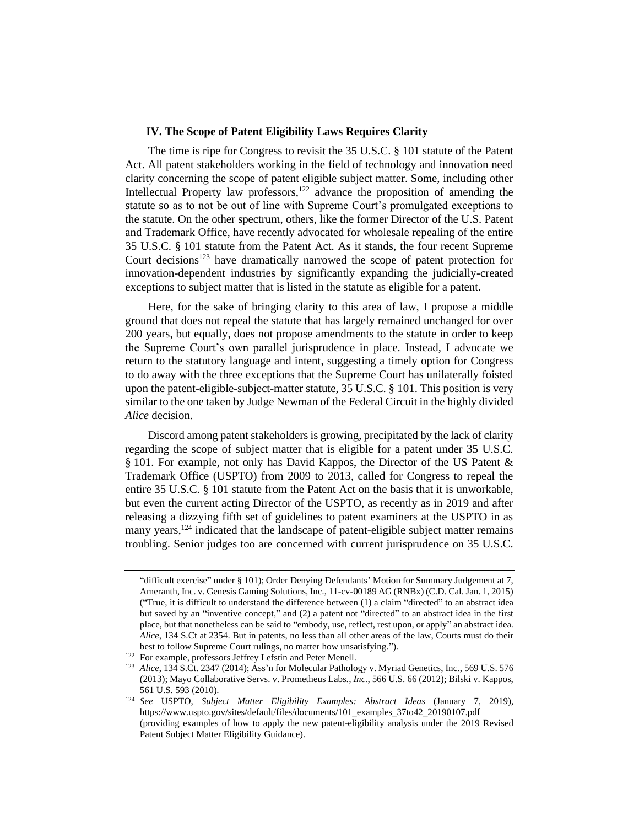## **IV. The Scope of Patent Eligibility Laws Requires Clarity**

The time is ripe for Congress to revisit the 35 U.S.C. §101 statute of the Patent Act. All patent stakeholders working in the field of technology and innovation need clarity concerning the scope of patent eligible subject matter. Some, including other Intellectual Property law professors, $122$  advance the proposition of amending the statute so as to not be out of line with Supreme Court's promulgated exceptions to the statute. On the other spectrum, others, like the former Director of the U.S. Patent and Trademark Office, have recently advocated for wholesale repealing of the entire 35 U.S.C. §101 statute from the Patent Act. As it stands, the four recent Supreme Court decisions<sup>123</sup> have dramatically narrowed the scope of patent protection for innovation-dependent industries by significantly expanding the judicially-created exceptions to subject matter that is listed in the statute as eligible for a patent.

Here, for the sake of bringing clarity to this area of law, I propose a middle ground that does not repeal the statute that has largely remained unchanged for over 200 years, but equally, does not propose amendments to the statute in order to keep the Supreme Court's own parallel jurisprudence in place. Instead, I advocate we return to the statutory language and intent, suggesting a timely option for Congress to do away with the three exceptions that the Supreme Court has unilaterally foisted upon the patent-eligible-subject-matter statute, 35 U.S.C. §101. This position is very similar to the one taken by Judge Newman of the Federal Circuit in the highly divided *Alice* decision.

Discord among patent stakeholders is growing, precipitated by the lack of clarity regarding the scope of subject matter that is eligible for a patent under 35 U.S.C. § 101. For example, not only has David Kappos, the Director of the US Patent & Trademark Office (USPTO) from 2009 to 2013, called for Congress to repeal the entire 35 U.S.C. §101 statute from the Patent Act on the basis that it is unworkable, but even the current acting Director of the USPTO, as recently as in 2019 and after releasing a dizzying fifth set of guidelines to patent examiners at the USPTO in as many years, $124$  indicated that the landscape of patent-eligible subject matter remains troubling. Senior judges too are concerned with current jurisprudence on 35 U.S.C.

<sup>&</sup>quot;difficult exercise" under § 101); Order Denying Defendants' Motion for Summary Judgement at 7, Ameranth, Inc. v. Genesis Gaming Solutions, Inc*.*, 11-cv-00189 AG (RNBx) (C.D. Cal. Jan. 1, 2015) ("True, it is difficult to understand the difference between (1) a claim "directed" to an abstract idea but saved by an "inventive concept," and (2) a patent not "directed" to an abstract idea in the first place, but that nonetheless can be said to "embody, use, reflect, rest upon, or apply" an abstract idea. *Alice*, 134 S.Ct at 2354. But in patents, no less than all other areas of the law, Courts must do their best to follow Supreme Court rulings, no matter how unsatisfying.").

<sup>&</sup>lt;sup>122</sup> For example, professors Jeffrey Lefstin and Peter Menell.

<sup>123</sup> *Alice*, 134 S.Ct. 2347 (2014); Ass'n for Molecular Pathology v. Myriad Genetics, Inc*.*, 569 U.S. 576 (2013); Mayo Collaborative Servs. v. Prometheus Labs*., Inc.*, 566 U.S. 66 (2012); Bilski v. Kappos, 561 U.S. 593 (2010).

<sup>124</sup> *See* USPTO, *Subject Matter Eligibility Examples: Abstract Ideas* (January 7, 2019), [https://www.uspto.gov/sites/default/files/documents/101\\_examples\\_37to42\\_20190107.pdf](https://www.uspto.gov/sites/default/files/documents/101_examples_37to42_20190107.pdf) (providing examples of how to apply the new patent-eligibility analysis under the 2019 Revised Patent Subject Matter Eligibility Guidance).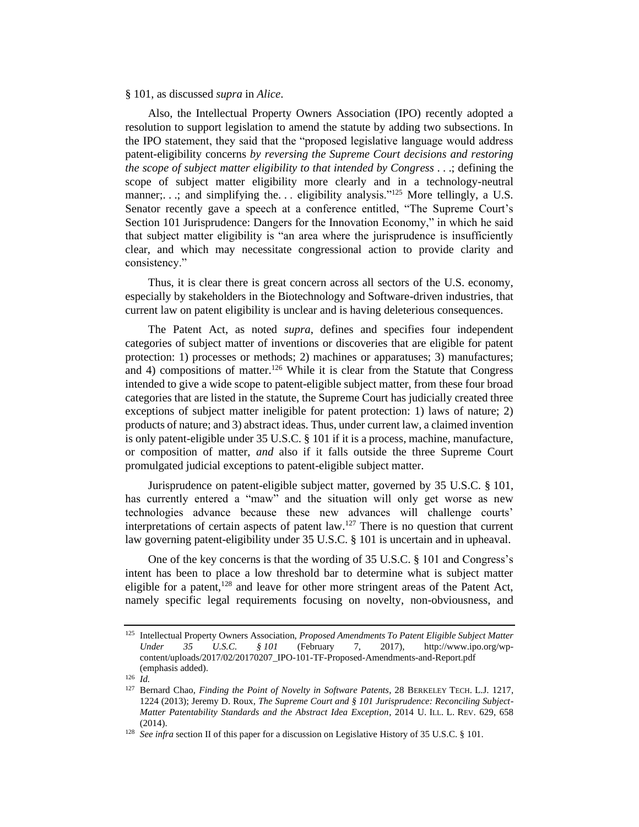#### §101, as discussed *supra* in *Alice*.

Also, the Intellectual Property Owners Association (IPO) recently adopted a resolution to support legislation to amend the statute by adding two subsections. In the IPO statement, they said that the "proposed legislative language would address patent-eligibility concerns *by reversing the Supreme Court decisions and restoring the scope of subject matter eligibility to that intended by Congress* . . .; defining the scope of subject matter eligibility more clearly and in a technology-neutral manner;...; and simplifying the... eligibility analysis."<sup>125</sup> More tellingly, a U.S. Senator recently gave a speech at a conference entitled, "The Supreme Court's Section 101 Jurisprudence: Dangers for the Innovation Economy," in which he said that subject matter eligibility is "an area where the jurisprudence is insufficiently clear, and which may necessitate congressional action to provide clarity and consistency."

Thus, it is clear there is great concern across all sectors of the U.S. economy, especially by stakeholders in the Biotechnology and Software-driven industries, that current law on patent eligibility is unclear and is having deleterious consequences.

The Patent Act, as noted *supra*, defines and specifies four independent categories of subject matter of inventions or discoveries that are eligible for patent protection: 1) processes or methods; 2) machines or apparatuses; 3) manufactures; and 4) compositions of matter.<sup>126</sup> While it is clear from the Statute that Congress intended to give a wide scope to patent-eligible subject matter, from these four broad categories that are listed in the statute, the Supreme Court has judicially created three exceptions of subject matter ineligible for patent protection: 1) laws of nature; 2) products of nature; and 3) abstract ideas. Thus, under current law, a claimed invention is only patent-eligible under 35 U.S.C. §101 if it is a process, machine, manufacture, or composition of matter, *and* also if it falls outside the three Supreme Court promulgated judicial exceptions to patent-eligible subject matter.

Jurisprudence on patent-eligible subject matter, governed by 35 U.S.C. §101, has currently entered a "maw" and the situation will only get worse as new technologies advance because these new advances will challenge courts' interpretations of certain aspects of patent law.<sup>127</sup> There is no question that current law governing patent-eligibility under 35 U.S.C. §101 is uncertain and in upheaval.

One of the key concerns is that the wording of 35 U.S.C. §101 and Congress's intent has been to place a low threshold bar to determine what is subject matter eligible for a patent,  $128$  and leave for other more stringent areas of the Patent Act, namely specific legal requirements focusing on novelty, non-obviousness, and

<sup>125</sup> Intellectual Property Owners Association, *Proposed Amendments To Patent Eligible Subject Matter Under 35 U.S.C. §101* (February 7, 2017), [http://www.ipo.org/wp](http://www.ipo.org/wp-content/uploads/2017/02/20170207_IPO-101-TF-Proposed-Amendments-and-Report.pdf)[content/uploads/2017/02/20170207\\_IPO-101-TF-Proposed-Amendments-and-Report.pdf](http://www.ipo.org/wp-content/uploads/2017/02/20170207_IPO-101-TF-Proposed-Amendments-and-Report.pdf) (emphasis added).

<sup>126</sup> *Id.*

<sup>127</sup> Bernard Chao, *Finding the Point of Novelty in Software Patents*, 28 BERKELEY TECH. L.J. 1217, 1224 (2013); Jeremy D. Roux, *The Supreme Court and § 101 Jurisprudence: Reconciling Subject-Matter Patentability Standards and the Abstract Idea Exception*, 2014 U. ILL. L. REV. 629, 658  $(2014)$ 

<sup>&</sup>lt;sup>128</sup> *See infra section II of this paper for a discussion on Legislative History of 35 U.S.C.* § 101.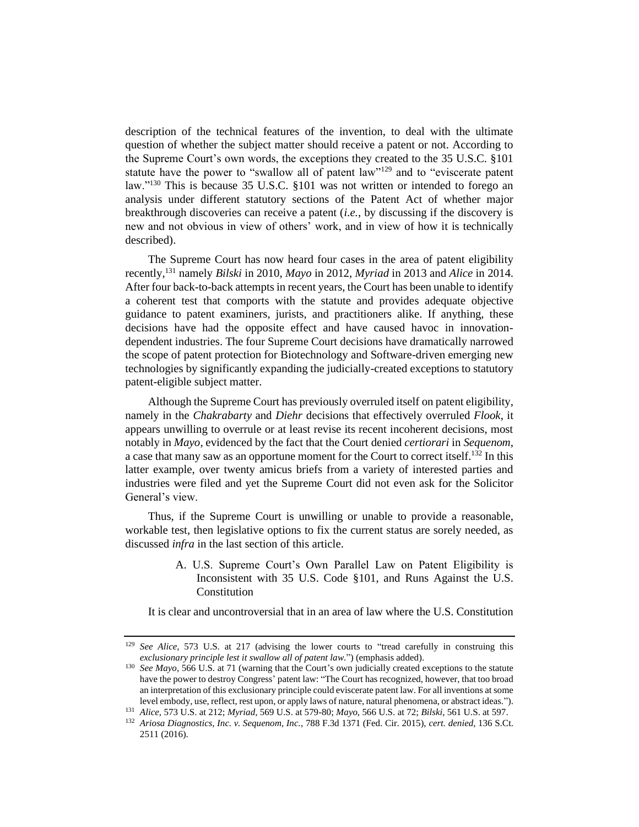description of the technical features of the invention, to deal with the ultimate question of whether the subject matter should receive a patent or not. According to the Supreme Court's own words, the exceptions they created to the 35 U.S.C. §101 statute have the power to "swallow all of patent law"<sup>129</sup> and to "eviscerate patent law."<sup>130</sup> This is because 35 U.S.C. §101 was not written or intended to forego an analysis under different statutory sections of the Patent Act of whether major breakthrough discoveries can receive a patent (*i.e.*, by discussing if the discovery is new and not obvious in view of others' work, and in view of how it is technically described).

The Supreme Court has now heard four cases in the area of patent eligibility recently,<sup>131</sup> namely *Bilski* in 2010, *Mayo* in 2012, *Myriad* in 2013 and *Alice* in 2014. After four back-to-back attempts in recent years, the Court has been unable to identify a coherent test that comports with the statute and provides adequate objective guidance to patent examiners, jurists, and practitioners alike. If anything, these decisions have had the opposite effect and have caused havoc in innovationdependent industries. The four Supreme Court decisions have dramatically narrowed the scope of patent protection for Biotechnology and Software-driven emerging new technologies by significantly expanding the judicially-created exceptions to statutory patent-eligible subject matter.

Although the Supreme Court has previously overruled itself on patent eligibility, namely in the *Chakrabarty* and *Diehr* decisions that effectively overruled *Flook*, it appears unwilling to overrule or at least revise its recent incoherent decisions, most notably in *Mayo*, evidenced by the fact that the Court denied *certiorari* in *Sequenom*, a case that many saw as an opportune moment for the Court to correct itself.<sup>132</sup> In this latter example, over twenty amicus briefs from a variety of interested parties and industries were filed and yet the Supreme Court did not even ask for the Solicitor General's view.

Thus, if the Supreme Court is unwilling or unable to provide a reasonable, workable test, then legislative options to fix the current status are sorely needed, as discussed *infra* in the last section of this article.

> A. U.S. Supreme Court's Own Parallel Law on Patent Eligibility is Inconsistent with 35 U.S. Code §101, and Runs Against the U.S. Constitution

It is clear and uncontroversial that in an area of law where the U.S. Constitution

<sup>&</sup>lt;sup>129</sup> *See Alice*, 573 U.S. at 217 (advising the lower courts to "tread carefully in construing this *exclusionary principle lest it swallow all of patent law*.") (emphasis added).

<sup>&</sup>lt;sup>130</sup> *See Mayo*, 566 U.S. at 71 (warning that the Court's own judicially created exceptions to the statute have the power to destroy Congress' patent law: "The Court has recognized, however, that too broad an interpretation of this exclusionary principle could eviscerate patent law. For all inventions at some level embody, use, reflect, rest upon, or apply laws of nature, natural phenomena, or abstract ideas.").

<sup>131</sup> *Alice,* 573 U.S. at 212; *Myriad,* 569 U.S. at 579-80; *Mayo*, 566 U.S. at 72; *Bilski*, 561 U.S. at 597.

<sup>132</sup> *Ariosa Diagnostics, Inc. v. Sequenom, Inc.*, 788 F.3d 1371 (Fed. Cir. 2015), *cert. denied*, 136 S.Ct. 2511 (2016).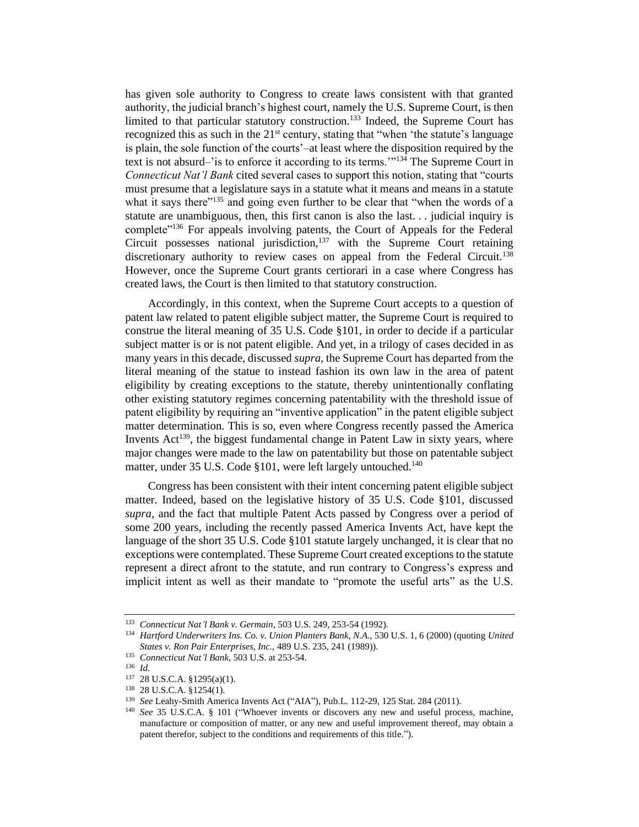has given sole authority to Congress to create laws consistent with that granted authority, the judicial branch's highest court, namely the U.S. Supreme Court, is then limited to that particular statutory construction.<sup>133</sup> Indeed, the Supreme Court has recognized this as such in the 21<sup>st</sup> century, stating that "when 'the statute's language is plain, the sole function of the courts'–at least where the disposition required by the text is not absurd–'is to enforce it according to its terms. $1^{134}$  The Supreme Court in *Connecticut Nat'l Bank* cited several cases to support this notion, stating that "courts must presume that a legislature says in a statute what it means and means in a statute what it says there"<sup>135</sup> and going even further to be clear that "when the words of a statute are unambiguous, then, this first canon is also the last. . . judicial inquiry is complete"<sup>136</sup> For appeals involving patents, the Court of Appeals for the Federal Circuit possesses national jurisdiction, $137$  with the Supreme Court retaining discretionary authority to review cases on appeal from the Federal Circuit.<sup>138</sup> However, once the Supreme Court grants certiorari in a case where Congress has created laws, the Court is then limited to that statutory construction.

Accordingly, in this context, when the Supreme Court accepts to a question of patent law related to patent eligible subject matter, the Supreme Court is required to construe the literal meaning of 35 U.S. Code §101, in order to decide if a particular subject matter is or is not patent eligible. And yet, in a trilogy of cases decided in as many years in this decade, discussed *supra*, the Supreme Court has departed from the literal meaning of the statue to instead fashion its own law in the area of patent eligibility by creating exceptions to the statute, thereby unintentionally conflating other existing statutory regimes concerning patentability with the threshold issue of patent eligibility by requiring an "inventive application" in the patent eligible subject matter determination. This is so, even where Congress recently passed the America Invents  $Act^{139}$ , the biggest fundamental change in Patent Law in sixty years, where major changes were made to the law on patentability but those on patentable subject matter, under 35 U.S. Code §101, were left largely untouched.<sup>140</sup>

Congress has been consistent with their intent concerning patent eligible subject matter. Indeed, based on the legislative history of 35 U.S. Code §101, discussed *supra*, and the fact that multiple Patent Acts passed by Congress over a period of some 200 years, including the recently passed America Invents Act, have kept the language of the short 35 U.S. Code §101 statute largely unchanged, it is clear that no exceptions were contemplated. These Supreme Court created exceptions to the statute represent a direct afront to the statute, and run contrary to Congress's express and implicit intent as well as their mandate to "promote the useful arts" as the U.S.

<sup>133</sup> *Connecticut Nat'l Bank v. Germain*, 503 U.S. 249, 253-54 (1992).

<sup>134</sup> *Hartford Underwriters Ins. Co. v. Union Planters Bank, N.A.*, 530 U.S. 1, 6 (2000) (quoting *United States v. Ron Pair Enterprises, Inc.,* 489 U.S. 235, 241 (1989)).

<sup>135</sup> *Connecticut Nat'l Bank*, 503 U.S. at 253-54.

<sup>136</sup> *Id.*

<sup>137</sup> 28 U.S.C.A. §1295(a)(1).

<sup>138</sup> 28 U.S.C.A. §1254(1).

<sup>139</sup> *See* Leahy-Smith America Invents Act ("AIA"), Pub.L. 112-29, 125 Stat. 284 (2011).

<sup>&</sup>lt;sup>140</sup> *See* 35 U.S.C.A. § 101 ("Whoever invents or discovers any new and useful process, machine, manufacture or composition of matter, or any new and useful improvement thereof, may obtain a patent therefor, subject to the conditions and requirements of this title.").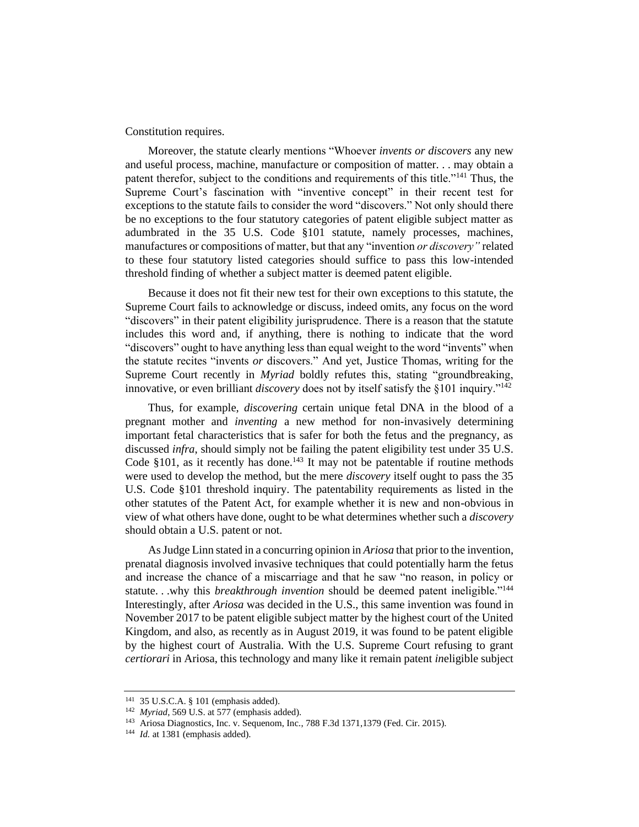Constitution requires.

Moreover, the statute clearly mentions "Whoever *invents or discovers* any new and useful process, machine, manufacture or composition of matter. . . may obtain a patent therefor, subject to the conditions and requirements of this title."<sup>141</sup> Thus, the Supreme Court's fascination with "inventive concept" in their recent test for exceptions to the statute fails to consider the word "discovers." Not only should there be no exceptions to the four statutory categories of patent eligible subject matter as adumbrated in the 35 U.S. Code §101 statute, namely processes, machines, manufactures or compositions of matter, but that any "invention *or discovery"* related to these four statutory listed categories should suffice to pass this low-intended threshold finding of whether a subject matter is deemed patent eligible.

Because it does not fit their new test for their own exceptions to this statute, the Supreme Court fails to acknowledge or discuss, indeed omits, any focus on the word "discovers" in their patent eligibility jurisprudence. There is a reason that the statute includes this word and, if anything, there is nothing to indicate that the word "discovers" ought to have anything less than equal weight to the word "invents" when the statute recites "invents *or* discovers." And yet, Justice Thomas, writing for the Supreme Court recently in *Myriad* boldly refutes this, stating "groundbreaking, innovative, or even brilliant *discovery* does not by itself satisfy the §101 inquiry."<sup>142</sup>

Thus, for example, *discovering* certain unique fetal DNA in the blood of a pregnant mother and *inventing* a new method for non-invasively determining important fetal characteristics that is safer for both the fetus and the pregnancy, as discussed *infra*, should simply not be failing the patent eligibility test under 35 U.S. Code  $§101$ , as it recently has done.<sup>143</sup> It may not be patentable if routine methods were used to develop the method, but the mere *discovery* itself ought to pass the 35 U.S. Code §101 threshold inquiry. The patentability requirements as listed in the other statutes of the Patent Act, for example whether it is new and non-obvious in view of what others have done, ought to be what determines whether such a *discovery* should obtain a U.S. patent or not.

As Judge Linn stated in a concurring opinion in *Ariosa* that prior to the invention, prenatal diagnosis involved invasive techniques that could potentially harm the fetus and increase the chance of a miscarriage and that he saw "no reason, in policy or statute. . .why this *breakthrough invention* should be deemed patent ineligible."<sup>144</sup> Interestingly, after *Ariosa* was decided in the U.S., this same invention was found in November 2017 to be patent eligible subject matter by the highest court of the United Kingdom, and also, as recently as in August 2019, it was found to be patent eligible by the highest court of Australia. With the U.S. Supreme Court refusing to grant *certiorari* in Ariosa, this technology and many like it remain patent *in*eligible subject

<sup>141</sup> 35 U.S.C.A. § 101 (emphasis added).

<sup>142</sup> *Myriad*, 569 U.S. at 577 (emphasis added).

<sup>143</sup> Ariosa Diagnostics, Inc. v. Sequenom, Inc*.*, 788 F.3d 1371,1379 (Fed. Cir. 2015).

<sup>&</sup>lt;sup>144</sup> *Id.* at 1381 (emphasis added).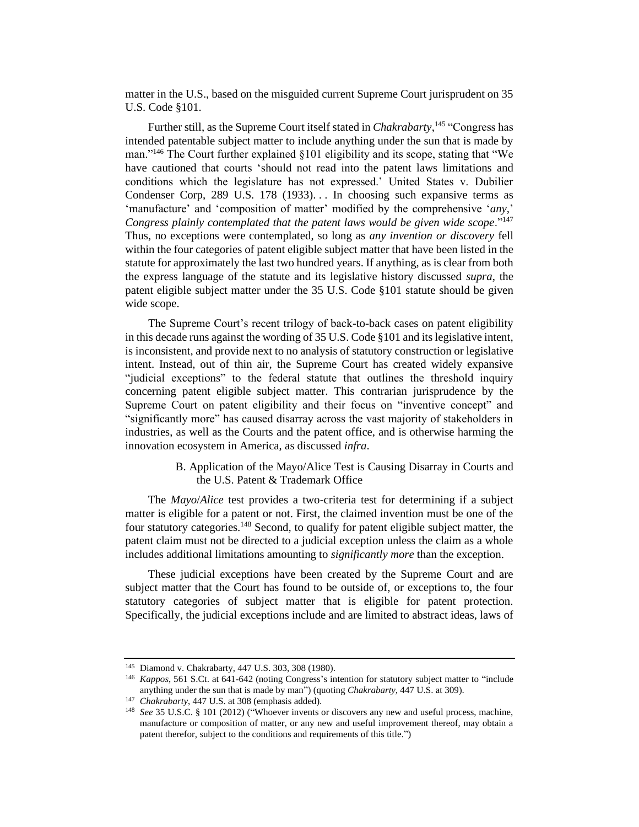matter in the U.S., based on the misguided current Supreme Court jurisprudent on 35 U.S. Code §101.

Further still, as the Supreme Court itself stated in *Chakrabarty*,<sup>145</sup> "Congress has intended patentable subject matter to include anything under the sun that is made by man."<sup>146</sup> The Court further explained §101 eligibility and its scope, stating that "We have cautioned that courts 'should not read into the patent laws limitations and conditions which the legislature has not expressed.' United States v. Dubilier Condenser Corp, 289 U.S. 178 (1933)... In choosing such expansive terms as 'manufacture' and 'composition of matter' modified by the comprehensive '*any,*' *Congress plainly contemplated that the patent laws would be given wide scope*."<sup>147</sup> Thus, no exceptions were contemplated, so long as *any invention or discovery* fell within the four categories of patent eligible subject matter that have been listed in the statute for approximately the last two hundred years. If anything, as is clear from both the express language of the statute and its legislative history discussed *supra*, the patent eligible subject matter under the 35 U.S. Code §101 statute should be given wide scope.

The Supreme Court's recent trilogy of back-to-back cases on patent eligibility in this decade runs against the wording of 35 U.S. Code §101 and its legislative intent, is inconsistent, and provide next to no analysis of statutory construction or legislative intent. Instead, out of thin air, the Supreme Court has created widely expansive "judicial exceptions" to the federal statute that outlines the threshold inquiry concerning patent eligible subject matter. This contrarian jurisprudence by the Supreme Court on patent eligibility and their focus on "inventive concept" and "significantly more" has caused disarray across the vast majority of stakeholders in industries, as well as the Courts and the patent office, and is otherwise harming the innovation ecosystem in America, as discussed *infra*.

> B. Application of the Mayo/Alice Test is Causing Disarray in Courts and the U.S. Patent & Trademark Office

The *Mayo*/*Alice* test provides a two-criteria test for determining if a subject matter is eligible for a patent or not. First, the claimed invention must be one of the four statutory categories.<sup>148</sup> Second, to qualify for patent eligible subject matter, the patent claim must not be directed to a judicial exception unless the claim as a whole includes additional limitations amounting to *significantly more* than the exception.

These judicial exceptions have been created by the Supreme Court and are subject matter that the Court has found to be outside of, or exceptions to, the four statutory categories of subject matter that is eligible for patent protection. Specifically, the judicial exceptions include and are limited to abstract ideas, laws of

<sup>145</sup> Diamond v. Chakrabarty, 447 U.S. 303, 308 (1980).

<sup>146</sup> *Kappos*, 561 S.Ct. at 641-642 (noting Congress's intention for statutory subject matter to "include anything under the sun that is made by man") (quoting *Chakrabarty*, 447 U.S. at 309).

<sup>147</sup> *Chakrabarty*, 447 U.S. at 308 (emphasis added).

<sup>148</sup> *See* 35 U.S.C. § 101 (2012) ("Whoever invents or discovers any new and useful process, machine, manufacture or composition of matter, or any new and useful improvement thereof, may obtain a patent therefor, subject to the conditions and requirements of this title.")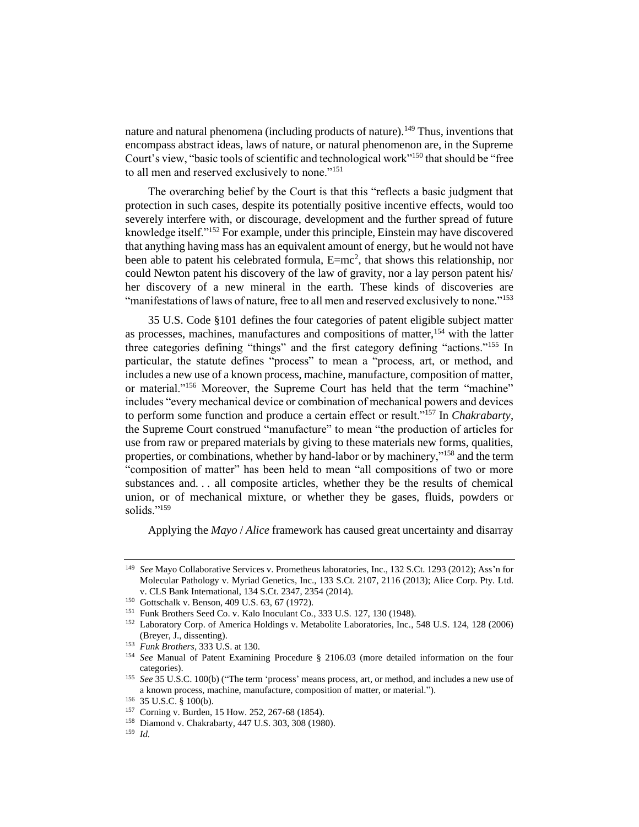nature and natural phenomena (including products of nature).<sup>149</sup> Thus, inventions that encompass abstract ideas, laws of nature, or natural phenomenon are, in the Supreme Court's view, "basic tools of scientific and technological work"<sup>150</sup> that should be "free to all men and reserved exclusively to none."<sup>151</sup>

The overarching belief by the Court is that this "reflects a basic judgment that protection in such cases, despite its potentially positive incentive effects, would too severely interfere with, or discourage, development and the further spread of future knowledge itself."<sup>152</sup> For example, under this principle, Einstein may have discovered that anything having mass has an equivalent amount of energy, but he would not have been able to patent his celebrated formula, E=mc<sup>2</sup>, that shows this relationship, nor could Newton patent his discovery of the law of gravity, nor a lay person patent his/ her discovery of a new mineral in the earth. These kinds of discoveries are "manifestations of laws of nature, free to all men and reserved exclusively to none."<sup>153</sup>

35 U.S. Code §101 defines the four categories of patent eligible subject matter as processes, machines, manufactures and compositions of matter,<sup>154</sup> with the latter three categories defining "things" and the first category defining "actions."<sup>155</sup> In particular, the statute defines "process" to mean a "process, art, or method, and includes a new use of a known process, machine, manufacture, composition of matter, or material."<sup>156</sup> Moreover, the Supreme Court has held that the term "machine" includes "every mechanical device or combination of mechanical powers and devices to perform some function and produce a certain effect or result."<sup>157</sup> In *Chakrabarty*, the Supreme Court construed "manufacture" to mean "the production of articles for use from raw or prepared materials by giving to these materials new forms, qualities, properties, or combinations, whether by hand-labor or by machinery,"<sup>158</sup> and the term "composition of matter" has been held to mean "all compositions of two or more substances and. . . all composite articles, whether they be the results of chemical union, or of mechanical mixture, or whether they be gases, fluids, powders or solids."<sup>159</sup>

Applying the *Mayo* / *Alice* framework has caused great uncertainty and disarray

<sup>149</sup> *See* Mayo Collaborative Services v. Prometheus laboratories, Inc., 132 S.Ct. 1293 (2012); Ass'n for Molecular Pathology v. Myriad Genetics, Inc., 133 S.Ct. 2107, 2116 (2013); Alice Corp. Pty. Ltd. v. CLS Bank International, 134 S.Ct. 2347, 2354 (2014).

<sup>150</sup> Gottschalk v. Benson, 409 U.S. 63, 67 (1972).

<sup>151</sup> Funk Brothers Seed Co. v. Kalo Inoculant Co*.*, 333 U.S. 127, 130 (1948).

<sup>152</sup> Laboratory Corp. of America Holdings v. Metabolite Laboratories, Inc*.*, 548 U.S. 124, 128 (2006) (Breyer, J., dissenting).

<sup>153</sup> *Funk Brothers*, 333 U.S. at 130.

<sup>154</sup> *See* Manual of Patent Examining Procedure § 2106.03 (more detailed information on the four categories).

<sup>155</sup> *See* 35 U.S.C. 100(b) ("The term 'process' means process, art, or method, and includes a new use of a known process, machine, manufacture, composition of matter, or material.").

<sup>156</sup> 35 U.S.C. § 100(b).

<sup>157</sup> Corning v. Burden, 15 How. 252, 267-68 (1854).

<sup>158</sup> Diamond v. Chakrabarty, 447 U.S. 303, 308 (1980).

<sup>159</sup> *Id.*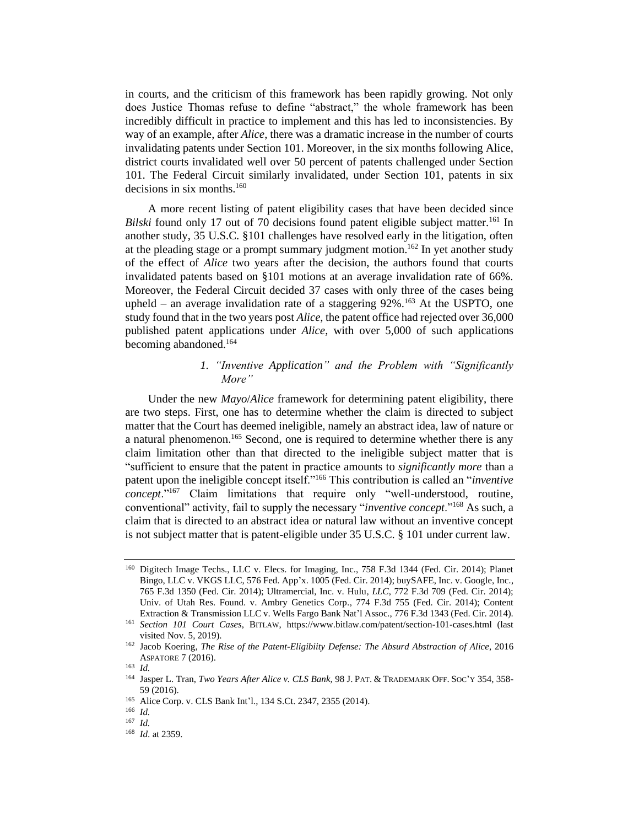in courts, and the criticism of this framework has been rapidly growing. Not only does Justice Thomas refuse to define "abstract," the whole framework has been incredibly difficult in practice to implement and this has led to inconsistencies. By way of an example, after *Alice*, there was a dramatic increase in the number of courts invalidating patents under Section 101. Moreover, in the six months following Alice, district courts invalidated well over 50 percent of patents challenged under Section 101. The Federal Circuit similarly invalidated, under Section 101, patents in six decisions in six months.<sup>160</sup>

A more recent listing of patent eligibility cases that have been decided since *Bilski* found only 17 out of 70 decisions found patent eligible subject matter.<sup>161</sup> In another study, 35 U.S.C. §101 challenges have resolved early in the litigation, often at the pleading stage or a prompt summary judgment motion.<sup>162</sup> In yet another study of the effect of *Alice* two years after the decision, the authors found that courts invalidated patents based on §101 motions at an average invalidation rate of 66%. Moreover, the Federal Circuit decided 37 cases with only three of the cases being upheld – an average invalidation rate of a staggering  $92\%$ .<sup>163</sup> At the USPTO, one study found that in the two years post *Alice*, the patent office had rejected over 36,000 published patent applications under *Alice*, with over 5,000 of such applications becoming abandoned.<sup>164</sup>

# *1. "Inventive Application" and the Problem with "Significantly More"*

Under the new *Mayo*/*Alice* framework for determining patent eligibility, there are two steps. First, one has to determine whether the claim is directed to subject matter that the Court has deemed ineligible, namely an abstract idea, law of nature or a natural phenomenon.<sup>165</sup> Second, one is required to determine whether there is any claim limitation other than that directed to the ineligible subject matter that is "sufficient to ensure that the patent in practice amounts to *significantly more* than a patent upon the ineligible concept itself."<sup>166</sup> This contribution is called an "*inventive concept*."<sup>167</sup> Claim limitations that require only "well-understood, routine, conventional" activity, fail to supply the necessary "*inventive concept*."<sup>168</sup> As such, a claim that is directed to an abstract idea or natural law without an inventive concept is not subject matter that is patent-eligible under 35 U.S.C. § 101 under current law.

<sup>160</sup> Digitech Image Techs., LLC v. Elecs. for Imaging, Inc., 758 F.3d 1344 (Fed. Cir. 2014); Planet Bingo, LLC v. VKGS LLC, 576 Fed. App'x. 1005 (Fed. Cir. 2014); buySAFE, Inc. v. Google, Inc*.*, 765 F.3d 1350 (Fed. Cir. 2014); Ultramercial, Inc. v. Hulu*, LLC*, 772 F.3d 709 (Fed. Cir. 2014); Univ. of Utah Res. Found. v. Ambry Genetics Corp*.*, 774 F.3d 755 (Fed. Cir. 2014); Content Extraction & Transmission LLC v. Wells Fargo Bank Nat'l Assoc*.*, 776 F.3d 1343 (Fed. Cir. 2014).

<sup>161</sup> *Section 101 Court Cases*, BITLAW,<https://www.bitlaw.com/patent/section-101-cases.html> (last visited Nov. 5, 2019).

<sup>162</sup> Jacob Koering, *The Rise of the Patent-Eligibiity Defense: The Absurd Abstraction of Alice*, 2016 ASPATORE 7 (2016).

<sup>163</sup> *Id.*

<sup>164</sup> Jasper L. Tran, *Two Years After Alice v. CLS Bank,* 98 J. PAT. & TRADEMARK OFF. SOC'Y 354, 358- 59 (2016).

<sup>165</sup> Alice Corp. v. CLS Bank Int'l., 134 S.Ct. 2347, 2355 (2014).

<sup>166</sup> *Id.*

<sup>167</sup> *Id.*

<sup>168</sup> *Id*. at 2359.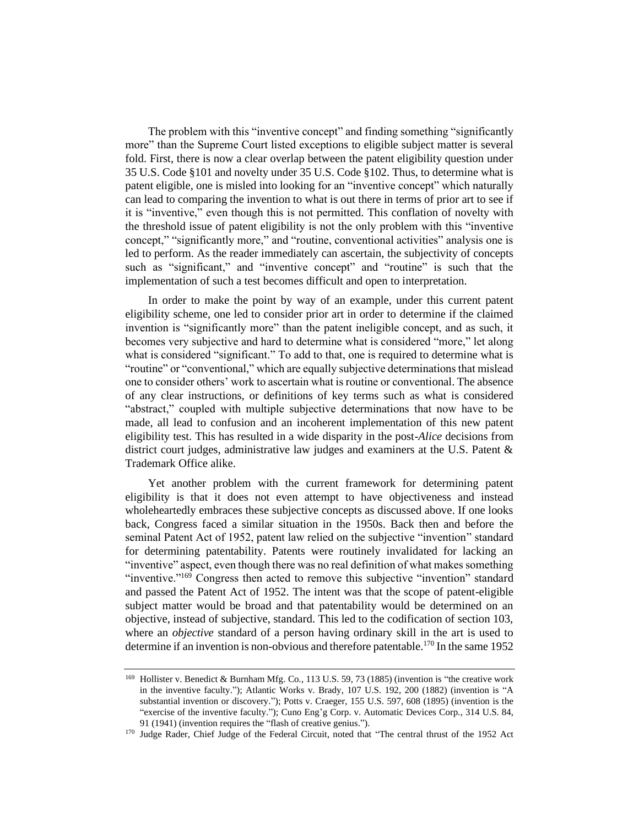The problem with this "inventive concept" and finding something "significantly more" than the Supreme Court listed exceptions to eligible subject matter is several fold. First, there is now a clear overlap between the patent eligibility question under 35 U.S. Code §101 and novelty under 35 U.S. Code §102. Thus, to determine what is patent eligible, one is misled into looking for an "inventive concept" which naturally can lead to comparing the invention to what is out there in terms of prior art to see if it is "inventive," even though this is not permitted. This conflation of novelty with the threshold issue of patent eligibility is not the only problem with this "inventive concept," "significantly more," and "routine, conventional activities" analysis one is led to perform. As the reader immediately can ascertain, the subjectivity of concepts such as "significant," and "inventive concept" and "routine" is such that the implementation of such a test becomes difficult and open to interpretation.

In order to make the point by way of an example, under this current patent eligibility scheme, one led to consider prior art in order to determine if the claimed invention is "significantly more" than the patent ineligible concept, and as such, it becomes very subjective and hard to determine what is considered "more," let along what is considered "significant." To add to that, one is required to determine what is "routine" or "conventional," which are equally subjective determinations that mislead one to consider others' work to ascertain what is routine or conventional. The absence of any clear instructions, or definitions of key terms such as what is considered "abstract," coupled with multiple subjective determinations that now have to be made, all lead to confusion and an incoherent implementation of this new patent eligibility test. This has resulted in a wide disparity in the post-*Alice* decisions from district court judges, administrative law judges and examiners at the U.S. Patent & Trademark Office alike.

Yet another problem with the current framework for determining patent eligibility is that it does not even attempt to have objectiveness and instead wholeheartedly embraces these subjective concepts as discussed above. If one looks back, Congress faced a similar situation in the 1950s. Back then and before the seminal Patent Act of 1952, patent law relied on the subjective "invention" standard for determining patentability. Patents were routinely invalidated for lacking an "inventive" aspect, even though there was no real definition of what makes something "inventive."<sup>169</sup> Congress then acted to remove this subjective "invention" standard and passed the Patent Act of 1952. The intent was that the scope of patent-eligible subject matter would be broad and that patentability would be determined on an objective, instead of subjective, standard. This led to the codification of section 103, where an *objective* standard of a person having ordinary skill in the art is used to determine if an invention is non-obvious and therefore patentable.<sup>170</sup> In the same 1952

<sup>169</sup> Hollister v. Benedict & Burnham Mfg. Co*.*, 113 U.S. 59, 73 (1885) (invention is "the creative work in the inventive faculty."); Atlantic Works v. Brady, 107 U.S. 192, 200 (1882) (invention is "A substantial invention or discovery."); Potts v. Craeger, 155 U.S. 597, 608 (1895) (invention is the "exercise of the inventive faculty."); Cuno Eng'g Corp. v. Automatic Devices Corp*.*, 314 U.S. 84, 91 (1941) (invention requires the "flash of creative genius.").

<sup>&</sup>lt;sup>170</sup> Judge Rader, Chief Judge of the Federal Circuit, noted that "The central thrust of the 1952 Act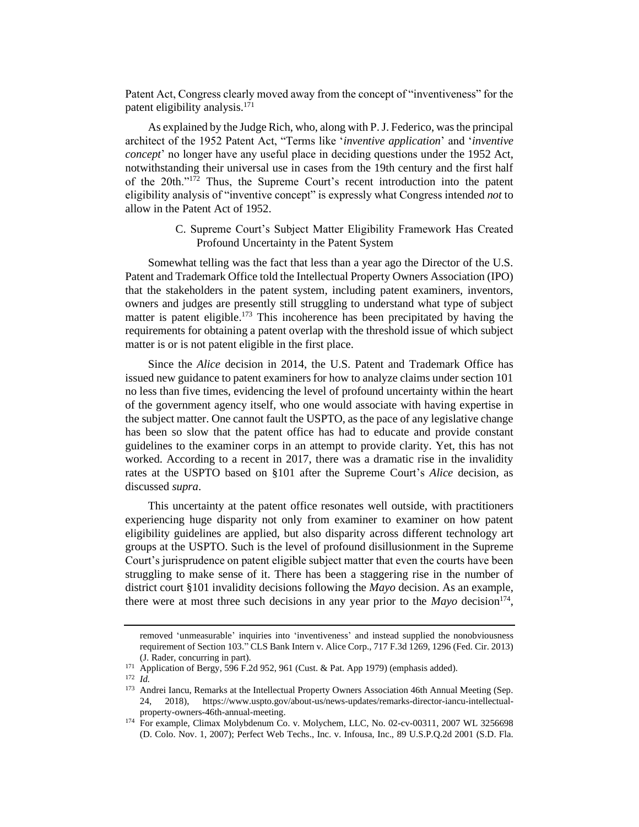Patent Act, Congress clearly moved away from the concept of "inventiveness" for the patent eligibility analysis.<sup>171</sup>

As explained by the Judge Rich, who, along with P. J. Federico, was the principal architect of the 1952 Patent Act, "Terms like '*inventive application*' and '*inventive concept*' no longer have any useful place in deciding questions under the 1952 Act, notwithstanding their universal use in cases from the 19th century and the first half of the 20th."<sup>172</sup> Thus, the Supreme Court's recent introduction into the patent eligibility analysis of "inventive concept" is expressly what Congress intended *not* to allow in the Patent Act of 1952.

> C. Supreme Court's Subject Matter Eligibility Framework Has Created Profound Uncertainty in the Patent System

Somewhat telling was the fact that less than a year ago the Director of the U.S. Patent and Trademark Office told the Intellectual Property Owners Association (IPO) that the stakeholders in the patent system, including patent examiners, inventors, owners and judges are presently still struggling to understand what type of subject matter is patent eligible.<sup>173</sup> This incoherence has been precipitated by having the requirements for obtaining a patent overlap with the threshold issue of which subject matter is or is not patent eligible in the first place.

Since the *Alice* decision in 2014, the U.S. Patent and Trademark Office has issued new guidance to patent examiners for how to analyze claims under section 101 no less than five times, evidencing the level of profound uncertainty within the heart of the government agency itself, who one would associate with having expertise in the subject matter. One cannot fault the USPTO, as the pace of any legislative change has been so slow that the patent office has had to educate and provide constant guidelines to the examiner corps in an attempt to provide clarity. Yet, this has not worked. According to a recent in 2017, there was a dramatic rise in the invalidity rates at the USPTO based on §101 after the Supreme Court's *Alice* decision, as discussed *supra*.

This uncertainty at the patent office resonates well outside, with practitioners experiencing huge disparity not only from examiner to examiner on how patent eligibility guidelines are applied, but also disparity across different technology art groups at the USPTO. Such is the level of profound disillusionment in the Supreme Court's jurisprudence on patent eligible subject matter that even the courts have been struggling to make sense of it. There has been a staggering rise in the number of district court §101 invalidity decisions following the *Mayo* decision. As an example, there were at most three such decisions in any year prior to the  $Mayo$  decision<sup>174</sup>,

removed 'unmeasurable' inquiries into 'inventiveness' and instead supplied the nonobviousness requirement of Section 103." CLS Bank Intern v. Alice Corp., 717 F.3d 1269, 1296 (Fed. Cir. 2013) (J. Rader, concurring in part).

<sup>171</sup> Application of Bergy, 596 F.2d 952, 961 (Cust. & Pat. App 1979) (emphasis added).

<sup>172</sup> *Id.*

<sup>&</sup>lt;sup>173</sup> Andrei Iancu, Remarks at the Intellectual Property Owners Association 46th Annual Meeting (Sep. 24, 2018), https://www.uspto.gov/about-us/news-updates/remarks-director-iancu-intellectualproperty-owners-46th-annual-meeting.

<sup>&</sup>lt;sup>174</sup> For example, Climax Molybdenum Co. v. Molychem, LLC, No. 02-cv-00311, 2007 WL 3256698 (D. Colo. Nov. 1, 2007); Perfect Web Techs., Inc. v. Infousa, Inc., 89 U.S.P.Q.2d 2001 (S.D. Fla.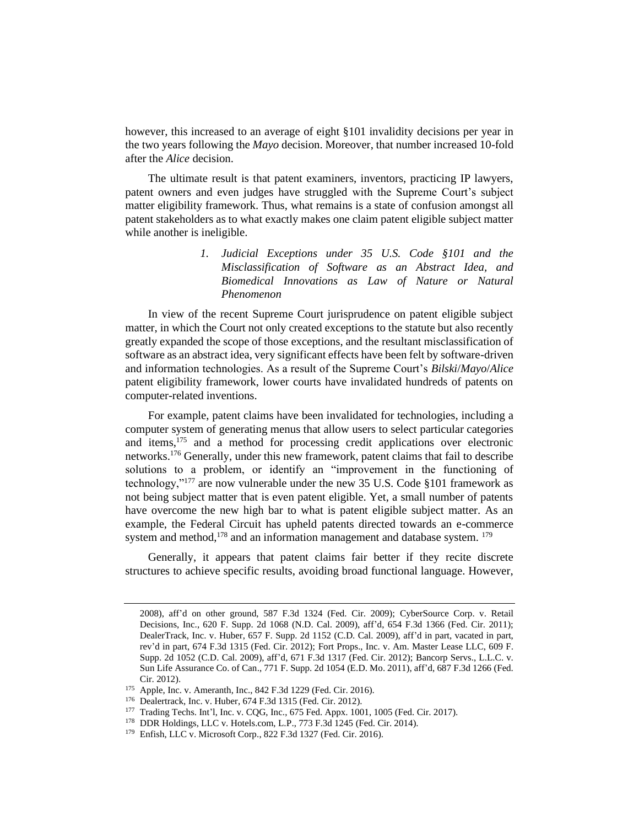however, this increased to an average of eight §101 invalidity decisions per year in the two years following the *Mayo* decision. Moreover, that number increased 10-fold after the *Alice* decision.

The ultimate result is that patent examiners, inventors, practicing IP lawyers, patent owners and even judges have struggled with the Supreme Court's subject matter eligibility framework. Thus, what remains is a state of confusion amongst all patent stakeholders as to what exactly makes one claim patent eligible subject matter while another is ineligible.

> *1. Judicial Exceptions under 35 U.S. Code §101 and the Misclassification of Software as an Abstract Idea, and Biomedical Innovations as Law of Nature or Natural Phenomenon*

In view of the recent Supreme Court jurisprudence on patent eligible subject matter, in which the Court not only created exceptions to the statute but also recently greatly expanded the scope of those exceptions, and the resultant misclassification of software as an abstract idea, very significant effects have been felt by software-driven and information technologies. As a result of the Supreme Court's *Bilski*/*Mayo*/*Alice* patent eligibility framework, lower courts have invalidated hundreds of patents on computer-related inventions.

For example, patent claims have been invalidated for technologies, including a computer system of generating menus that allow users to select particular categories and items,<sup>175</sup> and a method for processing credit applications over electronic networks.<sup>176</sup> Generally, under this new framework, patent claims that fail to describe solutions to a problem, or identify an "improvement in the functioning of technology,"<sup>177</sup> are now vulnerable under the new 35 U.S. Code §101 framework as not being subject matter that is even patent eligible. Yet, a small number of patents have overcome the new high bar to what is patent eligible subject matter. As an example, the Federal Circuit has upheld patents directed towards an e-commerce system and method,  $178$  and an information management and database system.  $179$ 

Generally, it appears that patent claims fair better if they recite discrete structures to achieve specific results, avoiding broad functional language. However,

<sup>2008),</sup> aff'd on other ground, 587 F.3d 1324 (Fed. Cir. 2009); CyberSource Corp. v. Retail Decisions, Inc., 620 F. Supp. 2d 1068 (N.D. Cal. 2009), aff'd, 654 F.3d 1366 (Fed. Cir. 2011); DealerTrack, Inc. v. Huber, 657 F. Supp. 2d 1152 (C.D. Cal. 2009), aff'd in part, vacated in part, rev'd in part, 674 F.3d 1315 (Fed. Cir. 2012); Fort Props., Inc. v. Am. Master Lease LLC, 609 F. Supp. 2d 1052 (C.D. Cal. 2009), aff'd, 671 F.3d 1317 (Fed. Cir. 2012); Bancorp Servs., L.L.C. v. Sun Life Assurance Co. of Can., 771 F. Supp. 2d 1054 (E.D. Mo. 2011), aff'd, 687 F.3d 1266 (Fed. Cir. 2012).

<sup>175</sup> Apple, Inc. v. Ameranth, Inc., 842 F.3d 1229 (Fed. Cir. 2016).

<sup>176</sup> Dealertrack, Inc. v. Huber, 674 F.3d 1315 (Fed. Cir. 2012).

<sup>177</sup> Trading Techs. Int'l, Inc. v. CQG, Inc., 675 Fed. Appx. 1001, 1005 (Fed. Cir. 2017).

<sup>178</sup> DDR Holdings, LLC v. Hotels.com, L.P., 773 F.3d 1245 (Fed. Cir. 2014).

<sup>179</sup> Enfish, LLC v. Microsoft Corp., 822 F.3d 1327 (Fed. Cir. 2016).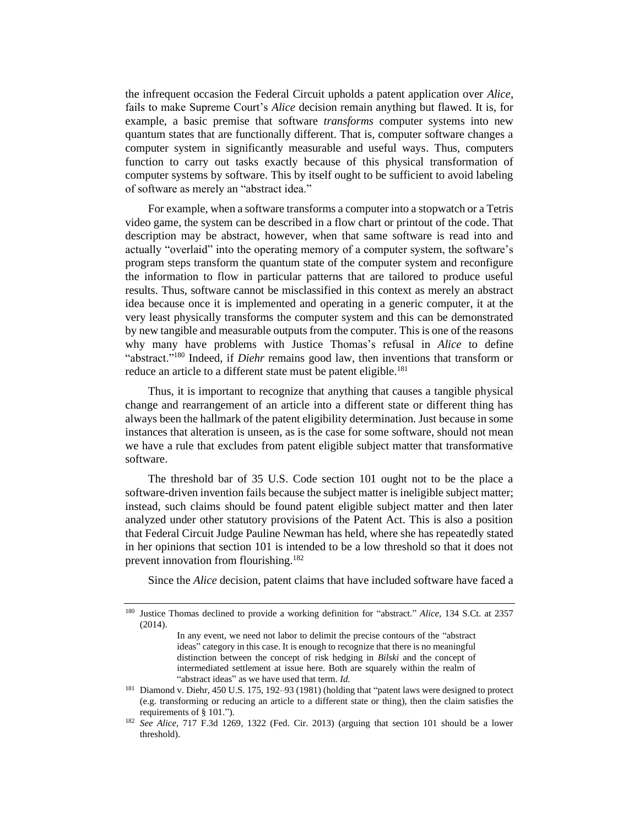the infrequent occasion the Federal Circuit upholds a patent application over *Alice*, fails to make Supreme Court's *Alice* decision remain anything but flawed. It is, for example, a basic premise that software *transforms* computer systems into new quantum states that are functionally different. That is, computer software changes a computer system in significantly measurable and useful ways. Thus, computers function to carry out tasks exactly because of this physical transformation of computer systems by software. This by itself ought to be sufficient to avoid labeling of software as merely an "abstract idea."

For example, when a software transforms a computer into a stopwatch or a Tetris video game, the system can be described in a flow chart or printout of the code. That description may be abstract, however, when that same software is read into and actually "overlaid" into the operating memory of a computer system, the software's program steps transform the quantum state of the computer system and reconfigure the information to flow in particular patterns that are tailored to produce useful results. Thus, software cannot be misclassified in this context as merely an abstract idea because once it is implemented and operating in a generic computer, it at the very least physically transforms the computer system and this can be demonstrated by new tangible and measurable outputs from the computer. This is one of the reasons why many have problems with Justice Thomas's refusal in *Alice* to define "abstract."<sup>180</sup> Indeed, if *Diehr* remains good law, then inventions that transform or reduce an article to a different state must be patent eligible.<sup>181</sup>

Thus, it is important to recognize that anything that causes a tangible physical change and rearrangement of an article into a different state or different thing has always been the hallmark of the patent eligibility determination. Just because in some instances that alteration is unseen, as is the case for some software, should not mean we have a rule that excludes from patent eligible subject matter that transformative software.

The threshold bar of 35 U.S. Code section 101 ought not to be the place a software-driven invention fails because the subject matter is ineligible subject matter; instead, such claims should be found patent eligible subject matter and then later analyzed under other statutory provisions of the Patent Act. This is also a position that Federal Circuit Judge Pauline Newman has held, where she has repeatedly stated in her opinions that section 101 is intended to be a low threshold so that it does not prevent innovation from flourishing.<sup>182</sup>

Since the *Alice* decision, patent claims that have included software have faced a

<sup>180</sup> Justice Thomas declined to provide a working definition for "abstract." *Alice*, 134 S.Ct. at 2357 (2014).

In any event, we need not labor to delimit the precise contours of the "abstract ideas" category in this case. It is enough to recognize that there is no meaningful distinction between the concept of risk hedging in *Bilski* and the concept of intermediated settlement at issue here. Both are squarely within the realm of "abstract ideas" as we have used that term. *Id.*

<sup>&</sup>lt;sup>181</sup> Diamond v. Diehr, 450 U.S. 175, 192–93 (1981) (holding that "patent laws were designed to protect (e.g. transforming or reducing an article to a different state or thing), then the claim satisfies the requirements of § 101.").

<sup>182</sup> *See Alice*, 717 F.3d 1269, 1322 (Fed. Cir. 2013) (arguing that section 101 should be a lower threshold).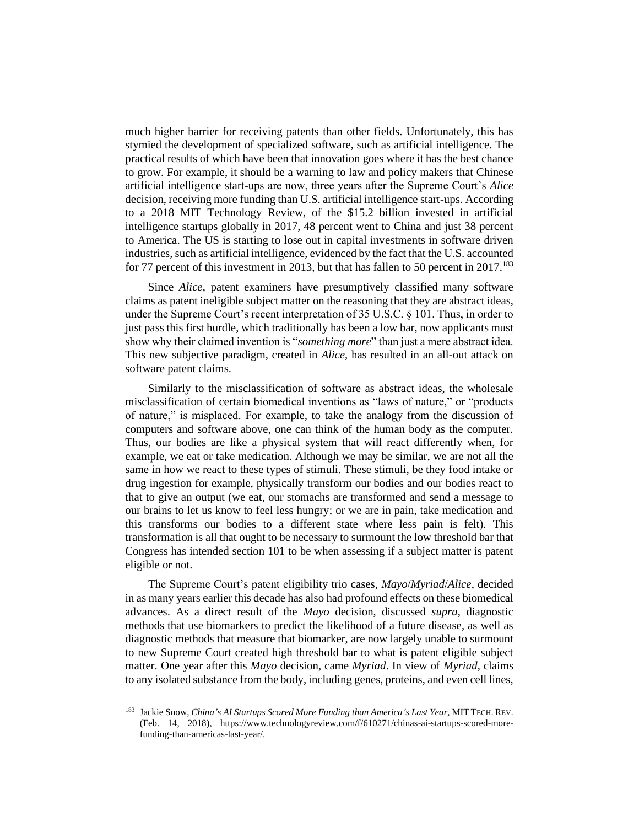much higher barrier for receiving patents than other fields. Unfortunately, this has stymied the development of specialized software, such as artificial intelligence. The practical results of which have been that innovation goes where it has the best chance to grow. For example, it should be a warning to law and policy makers that Chinese artificial intelligence start-ups are now, three years after the Supreme Court's *Alice* decision, receiving more funding than U.S. artificial intelligence start-ups. According to a 2018 MIT Technology Review, of the \$15.2 billion invested in artificial intelligence startups globally in 2017, 48 percent went to China and just 38 percent to America. The US is starting to lose out in capital investments in software driven industries, such as artificial intelligence, evidenced by the fact that the U.S. accounted for 77 percent of this investment in 2013, but that has fallen to 50 percent in  $2017$ .<sup>183</sup>

Since *Alice*, patent examiners have presumptively classified many software claims as patent ineligible subject matter on the reasoning that they are abstract ideas, under the Supreme Court's recent interpretation of 35 U.S.C. § 101. Thus, in order to just pass this first hurdle, which traditionally has been a low bar, now applicants must show why their claimed invention is "*something more*" than just a mere abstract idea. This new subjective paradigm, created in *Alice,* has resulted in an all-out attack on software patent claims.

Similarly to the misclassification of software as abstract ideas, the wholesale misclassification of certain biomedical inventions as "laws of nature," or "products of nature," is misplaced. For example, to take the analogy from the discussion of computers and software above, one can think of the human body as the computer. Thus, our bodies are like a physical system that will react differently when, for example, we eat or take medication. Although we may be similar, we are not all the same in how we react to these types of stimuli. These stimuli, be they food intake or drug ingestion for example, physically transform our bodies and our bodies react to that to give an output (we eat, our stomachs are transformed and send a message to our brains to let us know to feel less hungry; or we are in pain, take medication and this transforms our bodies to a different state where less pain is felt). This transformation is all that ought to be necessary to surmount the low threshold bar that Congress has intended section 101 to be when assessing if a subject matter is patent eligible or not.

The Supreme Court's patent eligibility trio cases, *Mayo*/*Myriad*/*Alice*, decided in as many years earlier this decade has also had profound effects on these biomedical advances. As a direct result of the *Mayo* decision, discussed *supra*, diagnostic methods that use biomarkers to predict the likelihood of a future disease, as well as diagnostic methods that measure that biomarker, are now largely unable to surmount to new Supreme Court created high threshold bar to what is patent eligible subject matter. One year after this *Mayo* decision, came *Myriad*. In view of *Myriad*, claims to any isolated substance from the body, including genes, proteins, and even cell lines,

<sup>&</sup>lt;sup>183</sup> Jackie Snow, *China's AI Startups Scored More Funding than America's Last Year*, MIT TECH. REV. (Feb. 14, 2018), https://www.technologyreview.com/f/610271/chinas-ai-startups-scored-morefunding-than-americas-last-year/.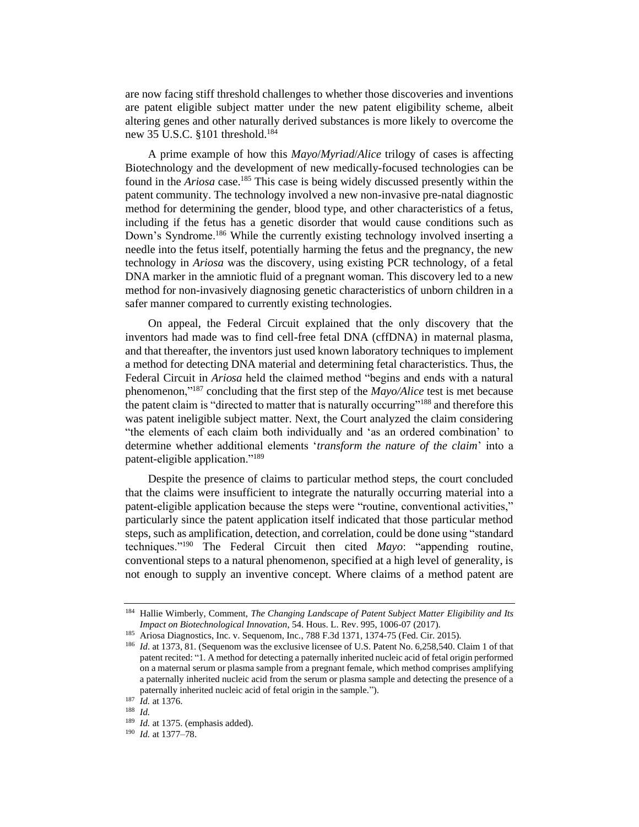are now facing stiff threshold challenges to whether those discoveries and inventions are patent eligible subject matter under the new patent eligibility scheme, albeit altering genes and other naturally derived substances is more likely to overcome the new 35 U.S.C. §101 threshold.<sup>184</sup>

A prime example of how this *Mayo*/*Myriad*/*Alice* trilogy of cases is affecting Biotechnology and the development of new medically-focused technologies can be found in the *Ariosa* case.<sup>185</sup> This case is being widely discussed presently within the patent community. The technology involved a new non-invasive pre-natal diagnostic method for determining the gender, blood type, and other characteristics of a fetus, including if the fetus has a genetic disorder that would cause conditions such as Down's Syndrome.<sup>186</sup> While the currently existing technology involved inserting a needle into the fetus itself, potentially harming the fetus and the pregnancy, the new technology in *Ariosa* was the discovery, using existing PCR technology, of a fetal DNA marker in the amniotic fluid of a pregnant woman. This discovery led to a new method for non-invasively diagnosing genetic characteristics of unborn children in a safer manner compared to currently existing technologies.

On appeal, the Federal Circuit explained that the only discovery that the inventors had made was to find cell-free fetal DNA (cffDNA) in maternal plasma, and that thereafter, the inventors just used known laboratory techniques to implement a method for detecting DNA material and determining fetal characteristics. Thus, the Federal Circuit in *Ariosa* held the claimed method "begins and ends with a natural phenomenon,"<sup>187</sup> concluding that the first step of the *Mayo/Alice* test is met because the patent claim is "directed to matter that is naturally occurring"<sup>188</sup> and therefore this was patent ineligible subject matter. Next, the Court analyzed the claim considering "the elements of each claim both individually and 'as an ordered combination' to determine whether additional elements '*transform the nature of the claim*' into a patent-eligible application."<sup>189</sup>

Despite the presence of claims to particular method steps, the court concluded that the claims were insufficient to integrate the naturally occurring material into a patent-eligible application because the steps were "routine, conventional activities," particularly since the patent application itself indicated that those particular method steps, such as amplification, detection, and correlation, could be done using "standard techniques."<sup>190</sup> The Federal Circuit then cited *Mayo*: "appending routine, conventional steps to a natural phenomenon, specified at a high level of generality, is not enough to supply an inventive concept. Where claims of a method patent are

<sup>190</sup> *Id.* at 1377–78.

<sup>184</sup> Hallie Wimberly, Comment, *The Changing Landscape of Patent Subject Matter Eligibility and Its Impact on Biotechnological Innovation*, 54. Hous. L. Rev. 995, 1006-07 (2017).

<sup>185</sup> Ariosa Diagnostics, Inc. v. Sequenom, Inc*.*, 788 F.3d 1371, 1374-75 (Fed. Cir. 2015).

<sup>186</sup> *Id*. at 1373, 81. (Sequenom was the exclusive licensee of U.S. Patent No. 6,258,540. Claim 1 of that patent recited: "1. A method for detecting a paternally inherited nucleic acid of fetal origin performed on a maternal serum or plasma sample from a pregnant female, which method comprises amplifying a paternally inherited nucleic acid from the serum or plasma sample and detecting the presence of a paternally inherited nucleic acid of fetal origin in the sample.").

<sup>187</sup> *Id.* at 1376.

<sup>188</sup> *Id.*

<sup>&</sup>lt;sup>189</sup> *Id.* at 1375. (emphasis added).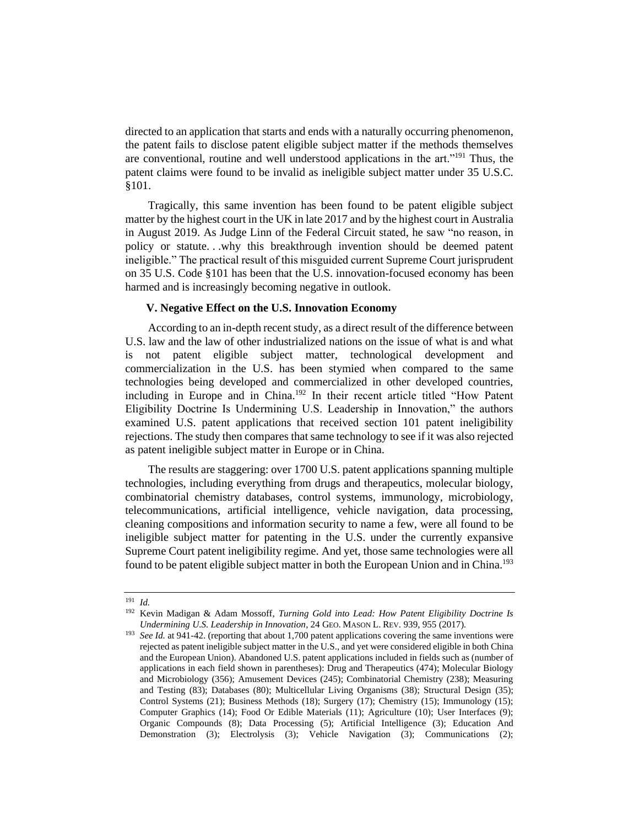directed to an application that starts and ends with a naturally occurring phenomenon, the patent fails to disclose patent eligible subject matter if the methods themselves are conventional, routine and well understood applications in the art."<sup>191</sup> Thus, the patent claims were found to be invalid as ineligible subject matter under 35 U.S.C. §101.

Tragically, this same invention has been found to be patent eligible subject matter by the highest court in the UK in late 2017 and by the highest court in Australia in August 2019. As Judge Linn of the Federal Circuit stated, he saw "no reason, in policy or statute. . .why this breakthrough invention should be deemed patent ineligible." The practical result of this misguided current Supreme Court jurisprudent on 35 U.S. Code §101 has been that the U.S. innovation-focused economy has been harmed and is increasingly becoming negative in outlook.

#### **V. Negative Effect on the U.S. Innovation Economy**

According to an in-depth recent study, as a direct result of the difference between U.S. law and the law of other industrialized nations on the issue of what is and what is not patent eligible subject matter, technological development and commercialization in the U.S. has been stymied when compared to the same technologies being developed and commercialized in other developed countries, including in Europe and in China.<sup>192</sup> In their recent article titled "How Patent Eligibility Doctrine Is Undermining U.S. Leadership in Innovation," the authors examined U.S. patent applications that received section 101 patent ineligibility rejections. The study then compares that same technology to see if it was also rejected as patent ineligible subject matter in Europe or in China.

The results are staggering: over 1700 U.S. patent applications spanning multiple technologies, including everything from drugs and therapeutics, molecular biology, combinatorial chemistry databases, control systems, immunology, microbiology, telecommunications, artificial intelligence, vehicle navigation, data processing, cleaning compositions and information security to name a few, were all found to be ineligible subject matter for patenting in the U.S. under the currently expansive Supreme Court patent ineligibility regime. And yet, those same technologies were all found to be patent eligible subject matter in both the European Union and in China.<sup>193</sup>

<sup>191</sup> *Id.* 

<sup>192</sup> Kevin Madigan & Adam Mossoff, *Turning Gold into Lead: How Patent Eligibility Doctrine Is Undermining U.S. Leadership in Innovation*, 24 GEO. MASON L. REV. 939, 955 (2017).

<sup>&</sup>lt;sup>193</sup> *See Id.* at 941-42. (reporting that about 1,700 patent applications covering the same inventions were rejected as patent ineligible subject matter in the U.S., and yet were considered eligible in both China and the European Union). Abandoned U.S. patent applications included in fields such as (number of applications in each field shown in parentheses): Drug and Therapeutics (474); Molecular Biology and Microbiology (356); Amusement Devices (245); Combinatorial Chemistry (238); Measuring and Testing (83); Databases (80); Multicellular Living Organisms (38); Structural Design (35); Control Systems (21); Business Methods (18); Surgery (17); Chemistry (15); Immunology (15); Computer Graphics (14); Food Or Edible Materials (11); Agriculture (10); User Interfaces (9); Organic Compounds (8); Data Processing (5); Artificial Intelligence (3); Education And Demonstration (3); Electrolysis (3); Vehicle Navigation (3); Communications (2);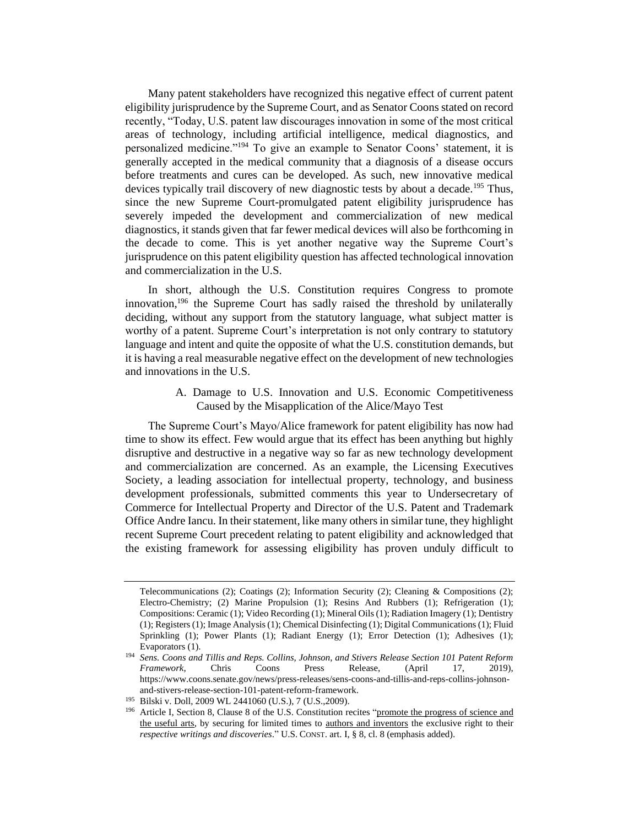Many patent stakeholders have recognized this negative effect of current patent eligibility jurisprudence by the Supreme Court, and as Senator Coons stated on record recently, "Today, U.S. patent law discourages innovation in some of the most critical areas of technology, including artificial intelligence, medical diagnostics, and personalized medicine."<sup>194</sup> To give an example to Senator Coons' statement, it is generally accepted in the medical community that a diagnosis of a disease occurs before treatments and cures can be developed. As such, new innovative medical devices typically trail discovery of new diagnostic tests by about a decade.<sup>195</sup> Thus, since the new Supreme Court-promulgated patent eligibility jurisprudence has severely impeded the development and commercialization of new medical diagnostics, it stands given that far fewer medical devices will also be forthcoming in the decade to come. This is yet another negative way the Supreme Court's jurisprudence on this patent eligibility question has affected technological innovation and commercialization in the U.S.

In short, although the U.S. Constitution requires Congress to promote innovation, <sup>196</sup> the Supreme Court has sadly raised the threshold by unilaterally deciding, without any support from the statutory language, what subject matter is worthy of a patent. Supreme Court's interpretation is not only contrary to statutory language and intent and quite the opposite of what the U.S. constitution demands, but it is having a real measurable negative effect on the development of new technologies and innovations in the U.S.

> A. Damage to U.S. Innovation and U.S. Economic Competitiveness Caused by the Misapplication of the Alice/Mayo Test

The Supreme Court's Mayo/Alice framework for patent eligibility has now had time to show its effect. Few would argue that its effect has been anything but highly disruptive and destructive in a negative way so far as new technology development and commercialization are concerned. As an example, the Licensing Executives Society, a leading association for intellectual property, technology, and business development professionals, submitted comments this year to Undersecretary of Commerce for Intellectual Property and Director of the U.S. Patent and Trademark Office Andre Iancu. In their statement, like many others in similar tune, they highlight recent Supreme Court precedent relating to patent eligibility and acknowledged that the existing framework for assessing eligibility has proven unduly difficult to

Telecommunications (2); Coatings (2); Information Security (2); Cleaning & Compositions (2); Electro-Chemistry; (2) Marine Propulsion (1); Resins And Rubbers (1); Refrigeration (1); Compositions: Ceramic (1); Video Recording (1); Mineral Oils (1); Radiation Imagery (1); Dentistry (1); Registers (1); Image Analysis (1); Chemical Disinfecting (1); Digital Communications (1); Fluid Sprinkling (1); Power Plants (1); Radiant Energy (1); Error Detection (1); Adhesives (1); Evaporators (1).

<sup>194</sup> *Sens. Coons and Tillis and Reps. Collins, Johnson, and Stivers Release Section 101 Patent Reform Framework*, Chris Coons Press Release, (April 17, 2019), https://www.coons.senate.gov/news/press-releases/sens-coons-and-tillis-and-reps-collins-johnsonand-stivers-release-section-101-patent-reform-framework.

<sup>195</sup> Bilski v. Doll, 2009 WL 2441060 (U.S.), 7 (U.S.,2009).

<sup>&</sup>lt;sup>196</sup> Article I, Section 8, Clause 8 of the U.S. Constitution recites "promote the progress of science and the useful arts, by securing for limited times to authors and inventors the exclusive right to their *respective writings and discoveries*." U.S. CONST. art. I, § 8, cl. 8 (emphasis added).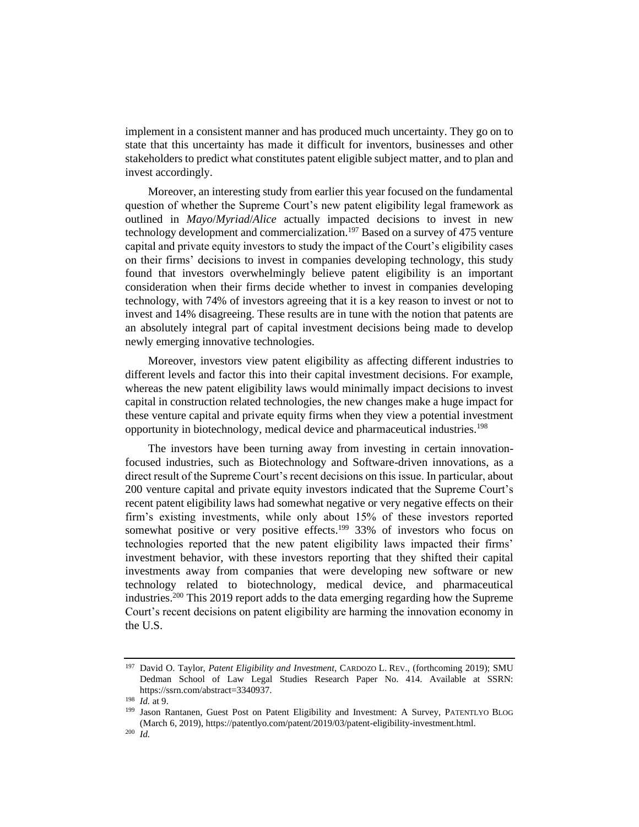implement in a consistent manner and has produced much uncertainty. They go on to state that this uncertainty has made it difficult for inventors, businesses and other stakeholders to predict what constitutes patent eligible subject matter, and to plan and invest accordingly.

Moreover, an interesting study from earlier this year focused on the fundamental question of whether the Supreme Court's new patent eligibility legal framework as outlined in *Mayo*/*Myriad*/*Alice* actually impacted decisions to invest in new technology development and commercialization.<sup>197</sup> Based on a survey of 475 venture capital and private equity investors to study the impact of the Court's eligibility cases on their firms' decisions to invest in companies developing technology, this study found that investors overwhelmingly believe patent eligibility is an important consideration when their firms decide whether to invest in companies developing technology, with 74% of investors agreeing that it is a key reason to invest or not to invest and 14% disagreeing. These results are in tune with the notion that patents are an absolutely integral part of capital investment decisions being made to develop newly emerging innovative technologies.

Moreover, investors view patent eligibility as affecting different industries to different levels and factor this into their capital investment decisions. For example, whereas the new patent eligibility laws would minimally impact decisions to invest capital in construction related technologies, the new changes make a huge impact for these venture capital and private equity firms when they view a potential investment opportunity in biotechnology, medical device and pharmaceutical industries.<sup>198</sup>

The investors have been turning away from investing in certain innovationfocused industries, such as Biotechnology and Software-driven innovations, as a direct result of the Supreme Court's recent decisions on this issue. In particular, about 200 venture capital and private equity investors indicated that the Supreme Court's recent patent eligibility laws had somewhat negative or very negative effects on their firm's existing investments, while only about 15% of these investors reported somewhat positive or very positive effects.<sup>199</sup> 33% of investors who focus on technologies reported that the new patent eligibility laws impacted their firms' investment behavior, with these investors reporting that they shifted their capital investments away from companies that were developing new software or new technology related to biotechnology, medical device, and pharmaceutical industries.<sup>200</sup> This 2019 report adds to the data emerging regarding how the Supreme Court's recent decisions on patent eligibility are harming the innovation economy in the U.S.

<sup>197</sup> David O. Taylor, *Patent Eligibility and Investment*, CARDOZO L. REV., (forthcoming 2019); SMU Dedman School of Law Legal Studies Research Paper No. 414. Available at SSRN: https://ssrn.com/abstract=3340937.

<sup>198</sup> *Id.* at 9.

<sup>199</sup> Jason Rantanen, Guest Post on Patent Eligibility and Investment: A Survey, PATENTLYO BLOG (March 6, 2019), https://patentlyo.com/patent/2019/03/patent-eligibility-investment.html.

<sup>200</sup> *Id.*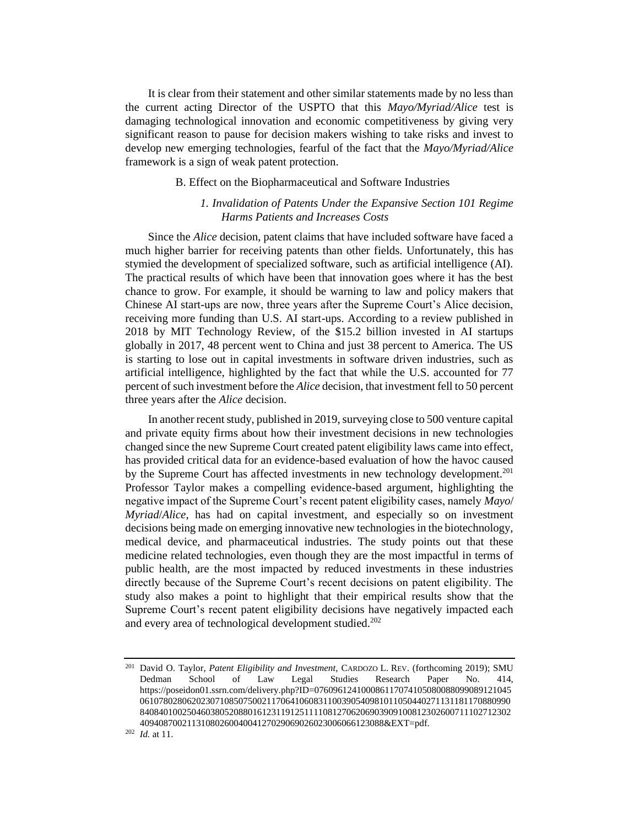It is clear from their statement and other similar statements made by no less than the current acting Director of the USPTO that this *Mayo/Myriad/Alice* test is damaging technological innovation and economic competitiveness by giving very significant reason to pause for decision makers wishing to take risks and invest to develop new emerging technologies, fearful of the fact that the *Mayo/Myriad/Alice* framework is a sign of weak patent protection.

#### B. Effect on the Biopharmaceutical and Software Industries

# *1. Invalidation of Patents Under the Expansive Section 101 Regime Harms Patients and Increases Costs*

Since the *Alice* decision, patent claims that have included software have faced a much higher barrier for receiving patents than other fields. Unfortunately, this has stymied the development of specialized software, such as artificial intelligence (AI). The practical results of which have been that innovation goes where it has the best chance to grow. For example, it should be warning to law and policy makers that Chinese AI start-ups are now, three years after the Supreme Court's Alice decision, receiving more funding than U.S. AI start-ups. According to a review published in 2018 by MIT Technology Review, of the \$15.2 billion invested in AI startups globally in 2017, 48 percent went to China and just 38 percent to America. The US is starting to lose out in capital investments in software driven industries, such as artificial intelligence, highlighted by the fact that while the U.S. accounted for 77 percent of such investment before the *Alice* decision, that investment fell to 50 percent three years after the *Alice* decision.

In another recent study, published in 2019, surveying close to 500 venture capital and private equity firms about how their investment decisions in new technologies changed since the new Supreme Court created patent eligibility laws came into effect, has provided critical data for an evidence-based evaluation of how the havoc caused by the Supreme Court has affected investments in new technology development.<sup>201</sup> Professor Taylor makes a compelling evidence-based argument, highlighting the negative impact of the Supreme Court's recent patent eligibility cases, namely *Mayo*/ *Myriad*/*Alice*, has had on capital investment, and especially so on investment decisions being made on emerging innovative new technologies in the biotechnology, medical device, and pharmaceutical industries. The study points out that these medicine related technologies, even though they are the most impactful in terms of public health, are the most impacted by reduced investments in these industries directly because of the Supreme Court's recent decisions on patent eligibility. The study also makes a point to highlight that their empirical results show that the Supreme Court's recent patent eligibility decisions have negatively impacted each and every area of technological development studied.<sup>202</sup>

<sup>201</sup> David O. Taylor, *Patent Eligibility and Investment*, CARDOZO L. REV. (forthcoming 2019); SMU Dedman School of Law Legal Studies Research Paper No. 414, https://poseidon01.ssrn.com/delivery.php?ID=076096124100086117074105080088099089121045 0610780280620230710850750021170641060831100390540981011050440271131181170880990 8408401002504603805208801612311912511110812706206903909100812302600711102712302 4094087002113108026004004127029069026023006066123088&EXT=pdf.

<sup>202</sup> *Id.* at 11.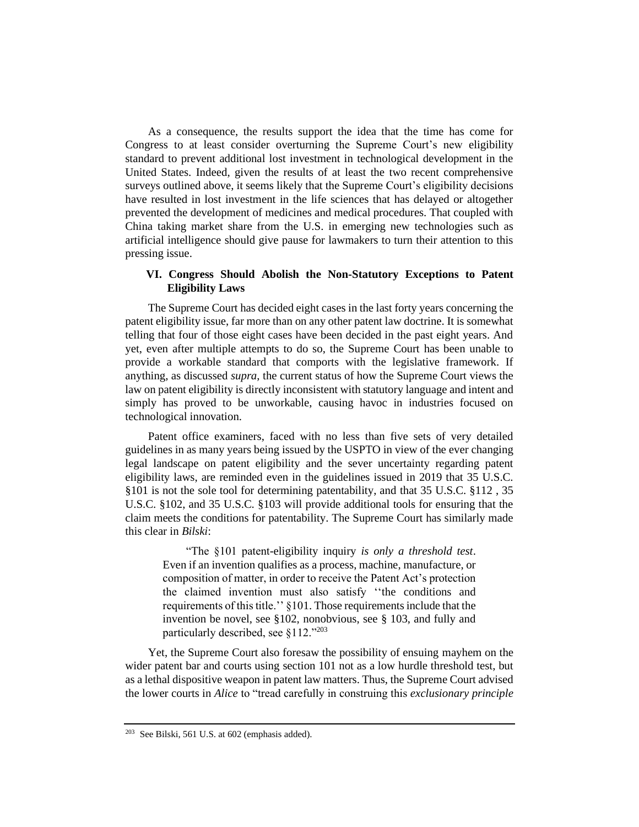As a consequence, the results support the idea that the time has come for Congress to at least consider overturning the Supreme Court's new eligibility standard to prevent additional lost investment in technological development in the United States. Indeed, given the results of at least the two recent comprehensive surveys outlined above, it seems likely that the Supreme Court's eligibility decisions have resulted in lost investment in the life sciences that has delayed or altogether prevented the development of medicines and medical procedures. That coupled with China taking market share from the U.S. in emerging new technologies such as artificial intelligence should give pause for lawmakers to turn their attention to this pressing issue.

# **VI. Congress Should Abolish the Non-Statutory Exceptions to Patent Eligibility Laws**

The Supreme Court has decided eight cases in the last forty years concerning the patent eligibility issue, far more than on any other patent law doctrine. It is somewhat telling that four of those eight cases have been decided in the past eight years. And yet, even after multiple attempts to do so, the Supreme Court has been unable to provide a workable standard that comports with the legislative framework. If anything, as discussed *supra*, the current status of how the Supreme Court views the law on patent eligibility is directly inconsistent with statutory language and intent and simply has proved to be unworkable, causing havoc in industries focused on technological innovation.

Patent office examiners, faced with no less than five sets of very detailed guidelines in as many years being issued by the USPTO in view of the ever changing legal landscape on patent eligibility and the sever uncertainty regarding patent eligibility laws, are reminded even in the guidelines issued in 2019 that 35 U.S.C. §101 is not the sole tool for determining patentability, and that 35 U.S.C. §112 , 35 U.S.C. §102, and 35 U.S.C. §103 will provide additional tools for ensuring that the claim meets the conditions for patentability. The Supreme Court has similarly made this clear in *Bilski*:

"The §101 patent-eligibility inquiry *is only a threshold test*. Even if an invention qualifies as a process, machine, manufacture, or composition of matter, in order to receive the Patent Act's protection the claimed invention must also satisfy ''the conditions and requirements of this title.'' §101. Those requirements include that the invention be novel, see §102, nonobvious, see § 103, and fully and particularly described, see §112."<sup>203</sup>

Yet, the Supreme Court also foresaw the possibility of ensuing mayhem on the wider patent bar and courts using section 101 not as a low hurdle threshold test, but as a lethal dispositive weapon in patent law matters. Thus, the Supreme Court advised the lower courts in *Alice* to "tread carefully in construing this *exclusionary principle* 

<sup>203</sup> See Bilski, 561 U.S. at 602 (emphasis added).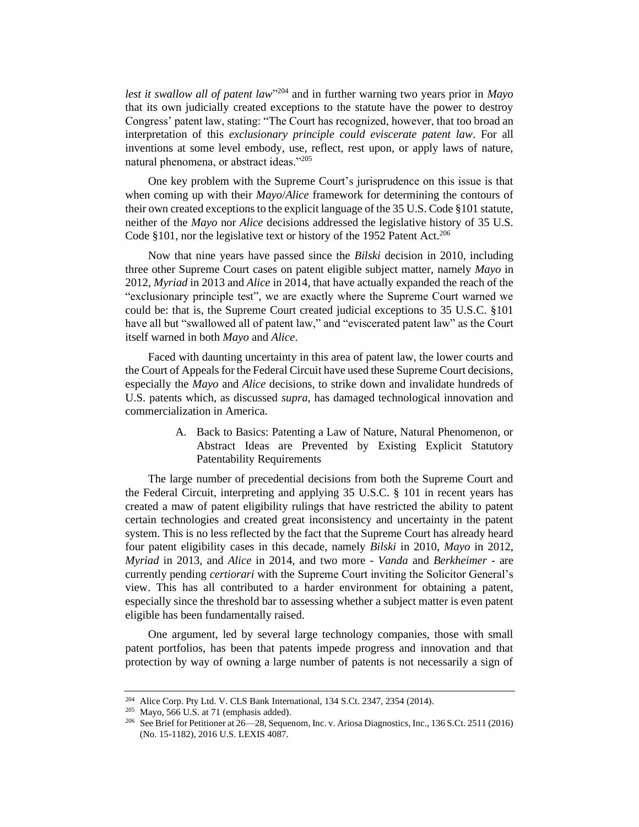*lest it swallow all of patent law*" <sup>204</sup> and in further warning two years prior in *Mayo* that its own judicially created exceptions to the statute have the power to destroy Congress' patent law, stating: "The Court has recognized, however, that too broad an interpretation of this *exclusionary principle could eviscerate patent law*. For all inventions at some level embody, use, reflect, rest upon, or apply laws of nature, natural phenomena, or abstract ideas."<sup>205</sup>

One key problem with the Supreme Court's jurisprudence on this issue is that when coming up with their *Mayo*/*Alice* framework for determining the contours of their own created exceptions to the explicit language of the 35 U.S. Code §101 statute, neither of the *Mayo* nor *Alice* decisions addressed the legislative history of 35 U.S. Code §101, nor the legislative text or history of the 1952 Patent Act.<sup>206</sup>

Now that nine years have passed since the *Bilski* decision in 2010, including three other Supreme Court cases on patent eligible subject matter, namely *Mayo* in 2012, *Myriad* in 2013 and *Alice* in 2014, that have actually expanded the reach of the "exclusionary principle test", we are exactly where the Supreme Court warned we could be: that is, the Supreme Court created judicial exceptions to 35 U.S.C. §101 have all but "swallowed all of patent law," and "eviscerated patent law" as the Court itself warned in both *Mayo* and *Alice*.

Faced with daunting uncertainty in this area of patent law, the lower courts and the Court of Appeals for the Federal Circuit have used these Supreme Court decisions, especially the *Mayo* and *Alice* decisions, to strike down and invalidate hundreds of U.S. patents which, as discussed *supra*, has damaged technological innovation and commercialization in America.

> A. Back to Basics: Patenting a Law of Nature, Natural Phenomenon, or Abstract Ideas are Prevented by Existing Explicit Statutory Patentability Requirements

The large number of precedential decisions from both the Supreme Court and the Federal Circuit, interpreting and applying 35 U.S.C. § 101 in recent years has created a maw of patent eligibility rulings that have restricted the ability to patent certain technologies and created great inconsistency and uncertainty in the patent system. This is no less reflected by the fact that the Supreme Court has already heard four patent eligibility cases in this decade, namely *Bilski* in 2010, *Mayo* in 2012, *Myriad* in 2013, and *Alice* in 2014, and two more - *Vanda* and *Berkheimer* - are currently pending *certiorari* with the Supreme Court inviting the Solicitor General's view. This has all contributed to a harder environment for obtaining a patent, especially since the threshold bar to assessing whether a subject matter is even patent eligible has been fundamentally raised.

One argument, led by several large technology companies, those with small patent portfolios, has been that patents impede progress and innovation and that protection by way of owning a large number of patents is not necessarily a sign of

<sup>204</sup> Alice Corp. Pty Ltd. V. CLS Bank International, 134 S.Ct. 2347, 2354 (2014).

 $205$  Mayo, 566 U.S. at 71 (emphasis added).

<sup>&</sup>lt;sup>206</sup> See Brief for Petitioner at  $26-28$ , Sequenom, Inc. v. Ariosa Diagnostics, Inc., 136 S.Ct. 2511 (2016) (No. 15-1182), 2016 U.S. LEXIS 4087.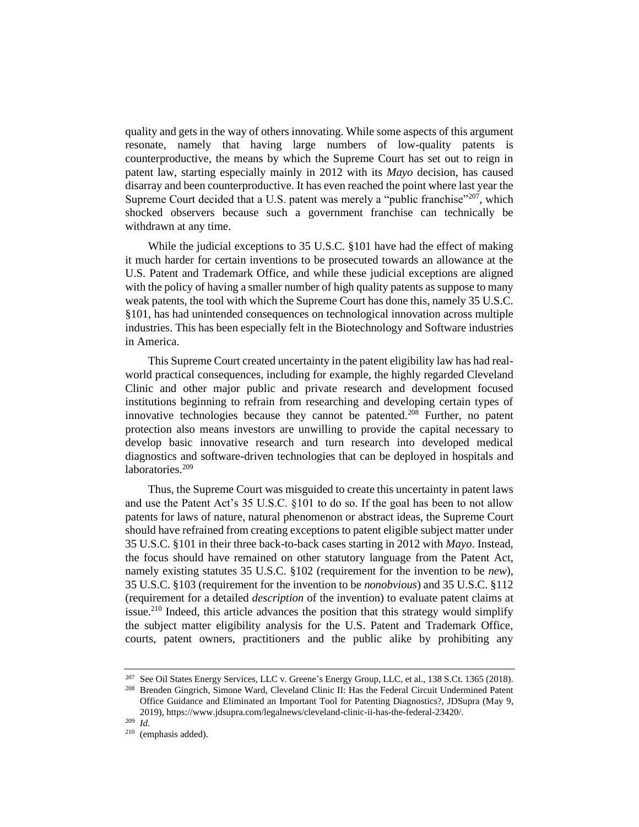quality and gets in the way of others innovating. While some aspects of this argument resonate, namely that having large numbers of low-quality patents is counterproductive, the means by which the Supreme Court has set out to reign in patent law, starting especially mainly in 2012 with its *Mayo* decision, has caused disarray and been counterproductive. It has even reached the point where last year the Supreme Court decided that a U.S. patent was merely a "public franchise"<sup>207</sup>, which shocked observers because such a government franchise can technically be withdrawn at any time.

While the judicial exceptions to 35 U.S.C. §101 have had the effect of making it much harder for certain inventions to be prosecuted towards an allowance at the U.S. Patent and Trademark Office, and while these judicial exceptions are aligned with the policy of having a smaller number of high quality patents as suppose to many weak patents, the tool with which the Supreme Court has done this, namely 35 U.S.C. §101, has had unintended consequences on technological innovation across multiple industries. This has been especially felt in the Biotechnology and Software industries in America.

This Supreme Court created uncertainty in the patent eligibility law has had realworld practical consequences, including for example, the highly regarded Cleveland Clinic and other major public and private research and development focused institutions beginning to refrain from researching and developing certain types of innovative technologies because they cannot be patented.<sup>208</sup> Further, no patent protection also means investors are unwilling to provide the capital necessary to develop basic innovative research and turn research into developed medical diagnostics and software-driven technologies that can be deployed in hospitals and laboratories.<sup>209</sup>

Thus, the Supreme Court was misguided to create this uncertainty in patent laws and use the Patent Act's 35 U.S.C. §101 to do so. If the goal has been to not allow patents for laws of nature, natural phenomenon or abstract ideas, the Supreme Court should have refrained from creating exceptions to patent eligible subject matter under 35 U.S.C. §101 in their three back-to-back cases starting in 2012 with *Mayo*. Instead, the focus should have remained on other statutory language from the Patent Act, namely existing statutes 35 U.S.C. §102 (requirement for the invention to be *new*), 35 U.S.C. §103 (requirement for the invention to be *nonobvious*) and 35 U.S.C. §112 (requirement for a detailed *description* of the invention) to evaluate patent claims at issue.<sup>210</sup> Indeed, this article advances the position that this strategy would simplify the subject matter eligibility analysis for the U.S. Patent and Trademark Office, courts, patent owners, practitioners and the public alike by prohibiting any

<sup>207</sup> See Oil States Energy Services, LLC v. Greene's Energy Group, LLC, et al., 138 S.Ct. 1365 (2018). <sup>208</sup> Brenden Gingrich, Simone Ward, Cleveland Clinic II: Has the Federal Circuit Undermined Patent

Office Guidance and Eliminated an Important Tool for Patenting Diagnostics?, JDSupra (May 9, 2019), https://www.jdsupra.com/legalnews/cleveland-clinic-ii-has-the-federal-23420/. <sup>209</sup> *Id.*

<sup>210</sup> (emphasis added).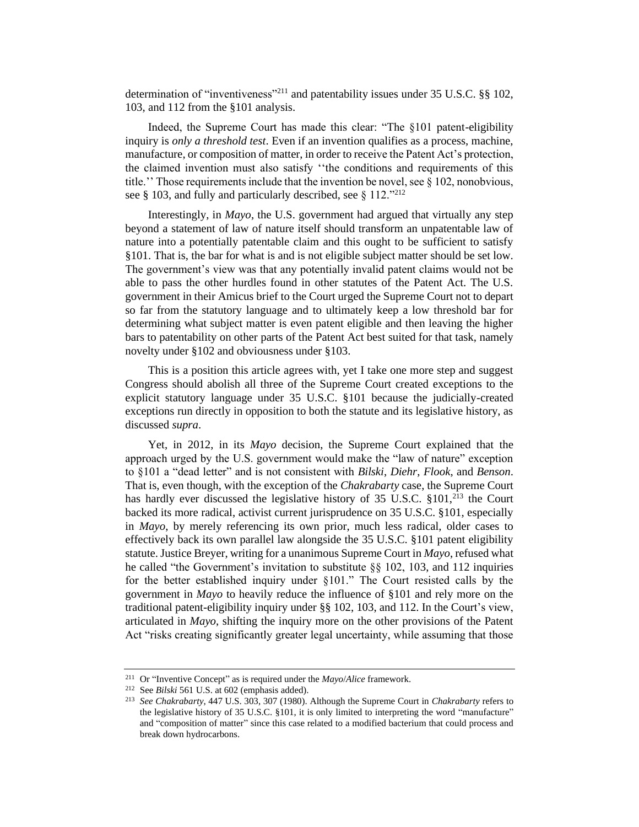determination of "inventiveness"<sup>211</sup> and patentability issues under 35 U.S.C. §§ 102, 103, and 112 from the §101 analysis.

Indeed, the Supreme Court has made this clear: "The §101 patent-eligibility inquiry is *only a threshold test*. Even if an invention qualifies as a process, machine, manufacture, or composition of matter, in order to receive the Patent Act's protection, the claimed invention must also satisfy ''the conditions and requirements of this title.'' Those requirements include that the invention be novel, see § 102, nonobvious, see § 103, and fully and particularly described, see § 112."212

Interestingly, in *Mayo*, the U.S. government had argued that virtually any step beyond a statement of law of nature itself should transform an unpatentable law of nature into a potentially patentable claim and this ought to be sufficient to satisfy §101. That is, the bar for what is and is not eligible subject matter should be set low. The government's view was that any potentially invalid patent claims would not be able to pass the other hurdles found in other statutes of the Patent Act. The U.S. government in their Amicus brief to the Court urged the Supreme Court not to depart so far from the statutory language and to ultimately keep a low threshold bar for determining what subject matter is even patent eligible and then leaving the higher bars to patentability on other parts of the Patent Act best suited for that task, namely novelty under §102 and obviousness under §103.

This is a position this article agrees with, yet I take one more step and suggest Congress should abolish all three of the Supreme Court created exceptions to the explicit statutory language under 35 U.S.C. §101 because the judicially-created exceptions run directly in opposition to both the statute and its legislative history, as discussed *supra*.

Yet, in 2012, in its *Mayo* decision, the Supreme Court explained that the approach urged by the U.S. government would make the "law of nature" exception to §101 a "dead letter" and is not consistent with *Bilski*, *Diehr*, *Flook*, and *Benson*. That is, even though, with the exception of the *Chakrabarty* case, the Supreme Court has hardly ever discussed the legislative history of  $35 \text{ U.S.C. } $101,^{213}$  the Court backed its more radical, activist current jurisprudence on 35 U.S.C. §101, especially in *Mayo*, by merely referencing its own prior, much less radical, older cases to effectively back its own parallel law alongside the 35 U.S.C. §101 patent eligibility statute. Justice Breyer, writing for a unanimous Supreme Court in *Mayo*, refused what he called "the Government's invitation to substitute §§ 102, 103, and 112 inquiries for the better established inquiry under §101." The Court resisted calls by the government in *Mayo* to heavily reduce the influence of §101 and rely more on the traditional patent-eligibility inquiry under §§ 102, 103, and 112. In the Court's view, articulated in *Mayo*, shifting the inquiry more on the other provisions of the Patent Act "risks creating significantly greater legal uncertainty, while assuming that those

<sup>211</sup> Or "Inventive Concept" as is required under the *Mayo*/*Alice* framework.

<sup>212</sup> See *Bilski* 561 U.S. at 602 (emphasis added).

<sup>213</sup> *See Chakrabarty*, 447 U.S. 303, 307 (1980). Although the Supreme Court in *Chakrabarty* refers to the legislative history of 35 U.S.C. §101, it is only limited to interpreting the word "manufacture" and "composition of matter" since this case related to a modified bacterium that could process and break down hydrocarbons.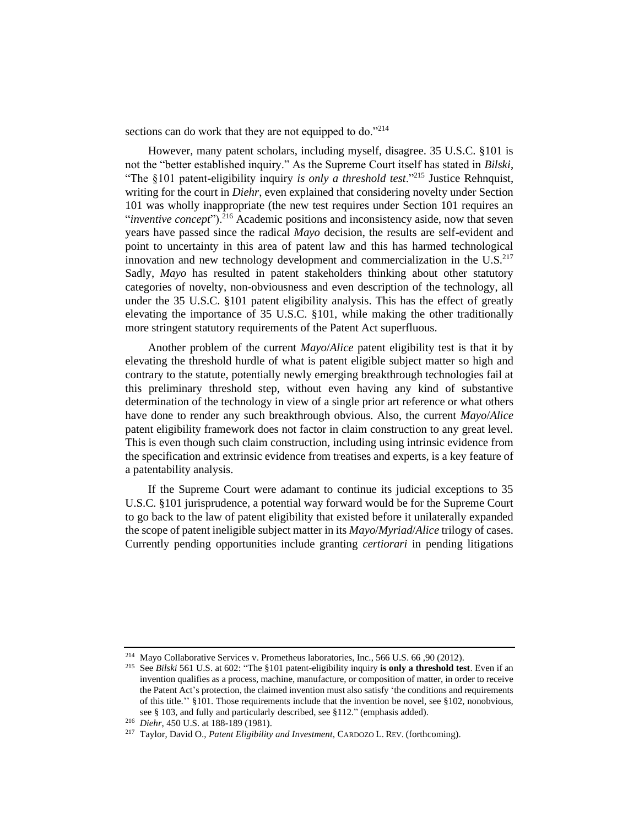sections can do work that they are not equipped to do."214

However, many patent scholars, including myself, disagree. 35 U.S.C. §101 is not the "better established inquiry." As the Supreme Court itself has stated in *Bilski*, "The §101 patent-eligibility inquiry *is only a threshold test*."<sup>215</sup> Justice Rehnquist, writing for the court in *Diehr*, even explained that considering novelty under Section 101 was wholly inappropriate (the new test requires under Section 101 requires an "*inventive concept*").<sup>216</sup> Academic positions and inconsistency aside, now that seven years have passed since the radical *Mayo* decision, the results are self-evident and point to uncertainty in this area of patent law and this has harmed technological innovation and new technology development and commercialization in the  $U.S.^{217}$ Sadly, *Mayo* has resulted in patent stakeholders thinking about other statutory categories of novelty, non-obviousness and even description of the technology, all under the 35 U.S.C. §101 patent eligibility analysis. This has the effect of greatly elevating the importance of 35 U.S.C. §101, while making the other traditionally more stringent statutory requirements of the Patent Act superfluous.

Another problem of the current *Mayo*/*Alice* patent eligibility test is that it by elevating the threshold hurdle of what is patent eligible subject matter so high and contrary to the statute, potentially newly emerging breakthrough technologies fail at this preliminary threshold step, without even having any kind of substantive determination of the technology in view of a single prior art reference or what others have done to render any such breakthrough obvious. Also, the current *Mayo*/*Alice* patent eligibility framework does not factor in claim construction to any great level. This is even though such claim construction, including using intrinsic evidence from the specification and extrinsic evidence from treatises and experts, is a key feature of a patentability analysis.

If the Supreme Court were adamant to continue its judicial exceptions to 35 U.S.C. §101 jurisprudence, a potential way forward would be for the Supreme Court to go back to the law of patent eligibility that existed before it unilaterally expanded the scope of patent ineligible subject matter in its *Mayo*/*Myriad*/*Alice* trilogy of cases. Currently pending opportunities include granting *certiorari* in pending litigations

<sup>214</sup> Mayo Collaborative Services v. Prometheus laboratories, Inc., 566 U.S. 66 ,90 (2012).

<sup>215</sup> See *Bilski* 561 U.S. at 602: "The §101 patent-eligibility inquiry **is only a threshold test**. Even if an invention qualifies as a process, machine, manufacture, or composition of matter, in order to receive the Patent Act's protection, the claimed invention must also satisfy 'the conditions and requirements of this title.'' §101. Those requirements include that the invention be novel, see §102, nonobvious, see § 103, and fully and particularly described, see §112." (emphasis added).

<sup>216</sup> *Diehr*, 450 U.S. at 188-189 (1981).

<sup>217</sup> Taylor, David O., *Patent Eligibility and Investment*, CARDOZO L. REV. (forthcoming).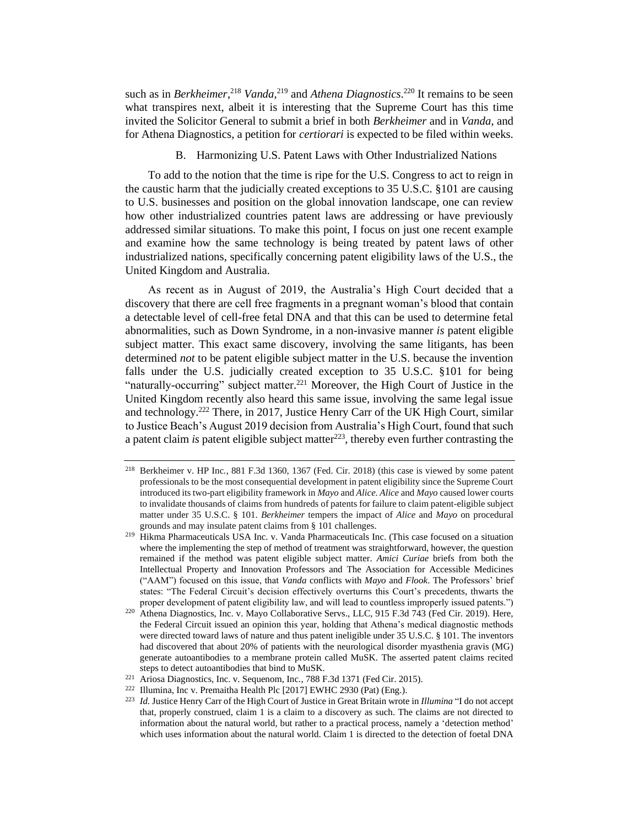such as in *Berkheimer*,<sup>218</sup> *Vanda*,<sup>219</sup> and *Athena Diagnostics*.<sup>220</sup> It remains to be seen what transpires next, albeit it is interesting that the Supreme Court has this time invited the Solicitor General to submit a brief in both *Berkheimer* and in *Vanda*, and for Athena Diagnostics, a petition for *certiorari* is expected to be filed within weeks.

B. Harmonizing U.S. Patent Laws with Other Industrialized Nations

To add to the notion that the time is ripe for the U.S. Congress to act to reign in the caustic harm that the judicially created exceptions to 35 U.S.C. §101 are causing to U.S. businesses and position on the global innovation landscape, one can review how other industrialized countries patent laws are addressing or have previously addressed similar situations. To make this point, I focus on just one recent example and examine how the same technology is being treated by patent laws of other industrialized nations, specifically concerning patent eligibility laws of the U.S., the United Kingdom and Australia.

As recent as in August of 2019, the Australia's High Court decided that a discovery that there are cell free fragments in a pregnant woman's blood that contain a detectable level of cell-free fetal DNA and that this can be used to determine fetal abnormalities, such as Down Syndrome, in a non-invasive manner *is* patent eligible subject matter. This exact same discovery, involving the same litigants, has been determined *not* to be patent eligible subject matter in the U.S. because the invention falls under the U.S. judicially created exception to 35 U.S.C. §101 for being "naturally-occurring" subject matter.<sup>221</sup> Moreover, the High Court of Justice in the United Kingdom recently also heard this same issue, involving the same legal issue and technology.<sup>222</sup> There, in 2017, Justice Henry Carr of the UK High Court, similar to Justice Beach's August 2019 decision from Australia's High Court, found that such a patent claim *is* patent eligible subject matter<sup>223</sup>, thereby even further contrasting the

<sup>218</sup> Berkheimer v. HP Inc*.*, 881 F.3d 1360, 1367 (Fed. Cir. 2018) (this case is viewed by some patent professionals to be the most consequential development in patent eligibility since the Supreme Court introduced its two-part eligibility framework in *Mayo* and *Alice*. *Alice* and *Mayo* caused lower courts to invalidate thousands of claims from hundreds of patents for failure to claim patent-eligible subject matter under 35 U.S.C. § 101. *Berkheimer* tempers the impact of *Alice* and *Mayo* on procedural grounds and may insulate patent claims from § 101 challenges.

<sup>&</sup>lt;sup>219</sup> Hikma Pharmaceuticals USA Inc. v. Vanda Pharmaceuticals Inc. (This case focused on a situation where the implementing the step of method of treatment was straightforward, however, the question remained if the method was patent eligible subject matter. *Amici Curiae* briefs from both the Intellectual Property and Innovation Professors and The Association for Accessible Medicines ("AAM") focused on this issue, that *Vanda* conflicts with *Mayo* and *Flook*. The Professors' brief states: "The Federal Circuit's decision effectively overturns this Court's precedents, thwarts the proper development of patent eligibility law, and will lead to countless improperly issued patents.")

<sup>&</sup>lt;sup>220</sup> Athena Diagnostics, Inc. v. Mayo Collaborative Servs., LLC, 915 F.3d 743 (Fed Cir. 2019). Here, the Federal Circuit issued an opinion this year, holding that Athena's medical diagnostic methods were directed toward laws of nature and thus patent ineligible under 35 U.S.C. § 101. The inventors had discovered that about 20% of patients with the neurological disorder myasthenia gravis (MG) generate autoantibodies to a membrane protein called MuSK. The asserted patent claims recited steps to detect autoantibodies that bind to MuSK.

<sup>221</sup> Ariosa Diagnostics, Inc. v. Sequenom, Inc*.*, 788 F.3d 1371 (Fed Cir. 2015).

<sup>222</sup> Illumina, Inc v. Premaitha Health Plc [2017] EWHC 2930 (Pat) (Eng.).

<sup>223</sup> *Id.* Justice Henry Carr of the High Court of Justice in Great Britain wrote in *Illumina* "I do not accept that, properly construed, claim 1 is a claim to a discovery as such. The claims are not directed to information about the natural world, but rather to a practical process, namely a 'detection method' which uses information about the natural world. Claim 1 is directed to the detection of foetal DNA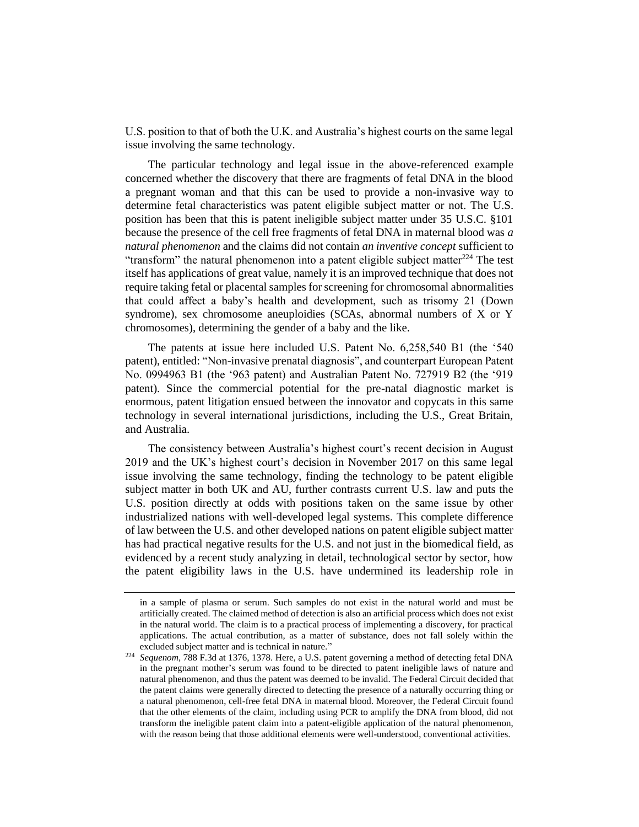U.S. position to that of both the U.K. and Australia's highest courts on the same legal issue involving the same technology.

The particular technology and legal issue in the above-referenced example concerned whether the discovery that there are fragments of fetal DNA in the blood a pregnant woman and that this can be used to provide a non-invasive way to determine fetal characteristics was patent eligible subject matter or not. The U.S. position has been that this is patent ineligible subject matter under 35 U.S.C. §101 because the presence of the cell free fragments of fetal DNA in maternal blood was *a natural phenomenon* and the claims did not contain *an inventive concept* sufficient to "transform" the natural phenomenon into a patent eligible subject matter<sup>224</sup> The test itself has applications of great value, namely it is an improved technique that does not require taking fetal or placental samples for screening for chromosomal abnormalities that could affect a baby's health and development, such as trisomy 21 (Down syndrome), sex chromosome aneuploidies (SCAs, abnormal numbers of X or Y chromosomes), determining the gender of a baby and the like.

The patents at issue here included U.S. Patent No. 6,258,540 B1 (the '540 patent), entitled: "Non-invasive prenatal diagnosis", and counterpart European Patent No. 0994963 B1 (the '963 patent) and Australian Patent No. 727919 B2 (the '919 patent). Since the commercial potential for the pre-natal diagnostic market is enormous, patent litigation ensued between the innovator and copycats in this same technology in several international jurisdictions, including the U.S., Great Britain, and Australia.

The consistency between Australia's highest court's recent decision in August 2019 and the UK's highest court's decision in November 2017 on this same legal issue involving the same technology, finding the technology to be patent eligible subject matter in both UK and AU, further contrasts current U.S. law and puts the U.S. position directly at odds with positions taken on the same issue by other industrialized nations with well-developed legal systems. This complete difference of law between the U.S. and other developed nations on patent eligible subject matter has had practical negative results for the U.S. and not just in the biomedical field, as evidenced by a recent study analyzing in detail, technological sector by sector, how the patent eligibility laws in the U.S. have undermined its leadership role in

in a sample of plasma or serum. Such samples do not exist in the natural world and must be artificially created. The claimed method of detection is also an artificial process which does not exist in the natural world. The claim is to a practical process of implementing a discovery, for practical applications. The actual contribution, as a matter of substance, does not fall solely within the excluded subject matter and is technical in nature."

<sup>224</sup> *Sequenom*, 788 F.3d at 1376, 1378. Here, a U.S. patent governing a method of detecting fetal DNA in the pregnant mother's serum was found to be directed to patent ineligible laws of nature and natural phenomenon, and thus the patent was deemed to be invalid. The Federal Circuit decided that the patent claims were generally directed to detecting the presence of a naturally occurring thing or a natural phenomenon, cell-free fetal DNA in maternal blood. Moreover, the Federal Circuit found that the other elements of the claim, including using PCR to amplify the DNA from blood, did not transform the ineligible patent claim into a patent-eligible application of the natural phenomenon, with the reason being that those additional elements were well-understood, conventional activities.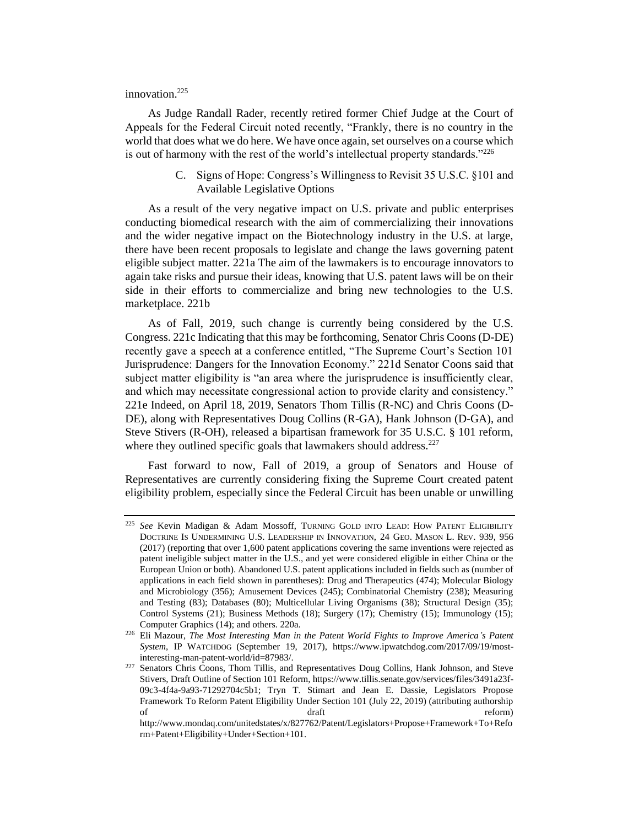# innovation.<sup>225</sup>

As Judge Randall Rader, recently retired former Chief Judge at the Court of Appeals for the Federal Circuit noted recently, "Frankly, there is no country in the world that does what we do here. We have once again, set ourselves on a course which is out of harmony with the rest of the world's intellectual property standards."<sup>226</sup>

> C. Signs of Hope: Congress's Willingness to Revisit 35 U.S.C. §101 and Available Legislative Options

As a result of the very negative impact on U.S. private and public enterprises conducting biomedical research with the aim of commercializing their innovations and the wider negative impact on the Biotechnology industry in the U.S. at large, there have been recent proposals to legislate and change the laws governing patent eligible subject matter. 221a The aim of the lawmakers is to encourage innovators to again take risks and pursue their ideas, knowing that U.S. patent laws will be on their side in their efforts to commercialize and bring new technologies to the U.S. marketplace. 221b

As of Fall, 2019, such change is currently being considered by the U.S. Congress. 221c Indicating that this may be forthcoming, Senator Chris Coons (D-DE) recently gave a speech at a conference entitled, "The Supreme Court's Section 101 Jurisprudence: Dangers for the Innovation Economy." 221d Senator Coons said that subject matter eligibility is "an area where the jurisprudence is insufficiently clear, and which may necessitate congressional action to provide clarity and consistency." 221e Indeed, on April 18, 2019, Senators Thom Tillis (R-NC) and Chris Coons (D-DE), along with Representatives Doug Collins (R-GA), Hank Johnson (D-GA), and Steve Stivers (R-OH), released a bipartisan framework for 35 U.S.C. § 101 reform, where they outlined specific goals that lawmakers should address.<sup>227</sup>

Fast forward to now, Fall of 2019, a group of Senators and House of Representatives are currently considering fixing the Supreme Court created patent eligibility problem, especially since the Federal Circuit has been unable or unwilling

<sup>225</sup> *See* Kevin Madigan & Adam Mossoff, TURNING GOLD INTO LEAD: HOW PATENT ELIGIBILITY DOCTRINE IS UNDERMINING U.S. LEADERSHIP IN INNOVATION, 24 GEO. MASON L. REV. 939, 956 (2017) (reporting that over 1,600 patent applications covering the same inventions were rejected as patent ineligible subject matter in the U.S., and yet were considered eligible in either China or the European Union or both). Abandoned U.S. patent applications included in fields such as (number of applications in each field shown in parentheses): Drug and Therapeutics (474); Molecular Biology and Microbiology (356); Amusement Devices (245); Combinatorial Chemistry (238); Measuring and Testing (83); Databases (80); Multicellular Living Organisms (38); Structural Design (35); Control Systems (21); Business Methods (18); Surgery (17); Chemistry (15); Immunology (15); Computer Graphics (14); and others. 220a.

<sup>226</sup> Eli Mazour, *The Most Interesting Man in the Patent World Fights to Improve America's Patent System*, IP WATCHDOG (September 19, 2017), https://www.ipwatchdog.com/2017/09/19/mostinteresting-man-patent-world/id=87983/.

<sup>&</sup>lt;sup>227</sup> Senators Chris Coons, Thom Tillis, and Representatives Doug Collins, Hank Johnson, and Steve Stivers, Draft Outline of Section 101 Reform, https://www.tillis.senate.gov/services/files/3491a23f-09c3-4f4a-9a93-71292704c5b1; Tryn T. Stimart and Jean E. Dassie, Legislators Propose Framework To Reform Patent Eligibility Under Section 101 (July 22, 2019) (attributing authorship of draft reform) and  $d$  draft reform)

http://www.mondaq.com/unitedstates/x/827762/Patent/Legislators+Propose+Framework+To+Refo rm+Patent+Eligibility+Under+Section+101.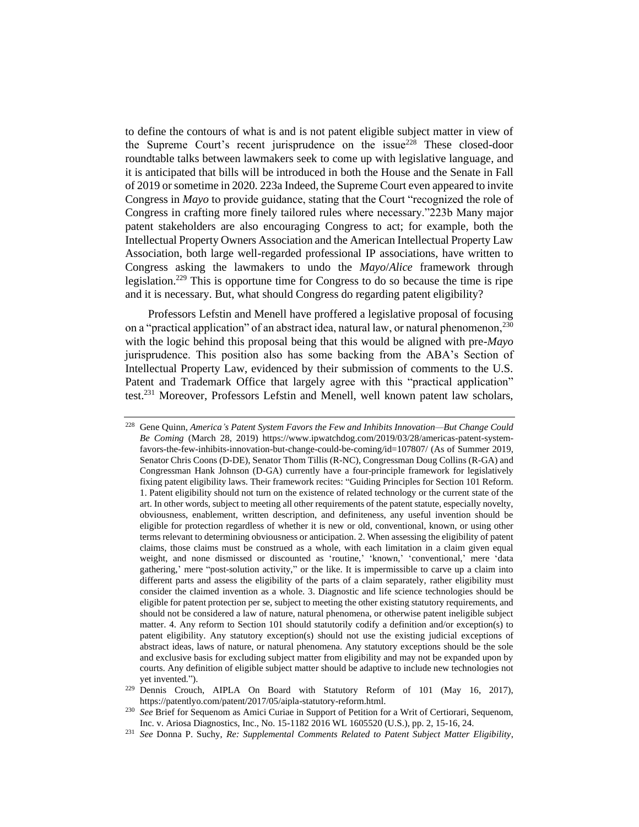to define the contours of what is and is not patent eligible subject matter in view of the Supreme Court's recent jurisprudence on the issue<sup>228</sup> These closed-door roundtable talks between lawmakers seek to come up with legislative language, and it is anticipated that bills will be introduced in both the House and the Senate in Fall of 2019 or sometime in 2020. 223a Indeed, the Supreme Court even appeared to invite Congress in *Mayo* to provide guidance, stating that the Court "recognized the role of Congress in crafting more finely tailored rules where necessary."223b Many major patent stakeholders are also encouraging Congress to act; for example, both the Intellectual Property Owners Association and the American Intellectual Property Law Association, both large well-regarded professional IP associations, have written to Congress asking the lawmakers to undo the *Mayo*/*Alice* framework through legislation.<sup>229</sup> This is opportune time for Congress to do so because the time is ripe and it is necessary. But, what should Congress do regarding patent eligibility?

Professors Lefstin and Menell have proffered a legislative proposal of focusing on a "practical application" of an abstract idea, natural law, or natural phenomenon,<sup>230</sup> with the logic behind this proposal being that this would be aligned with pre-*Mayo* jurisprudence. This position also has some backing from the ABA's Section of Intellectual Property Law, evidenced by their submission of comments to the U.S. Patent and Trademark Office that largely agree with this "practical application" test.<sup>231</sup> Moreover, Professors Lefstin and Menell, well known patent law scholars,

<sup>228</sup> Gene Quinn, *America's Patent System Favors the Few and Inhibits Innovation—But Change Could Be Coming* (March 28, 2019) https://www.ipwatchdog.com/2019/03/28/americas-patent-systemfavors-the-few-inhibits-innovation-but-change-could-be-coming/id=107807/ (As of Summer 2019, Senator Chris Coons (D-DE), Senator Thom Tillis (R-NC), Congressman Doug Collins (R-GA) and Congressman Hank Johnson (D-GA) currently have a four-principle framework for legislatively fixing patent eligibility laws. Their framework recites: "Guiding Principles for Section 101 Reform. 1. Patent eligibility should not turn on the existence of related technology or the current state of the art. In other words, subject to meeting all other requirements of the patent statute, especially novelty, obviousness, enablement, written description, and definiteness, any useful invention should be eligible for protection regardless of whether it is new or old, conventional, known, or using other terms relevant to determining obviousness or anticipation. 2. When assessing the eligibility of patent claims, those claims must be construed as a whole, with each limitation in a claim given equal weight, and none dismissed or discounted as 'routine,' 'known,' 'conventional,' mere 'data gathering,' mere "post-solution activity," or the like. It is impermissible to carve up a claim into different parts and assess the eligibility of the parts of a claim separately, rather eligibility must consider the claimed invention as a whole. 3. Diagnostic and life science technologies should be eligible for patent protection per se, subject to meeting the other existing statutory requirements, and should not be considered a law of nature, natural phenomena, or otherwise patent ineligible subject matter. 4. Any reform to Section 101 should statutorily codify a definition and/or exception(s) to patent eligibility. Any statutory exception(s) should not use the existing judicial exceptions of abstract ideas, laws of nature, or natural phenomena. Any statutory exceptions should be the sole and exclusive basis for excluding subject matter from eligibility and may not be expanded upon by courts. Any definition of eligible subject matter should be adaptive to include new technologies not yet invented.").

<sup>&</sup>lt;sup>229</sup> Dennis Crouch, AIPLA On Board with Statutory Reform of 101 (May 16, 2017), https://patentlyo.com/patent/2017/05/aipla-statutory-reform.html.

<sup>&</sup>lt;sup>230</sup> *See* Brief for Sequenom as Amici Curiae in Support of Petition for a Writ of Certiorari, Sequenom, Inc. v. Ariosa Diagnostics, Inc., No. 15-1182 2016 WL 1605520 (U.S.), pp. 2, 15-16, 24.

<sup>231</sup> *See* Donna P. Suchy, *Re: Supplemental Comments Related to Patent Subject Matter Eligibility*,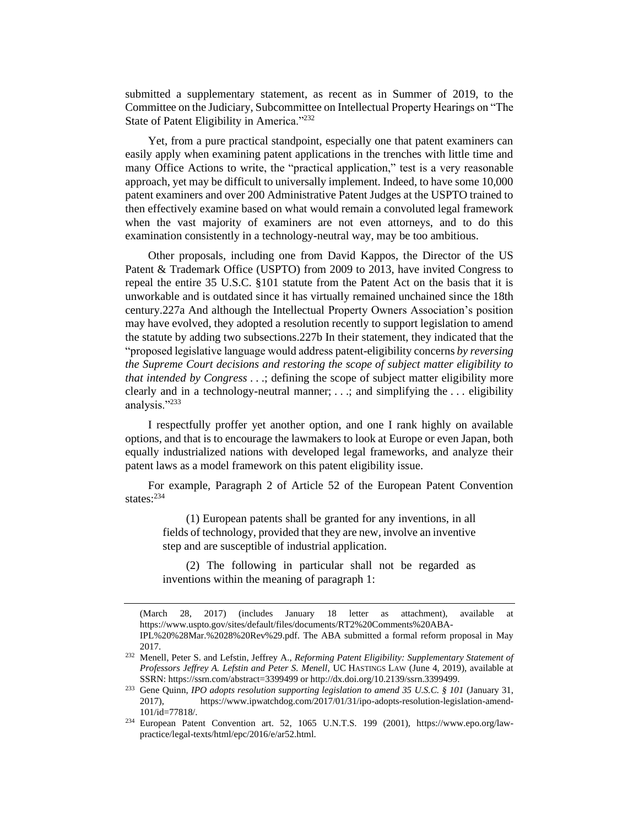submitted a supplementary statement, as recent as in Summer of 2019, to the Committee on the Judiciary, Subcommittee on Intellectual Property Hearings on "The State of Patent Eligibility in America."<sup>232</sup>

Yet, from a pure practical standpoint, especially one that patent examiners can easily apply when examining patent applications in the trenches with little time and many Office Actions to write, the "practical application," test is a very reasonable approach, yet may be difficult to universally implement. Indeed, to have some 10,000 patent examiners and over 200 Administrative Patent Judges at the USPTO trained to then effectively examine based on what would remain a convoluted legal framework when the vast majority of examiners are not even attorneys, and to do this examination consistently in a technology-neutral way, may be too ambitious.

Other proposals, including one from David Kappos, the Director of the US Patent & Trademark Office (USPTO) from 2009 to 2013, have invited Congress to repeal the entire 35 U.S.C. §101 statute from the Patent Act on the basis that it is unworkable and is outdated since it has virtually remained unchained since the 18th century.227a And although the Intellectual Property Owners Association's position may have evolved, they adopted a resolution recently to support legislation to amend the statute by adding two subsections.227b In their statement, they indicated that the "proposed legislative language would address patent-eligibility concerns *by reversing the Supreme Court decisions and restoring the scope of subject matter eligibility to that intended by Congress* . . .; defining the scope of subject matter eligibility more clearly and in a technology-neutral manner; . . .; and simplifying the . . . eligibility analysis."<sup>233</sup>

I respectfully proffer yet another option, and one I rank highly on available options, and that is to encourage the lawmakers to look at Europe or even Japan, both equally industrialized nations with developed legal frameworks, and analyze their patent laws as a model framework on this patent eligibility issue.

For example, Paragraph 2 of Article 52 of the European Patent Convention states:  $234$ 

(1) European patents shall be granted for any inventions, in all fields of technology, provided that they are new, involve an inventive step and are susceptible of industrial application.

(2) The following in particular shall not be regarded as inventions within the meaning of paragraph 1:

<sup>(</sup>March 28, 2017) (includes January 18 letter as attachment), available at https://www.uspto.gov/sites/default/files/documents/RT2%20Comments%20ABA-

IPL%20%28Mar.%2028%20Rev%29.pdf. The ABA submitted a formal reform proposal in May 2017.

<sup>232</sup> Menell, Peter S. and Lefstin, Jeffrey A., *Reforming Patent Eligibility: Supplementary Statement of Professors Jeffrey A. Lefstin and Peter S. Menell,* UC HASTINGS LAW (June 4, 2019), available at SSRN: https://ssrn.com/abstract=3399499 or http://dx.doi.org/10.2139/ssrn.3399499.

<sup>233</sup> Gene Quinn, *IPO adopts resolution supporting legislation to amend 35 U.S.C. § 101* (January 31, 2017), https://www.ipwatchdog.com/2017/01/31/ipo-adopts-resolution-legislation-amend-101/id=77818/.

<sup>234</sup> European Patent Convention art. 52, 1065 U.N.T.S. 199 (2001), https://www.epo.org/lawpractice/legal-texts/html/epc/2016/e/ar52.html.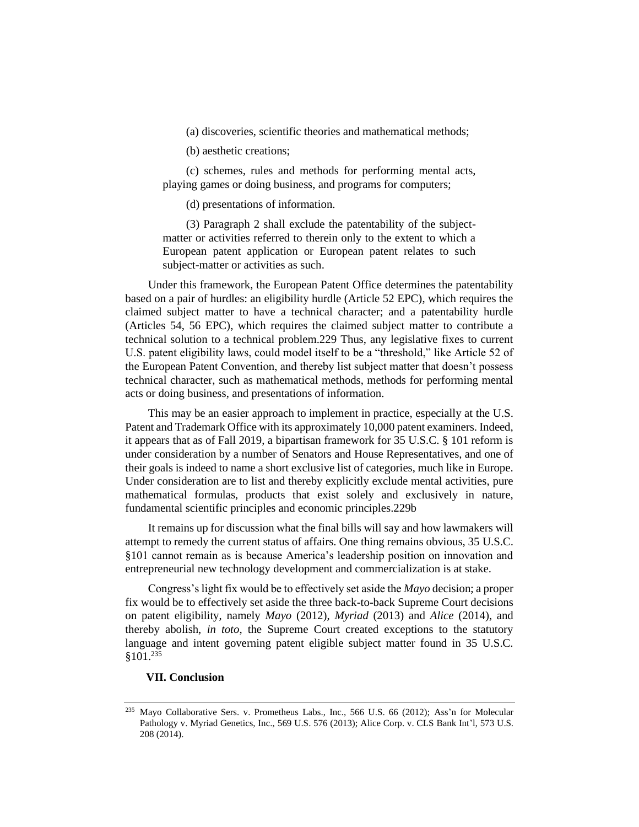(a) discoveries, scientific theories and mathematical methods;

(b) aesthetic creations;

(c) schemes, rules and methods for performing mental acts, playing games or doing business, and programs for computers;

(d) presentations of information.

(3) Paragraph 2 shall exclude the patentability of the subjectmatter or activities referred to therein only to the extent to which a European patent application or European patent relates to such subject-matter or activities as such.

Under this framework, the European Patent Office determines the patentability based on a pair of hurdles: an eligibility hurdle (Article 52 EPC), which requires the claimed subject matter to have a technical character; and a patentability hurdle (Articles 54, 56 EPC), which requires the claimed subject matter to contribute a technical solution to a technical problem.229 Thus, any legislative fixes to current U.S. patent eligibility laws, could model itself to be a "threshold," like Article 52 of the European Patent Convention, and thereby list subject matter that doesn't possess technical character, such as mathematical methods, methods for performing mental acts or doing business, and presentations of information.

This may be an easier approach to implement in practice, especially at the U.S. Patent and Trademark Office with its approximately 10,000 patent examiners. Indeed, it appears that as of Fall 2019, a bipartisan framework for 35 U.S.C. § 101 reform is under consideration by a number of Senators and House Representatives, and one of their goals is indeed to name a short exclusive list of categories, much like in Europe. Under consideration are to list and thereby explicitly exclude mental activities, pure mathematical formulas, products that exist solely and exclusively in nature, fundamental scientific principles and economic principles.229b

It remains up for discussion what the final bills will say and how lawmakers will attempt to remedy the current status of affairs. One thing remains obvious, 35 U.S.C. §101 cannot remain as is because America's leadership position on innovation and entrepreneurial new technology development and commercialization is at stake.

Congress's light fix would be to effectively set aside the *Mayo* decision; a proper fix would be to effectively set aside the three back-to-back Supreme Court decisions on patent eligibility, namely *Mayo* (2012), *Myriad* (2013) and *Alice* (2014), and thereby abolish, *in toto*, the Supreme Court created exceptions to the statutory language and intent governing patent eligible subject matter found in 35 U.S.C.  $$101.<sup>235</sup>$ 

# **VII. Conclusion**

<sup>235</sup> Mayo Collaborative Sers. v. Prometheus Labs., Inc., 566 U.S. 66 (2012); Ass'n for Molecular Pathology v. Myriad Genetics, Inc., 569 U.S. 576 (2013); Alice Corp. v. CLS Bank Int'l, 573 U.S. 208 (2014).